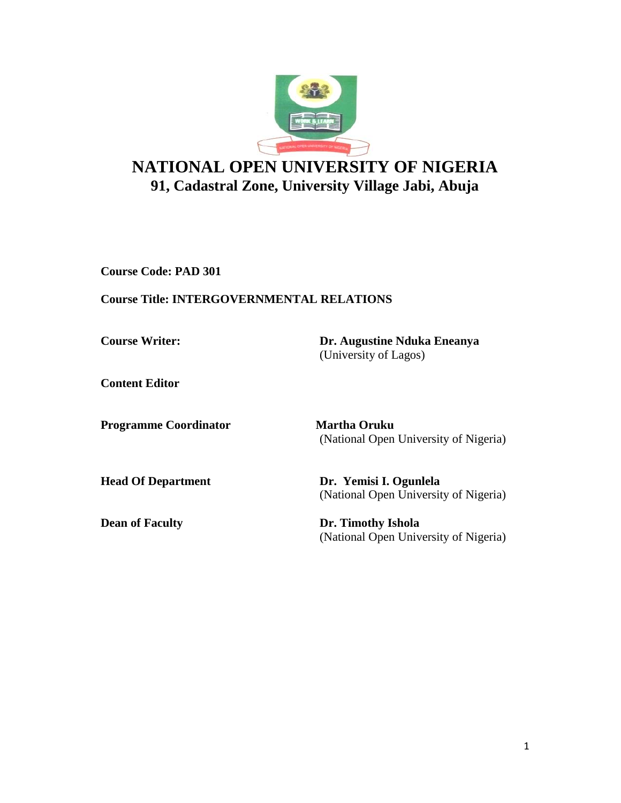

# **NATIONAL OPEN UNIVERSITY OF NIGERIA 91, Cadastral Zone, University Village Jabi, Abuja**

**Course Code: PAD 301**

## **Course Title: INTERGOVERNMENTAL RELATIONS**

**Course Writer: Dr. Augustine Nduka Eneanya** (University of Lagos)

**Content Editor** 

**Programme Coordinator Martha Oruku** 

(National Open University of Nigeria)

**Head Of Department Dr. Yemisi I. Ogunlela**  (National Open University of Nigeria)

**Dean of Faculty Dr. Timothy Ishola** (National Open University of Nigeria)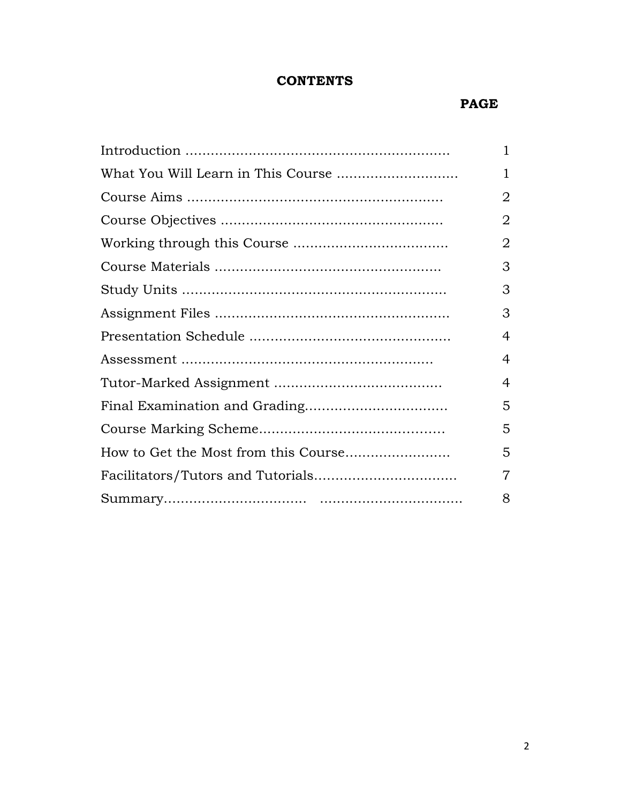# **CONTENTS**

## **PAGE**

|                                    | 1              |
|------------------------------------|----------------|
| What You Will Learn in This Course | 1              |
|                                    | 2              |
|                                    | 2              |
|                                    | 2              |
|                                    | 3              |
|                                    | 3              |
|                                    | 3              |
|                                    | 4              |
|                                    | $\overline{4}$ |
|                                    | 4              |
|                                    | 5              |
|                                    | 5              |
|                                    | 5              |
|                                    | 7              |
|                                    | 8              |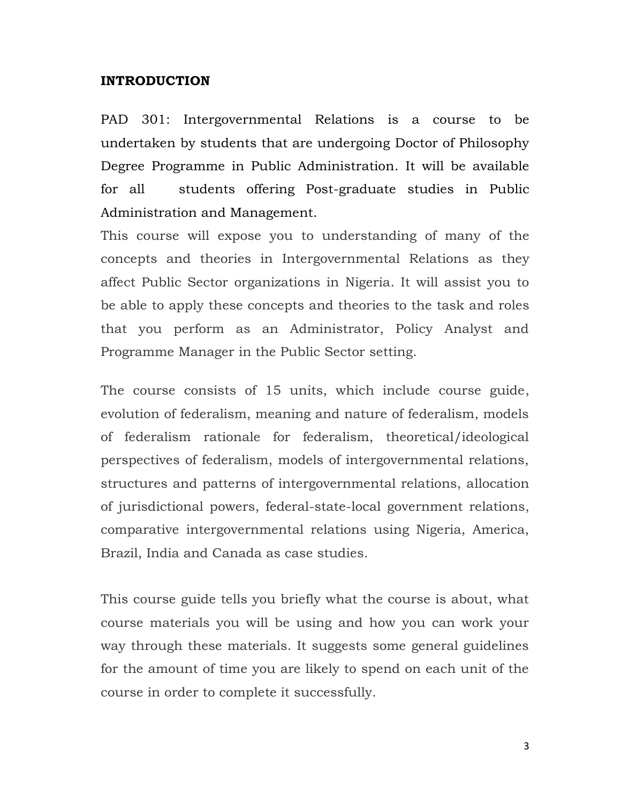### **INTRODUCTION**

PAD 301: Intergovernmental Relations is a course to be undertaken by students that are undergoing Doctor of Philosophy Degree Programme in Public Administration. It will be available for all students offering Post-graduate studies in Public Administration and Management.

This course will expose you to understanding of many of the concepts and theories in Intergovernmental Relations as they affect Public Sector organizations in Nigeria. It will assist you to be able to apply these concepts and theories to the task and roles that you perform as an Administrator, Policy Analyst and Programme Manager in the Public Sector setting.

The course consists of 15 units, which include course guide, evolution of federalism, meaning and nature of federalism, models of federalism rationale for federalism, theoretical/ideological perspectives of federalism, models of intergovernmental relations, structures and patterns of intergovernmental relations, allocation of jurisdictional powers, federal-state-local government relations, comparative intergovernmental relations using Nigeria, America, Brazil, India and Canada as case studies.

This course guide tells you briefly what the course is about, what course materials you will be using and how you can work your way through these materials. It suggests some general guidelines for the amount of time you are likely to spend on each unit of the course in order to complete it successfully.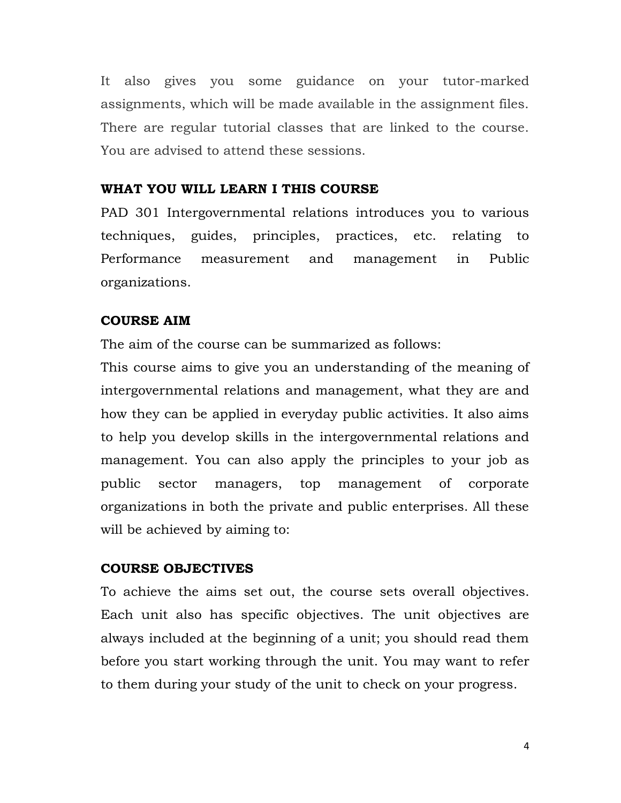It also gives you some guidance on your tutor-marked assignments, which will be made available in the assignment files. There are regular tutorial classes that are linked to the course. You are advised to attend these sessions.

#### **WHAT YOU WILL LEARN I THIS COURSE**

PAD 301 Intergovernmental relations introduces you to various techniques, guides, principles, practices, etc. relating to Performance measurement and management in Public organizations.

#### **COURSE AIM**

The aim of the course can be summarized as follows:

This course aims to give you an understanding of the meaning of intergovernmental relations and management, what they are and how they can be applied in everyday public activities. It also aims to help you develop skills in the intergovernmental relations and management. You can also apply the principles to your job as public sector managers, top management of corporate organizations in both the private and public enterprises. All these will be achieved by aiming to:

#### **COURSE OBJECTIVES**

To achieve the aims set out, the course sets overall objectives. Each unit also has specific objectives. The unit objectives are always included at the beginning of a unit; you should read them before you start working through the unit. You may want to refer to them during your study of the unit to check on your progress.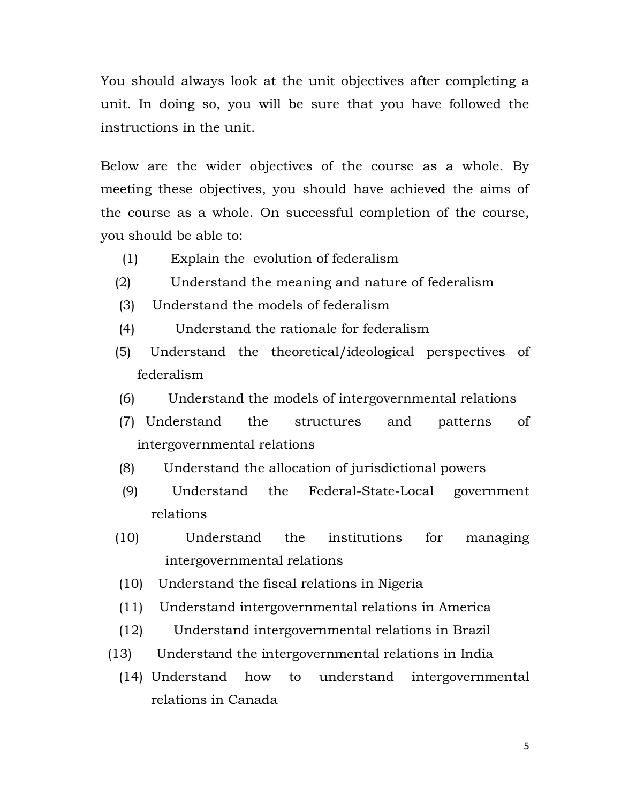You should always look at the unit objectives after completing a unit. In doing so, you will be sure that you have followed the instructions in the unit.

Below are the wider objectives of the course as a whole. By meeting these objectives, you should have achieved the aims of the course as a whole. On successful completion of the course, you should be able to:

- (1) Explain the evolution of federalism
- (2) Understand the meaning and nature of federalism
- (3) Understand the models of federalism
- (4) Understand the rationale for federalism
- (5) Understand the theoretical/ideological perspectives of federalism
- (6) Understand the models of intergovernmental relations
- (7) Understand the structures and patterns of intergovernmental relations
- (8) Understand the allocation of jurisdictional powers
- (9) Understand the Federal-State-Local government relations
- (10) Understand the institutions for managing intergovernmental relations
- (10) Understand the fiscal relations in Nigeria
- (11) Understand intergovernmental relations in America
- (12) Understand intergovernmental relations in Brazil
- (13) Understand the intergovernmental relations in India
	- (14) Understand how to understand intergovernmental relations in Canada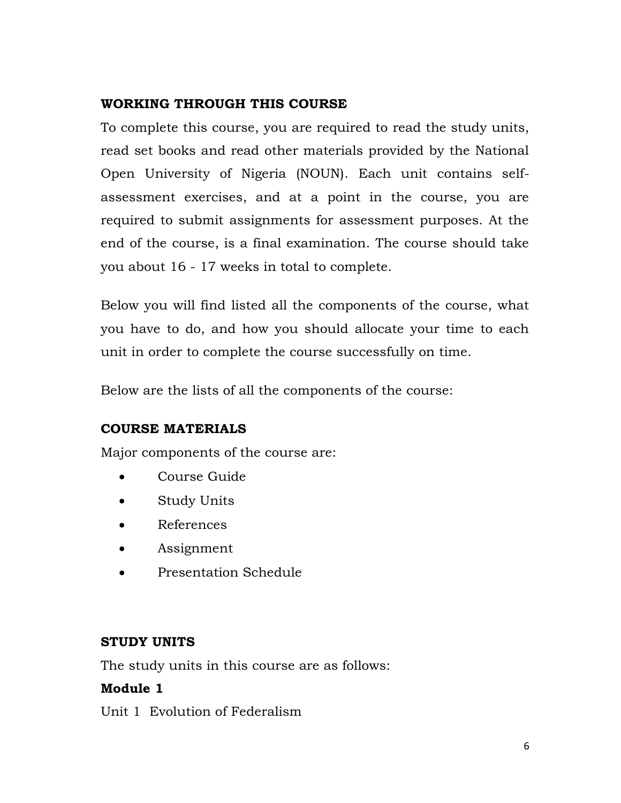# **WORKING THROUGH THIS COURSE**

To complete this course, you are required to read the study units, read set books and read other materials provided by the National Open University of Nigeria (NOUN). Each unit contains selfassessment exercises, and at a point in the course, you are required to submit assignments for assessment purposes. At the end of the course, is a final examination. The course should take you about 16 - 17 weeks in total to complete.

Below you will find listed all the components of the course, what you have to do, and how you should allocate your time to each unit in order to complete the course successfully on time.

Below are the lists of all the components of the course:

# **COURSE MATERIALS**

Major components of the course are:

- Course Guide
- Study Units
- References
- Assignment
- Presentation Schedule

# **STUDY UNITS**

The study units in this course are as follows:

# **Module 1**

Unit 1 Evolution of Federalism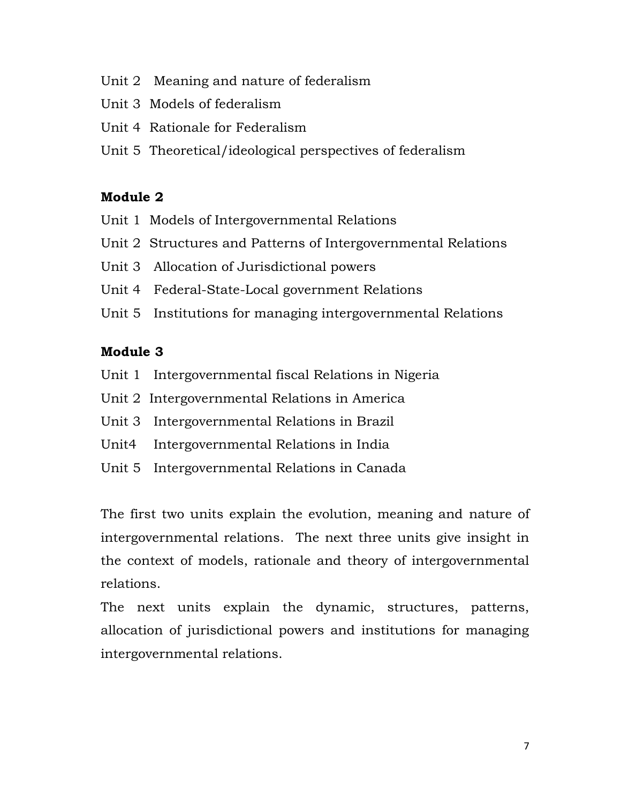- Unit 2 Meaning and nature of federalism
- Unit 3 Models of federalism
- Unit 4 Rationale for Federalism
- Unit 5 Theoretical/ideological perspectives of federalism

## **Module 2**

- Unit 1 Models of Intergovernmental Relations
- Unit 2 Structures and Patterns of Intergovernmental Relations
- Unit 3 Allocation of Jurisdictional powers
- Unit 4 Federal-State-Local government Relations
- Unit 5 Institutions for managing intergovernmental Relations

# **Module 3**

- Unit 1 Intergovernmental fiscal Relations in Nigeria
- Unit 2 Intergovernmental Relations in America
- Unit 3 Intergovernmental Relations in Brazil
- Unit4 Intergovernmental Relations in India
- Unit 5 Intergovernmental Relations in Canada

The first two units explain the evolution, meaning and nature of intergovernmental relations. The next three units give insight in the context of models, rationale and theory of intergovernmental relations.

The next units explain the dynamic, structures, patterns, allocation of jurisdictional powers and institutions for managing intergovernmental relations.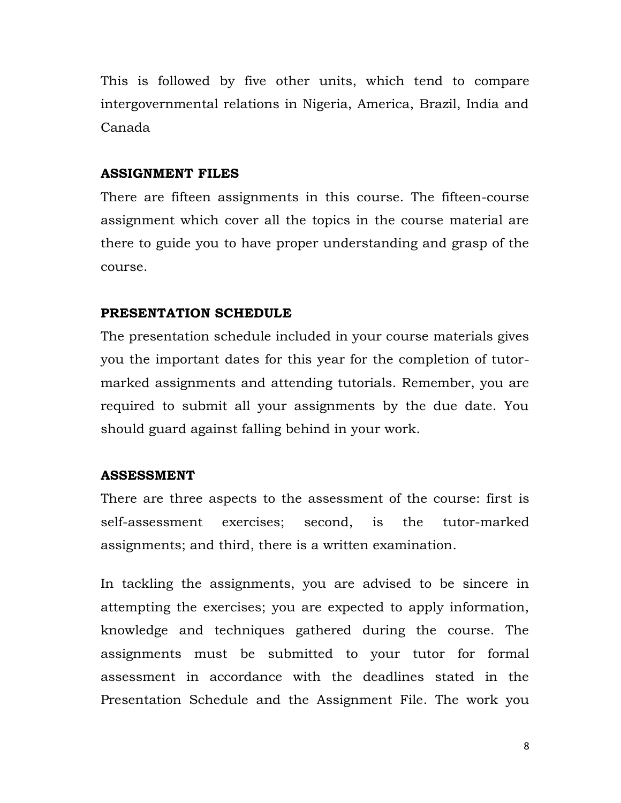This is followed by five other units, which tend to compare intergovernmental relations in Nigeria, America, Brazil, India and Canada

#### **ASSIGNMENT FILES**

There are fifteen assignments in this course. The fifteen-course assignment which cover all the topics in the course material are there to guide you to have proper understanding and grasp of the course.

#### **PRESENTATION SCHEDULE**

The presentation schedule included in your course materials gives you the important dates for this year for the completion of tutormarked assignments and attending tutorials. Remember, you are required to submit all your assignments by the due date. You should guard against falling behind in your work.

#### **ASSESSMENT**

There are three aspects to the assessment of the course: first is self-assessment exercises; second, is the tutor-marked assignments; and third, there is a written examination.

In tackling the assignments, you are advised to be sincere in attempting the exercises; you are expected to apply information, knowledge and techniques gathered during the course. The assignments must be submitted to your tutor for formal assessment in accordance with the deadlines stated in the Presentation Schedule and the Assignment File. The work you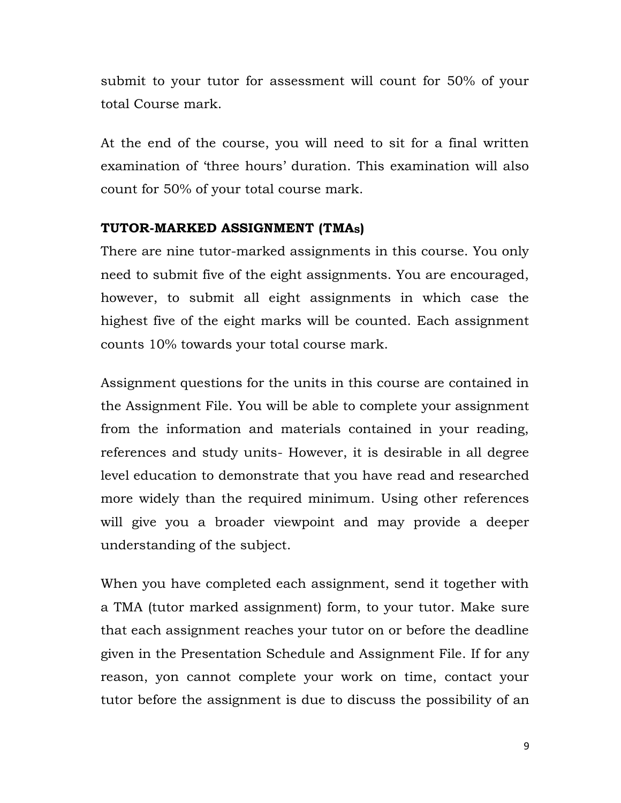submit to your tutor for assessment will count for 50% of your total Course mark.

At the end of the course, you will need to sit for a final written examination of 'three hours' duration. This examination will also count for 50% of your total course mark.

## **TUTOR-MARKED ASSIGNMENT (TMAS)**

There are nine tutor-marked assignments in this course. You only need to submit five of the eight assignments. You are encouraged, however, to submit all eight assignments in which case the highest five of the eight marks will be counted. Each assignment counts 10% towards your total course mark.

Assignment questions for the units in this course are contained in the Assignment File. You will be able to complete your assignment from the information and materials contained in your reading, references and study units- However, it is desirable in all degree level education to demonstrate that you have read and researched more widely than the required minimum. Using other references will give you a broader viewpoint and may provide a deeper understanding of the subject.

When you have completed each assignment, send it together with a TMA (tutor marked assignment) form, to your tutor. Make sure that each assignment reaches your tutor on or before the deadline given in the Presentation Schedule and Assignment File. If for any reason, yon cannot complete your work on time, contact your tutor before the assignment is due to discuss the possibility of an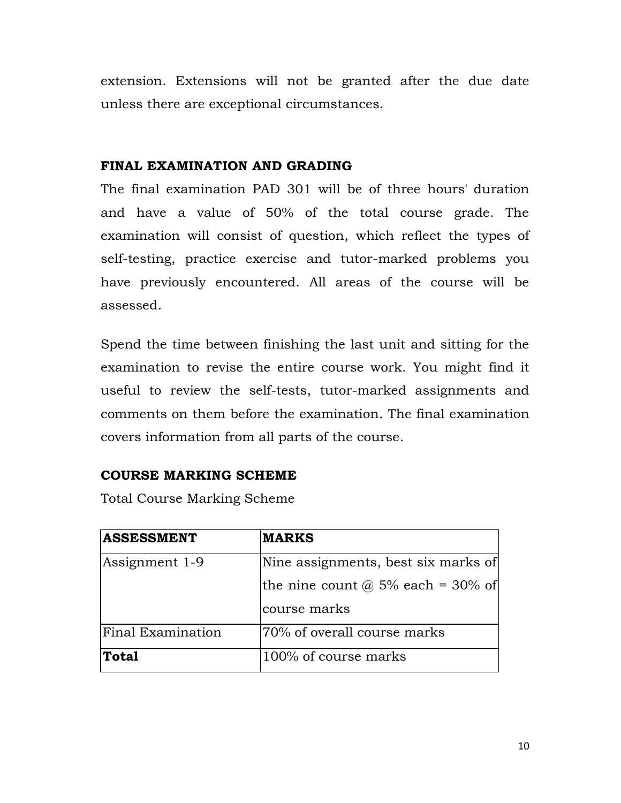extension. Extensions will not be granted after the due date unless there are exceptional circumstances.

# **FINAL EXAMINATION AND GRADING**

The final examination PAD 301 will be of three hours' duration and have a value of 50% of the total course grade. The examination will consist of question, which reflect the types of self-testing, practice exercise and tutor-marked problems you have previously encountered. All areas of the course will be assessed.

Spend the time between finishing the last unit and sitting for the examination to revise the entire course work. You might find it useful to review the self-tests, tutor-marked assignments and comments on them before the examination. The final examination covers information from all parts of the course.

# **COURSE MARKING SCHEME**

Total Course Marking Scheme

| <b>ASSESSMENT</b> | <b>MARKS</b>                        |  |
|-------------------|-------------------------------------|--|
| Assignment 1-9    | Nine assignments, best six marks of |  |
|                   | the nine count $@$ 5% each = 30% of |  |
|                   | course marks                        |  |
| Final Examination | 70% of overall course marks         |  |
| Total             | 100% of course marks                |  |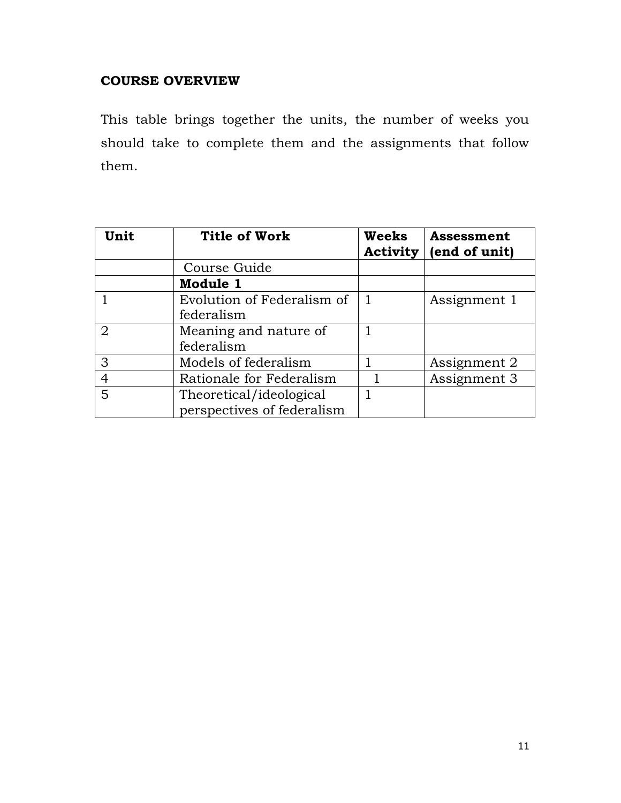# **COURSE OVERVIEW**

This table brings together the units, the number of weeks you should take to complete them and the assignments that follow them.

| Unit           | <b>Title of Work</b>       | Weeks | Assessment<br>Activity $ $ (end of unit) |
|----------------|----------------------------|-------|------------------------------------------|
|                | Course Guide               |       |                                          |
|                | Module 1                   |       |                                          |
|                | Evolution of Federalism of |       | Assignment 1                             |
|                | federalism                 |       |                                          |
| $\overline{2}$ | Meaning and nature of      |       |                                          |
|                | federalism                 |       |                                          |
| 3              | Models of federalism       |       | Assignment 2                             |
| $\overline{4}$ | Rationale for Federalism   |       | Assignment 3                             |
| 5              | Theoretical/ideological    |       |                                          |
|                | perspectives of federalism |       |                                          |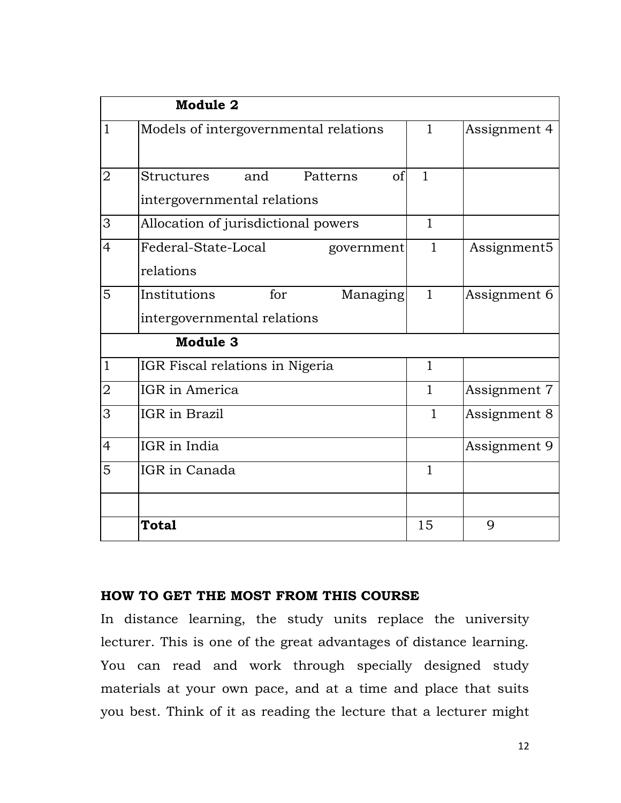|                | Module 2                                                           |                |              |
|----------------|--------------------------------------------------------------------|----------------|--------------|
| $\overline{1}$ | Models of intergovernmental relations                              | $\mathbf{1}$   | Assignment 4 |
| $\overline{2}$ | Structures<br>and<br>Patterns<br>of<br>intergovernmental relations | $\overline{1}$ |              |
| 3              | Allocation of jurisdictional powers                                | $\mathbf{1}$   |              |
| 4              | Federal-State-Local<br>government<br>relations                     | $\mathbf{1}$   | Assignment5  |
| 5              | Institutions<br>for<br>Managing<br>intergovernmental relations     | $\mathbf{1}$   | Assignment 6 |
|                | Module 3                                                           |                |              |
| $\mathbf{1}$   | IGR Fiscal relations in Nigeria                                    | $\mathbf{1}$   |              |
| $\overline{2}$ | IGR in America                                                     | $\mathbf{1}$   | Assignment 7 |
| 3              | IGR in Brazil                                                      | $\mathbf{1}$   | Assignment 8 |
| 4              | IGR in India                                                       |                | Assignment 9 |
| 5              | IGR in Canada                                                      | $\mathbf{1}$   |              |
|                | <b>Total</b>                                                       | 15             | 9            |

## **HOW TO GET THE MOST FROM THIS COURSE**

In distance learning, the study units replace the university lecturer. This is one of the great advantages of distance learning. You can read and work through specially designed study materials at your own pace, and at a time and place that suits you best. Think of it as reading the lecture that a lecturer might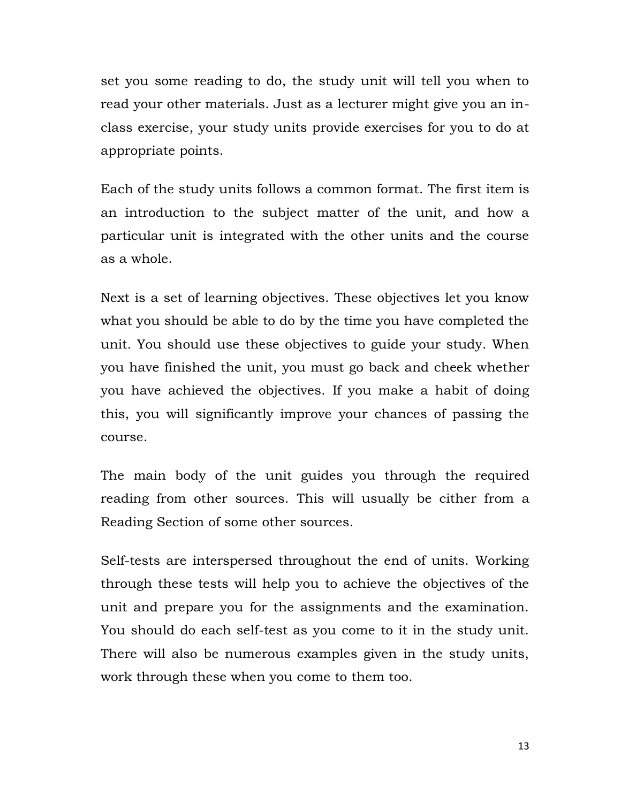set you some reading to do, the study unit will tell you when to read your other materials. Just as a lecturer might give you an inclass exercise, your study units provide exercises for you to do at appropriate points.

Each of the study units follows a common format. The first item is an introduction to the subject matter of the unit, and how a particular unit is integrated with the other units and the course as a whole.

Next is a set of learning objectives. These objectives let you know what you should be able to do by the time you have completed the unit. You should use these objectives to guide your study. When you have finished the unit, you must go back and cheek whether you have achieved the objectives. If you make a habit of doing this, you will significantly improve your chances of passing the course.

The main body of the unit guides you through the required reading from other sources. This will usually be cither from a Reading Section of some other sources.

Self-tests are interspersed throughout the end of units. Working through these tests will help you to achieve the objectives of the unit and prepare you for the assignments and the examination. You should do each self-test as you come to it in the study unit. There will also be numerous examples given in the study units, work through these when you come to them too.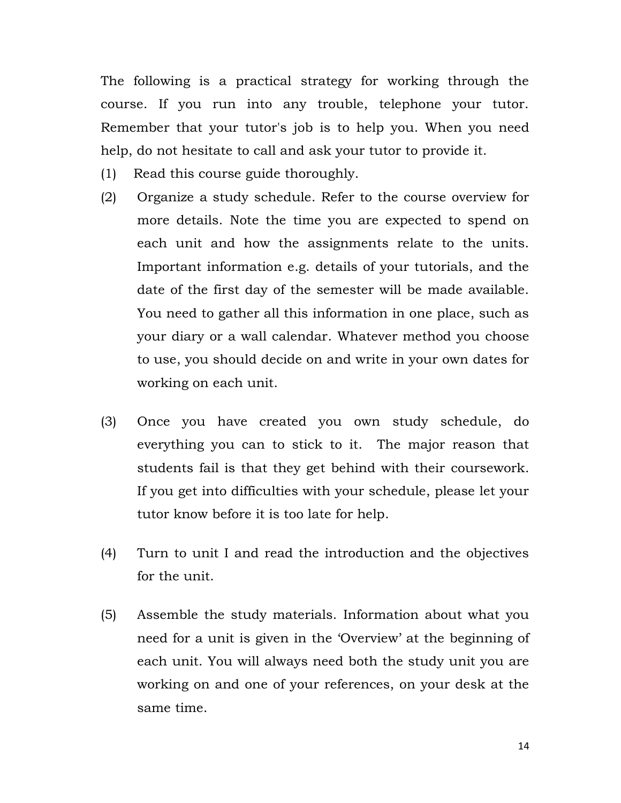The following is a practical strategy for working through the course. If you run into any trouble, telephone your tutor. Remember that your tutor's job is to help you. When you need help, do not hesitate to call and ask your tutor to provide it.

- (1) Read this course guide thoroughly.
- (2) Organize a study schedule. Refer to the course overview for more details. Note the time you are expected to spend on each unit and how the assignments relate to the units. Important information e.g. details of your tutorials, and the date of the first day of the semester will be made available. You need to gather all this information in one place, such as your diary or a wall calendar. Whatever method you choose to use, you should decide on and write in your own dates for working on each unit.
- (3) Once you have created you own study schedule, do everything you can to stick to it. The major reason that students fail is that they get behind with their coursework. If you get into difficulties with your schedule, please let your tutor know before it is too late for help.
- (4) Turn to unit I and read the introduction and the objectives for the unit.
- (5) Assemble the study materials. Information about what you need for a unit is given in the 'Overview' at the beginning of each unit. You will always need both the study unit you are working on and one of your references, on your desk at the same time.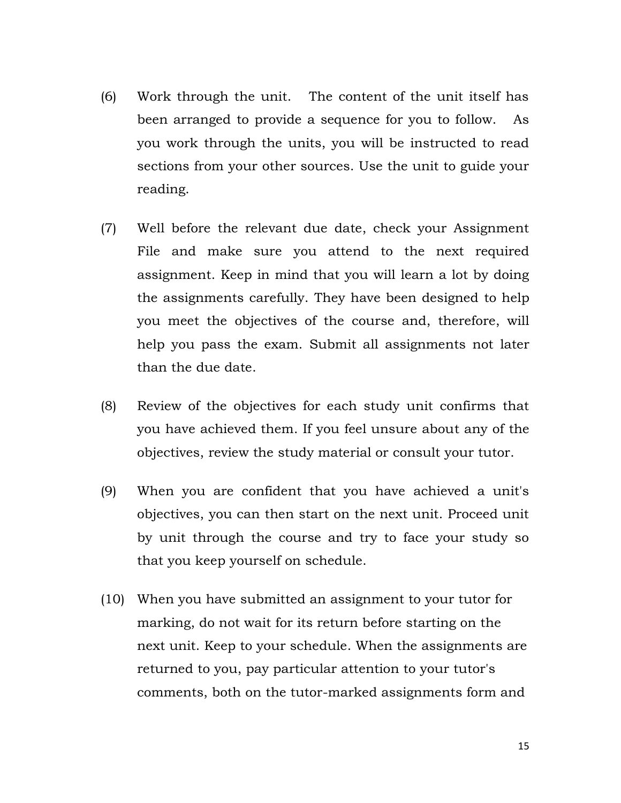- (6) Work through the unit. The content of the unit itself has been arranged to provide a sequence for you to follow. As you work through the units, you will be instructed to read sections from your other sources. Use the unit to guide your reading.
- (7) Well before the relevant due date, check your Assignment File and make sure you attend to the next required assignment. Keep in mind that you will learn a lot by doing the assignments carefully. They have been designed to help you meet the objectives of the course and, therefore, will help you pass the exam. Submit all assignments not later than the due date.
- (8) Review of the objectives for each study unit confirms that you have achieved them. If you feel unsure about any of the objectives, review the study material or consult your tutor.
- (9) When you are confident that you have achieved a unit's objectives, you can then start on the next unit. Proceed unit by unit through the course and try to face your study so that you keep yourself on schedule.
- (10) When you have submitted an assignment to your tutor for marking, do not wait for its return before starting on the next unit. Keep to your schedule. When the assignments are returned to you, pay particular attention to your tutor's comments, both on the tutor-marked assignments form and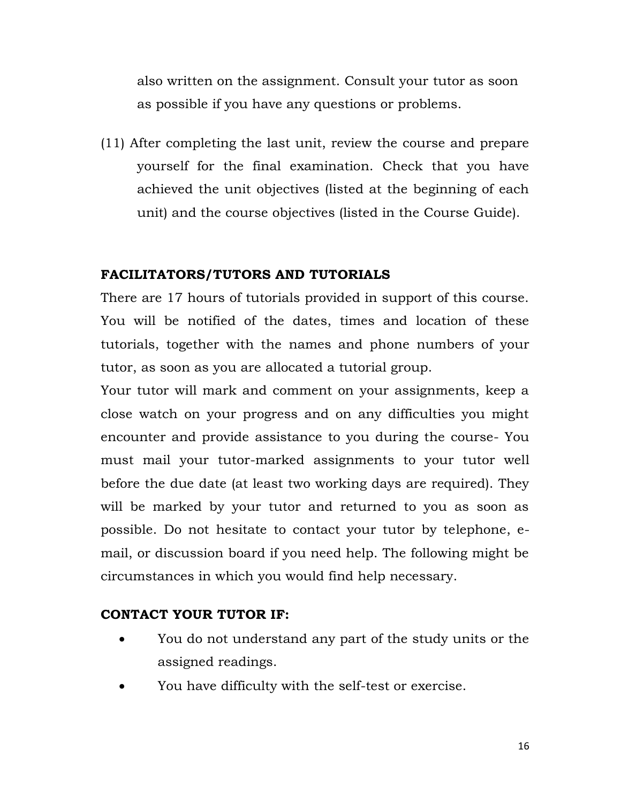also written on the assignment. Consult your tutor as soon as possible if you have any questions or problems.

(11) After completing the last unit, review the course and prepare yourself for the final examination. Check that you have achieved the unit objectives (listed at the beginning of each unit) and the course objectives (listed in the Course Guide).

# **FACILITATORS/TUTORS AND TUTORIALS**

There are 17 hours of tutorials provided in support of this course. You will be notified of the dates, times and location of these tutorials, together with the names and phone numbers of your tutor, as soon as you are allocated a tutorial group.

Your tutor will mark and comment on your assignments, keep a close watch on your progress and on any difficulties you might encounter and provide assistance to you during the course- You must mail your tutor-marked assignments to your tutor well before the due date (at least two working days are required). They will be marked by your tutor and returned to you as soon as possible. Do not hesitate to contact your tutor by telephone, email, or discussion board if you need help. The following might be circumstances in which you would find help necessary.

# **CONTACT YOUR TUTOR IF:**

- You do not understand any part of the study units or the assigned readings.
- You have difficulty with the self-test or exercise.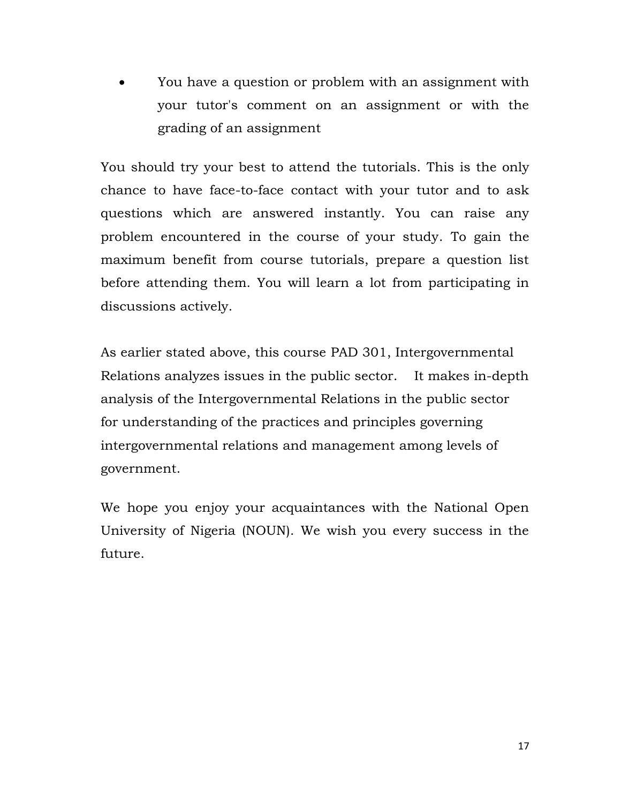You have a question or problem with an assignment with your tutor's comment on an assignment or with the grading of an assignment

You should try your best to attend the tutorials. This is the only chance to have face-to-face contact with your tutor and to ask questions which are answered instantly. You can raise any problem encountered in the course of your study. To gain the maximum benefit from course tutorials, prepare a question list before attending them. You will learn a lot from participating in discussions actively.

As earlier stated above, this course PAD 301, Intergovernmental Relations analyzes issues in the public sector.It makes in-depth analysis of the Intergovernmental Relations in the public sector for understanding of the practices and principles governing intergovernmental relations and management among levels of government.

We hope you enjoy your acquaintances with the National Open University of Nigeria (NOUN). We wish you every success in the future.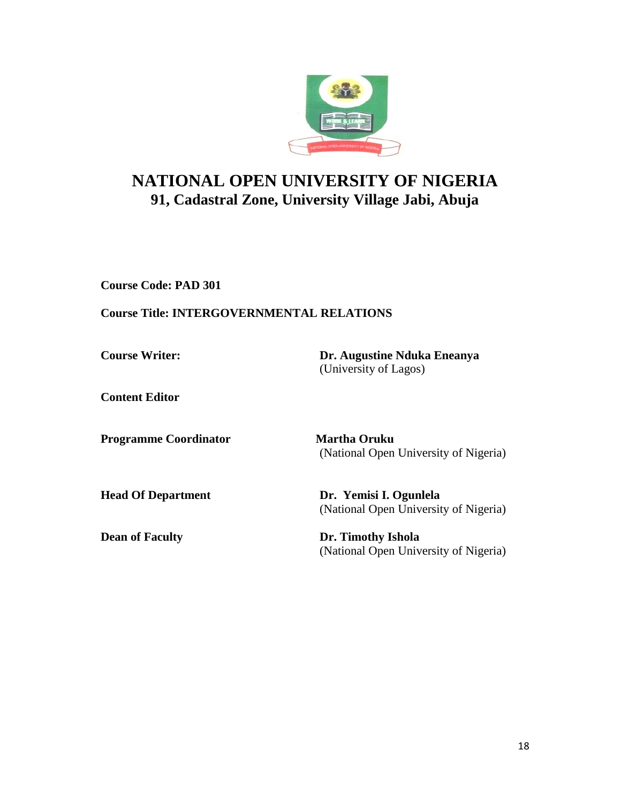

# **NATIONAL OPEN UNIVERSITY OF NIGERIA 91, Cadastral Zone, University Village Jabi, Abuja**

**Course Code: PAD 301**

## **Course Title: INTERGOVERNMENTAL RELATIONS**

**Course Writer: Dr. Augustine Nduka Eneanya** (University of Lagos)

**Content Editor** 

**Programme Coordinator Martha Oruku** 

(National Open University of Nigeria)

**Head Of Department Dr. Yemisi I. Ogunlela**  (National Open University of Nigeria)

**Dean of Faculty Dr. Timothy Ishola** (National Open University of Nigeria)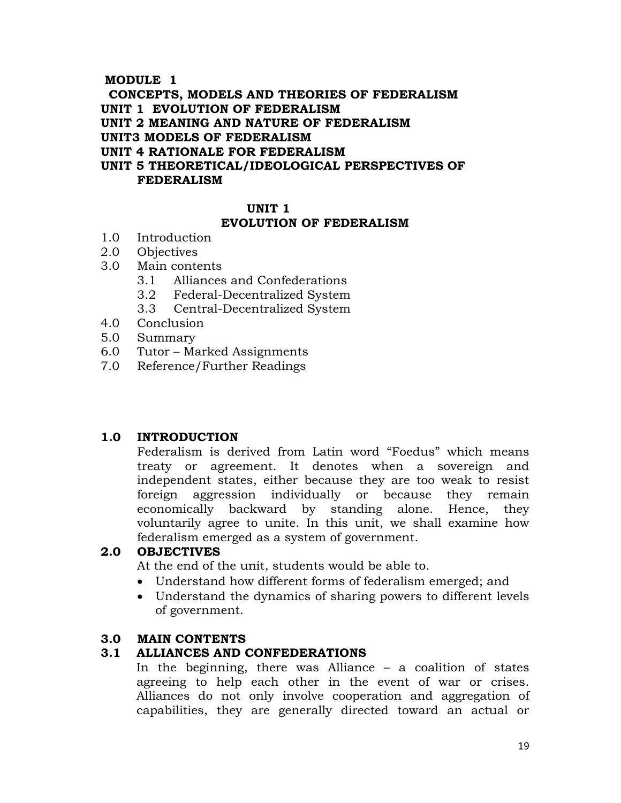#### **MODULE 1**

 **CONCEPTS, MODELS AND THEORIES OF FEDERALISM**

**UNIT 1 EVOLUTION OF FEDERALISM**

**UNIT 2 MEANING AND NATURE OF FEDERALISM**

**UNIT3 MODELS OF FEDERALISM**

**UNIT 4 RATIONALE FOR FEDERALISM**

**UNIT 5 THEORETICAL/IDEOLOGICAL PERSPECTIVES OF FEDERALISM**

### **UNIT 1**

#### **EVOLUTION OF FEDERALISM**

- 1.0 Introduction
- 2.0 Objectives
- 3.0 Main contents
	- 3.1 Alliances and Confederations
	- 3.2 Federal-Decentralized System
	- 3.3 Central-Decentralized System
- 4.0 Conclusion
- 5.0 Summary
- 6.0 Tutor Marked Assignments
- 7.0 Reference/Further Readings

#### **1.0 INTRODUCTION**

Federalism is derived from Latin word "Foedus" which means treaty or agreement. It denotes when a sovereign and independent states, either because they are too weak to resist foreign aggression individually or because they remain economically backward by standing alone. Hence, they voluntarily agree to unite. In this unit, we shall examine how federalism emerged as a system of government.

#### **2.0 OBJECTIVES**

At the end of the unit, students would be able to.

- Understand how different forms of federalism emerged; and
- Understand the dynamics of sharing powers to different levels of government.

#### **3.0 MAIN CONTENTS**

#### **3.1 ALLIANCES AND CONFEDERATIONS**

In the beginning, there was Alliance  $-$  a coalition of states agreeing to help each other in the event of war or crises. Alliances do not only involve cooperation and aggregation of capabilities, they are generally directed toward an actual or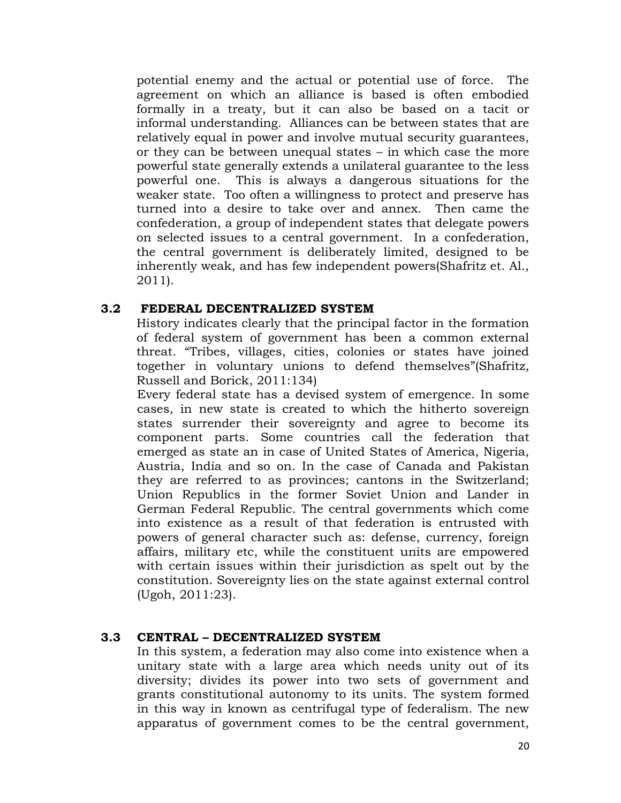potential enemy and the actual or potential use of force. The agreement on which an alliance is based is often embodied formally in a treaty, but it can also be based on a tacit or informal understanding. Alliances can be between states that are relatively equal in power and involve mutual security guarantees, or they can be between unequal states – in which case the more powerful state generally extends a unilateral guarantee to the less powerful one. This is always a dangerous situations for the weaker state. Too often a willingness to protect and preserve has turned into a desire to take over and annex. Then came the confederation, a group of independent states that delegate powers on selected issues to a central government. In a confederation, the central government is deliberately limited, designed to be inherently weak, and has few independent powers(Shafritz et. Al., 2011).

#### **3.2 FEDERAL DECENTRALIZED SYSTEM**

History indicates clearly that the principal factor in the formation of federal system of government has been a common external threat. "Tribes, villages, cities, colonies or states have joined together in voluntary unions to defend themselves"(Shafritz, Russell and Borick, 2011:134)

Every federal state has a devised system of emergence. In some cases, in new state is created to which the hitherto sovereign states surrender their sovereignty and agree to become its component parts. Some countries call the federation that emerged as state an in case of United States of America, Nigeria, Austria, India and so on. In the case of Canada and Pakistan they are referred to as provinces; cantons in the Switzerland; Union Republics in the former Soviet Union and Lander in German Federal Republic. The central governments which come into existence as a result of that federation is entrusted with powers of general character such as: defense, currency, foreign affairs, military etc, while the constituent units are empowered with certain issues within their jurisdiction as spelt out by the constitution. Sovereignty lies on the state against external control (Ugoh, 2011:23).

#### **3.3 CENTRAL – DECENTRALIZED SYSTEM**

In this system, a federation may also come into existence when a unitary state with a large area which needs unity out of its diversity; divides its power into two sets of government and grants constitutional autonomy to its units. The system formed in this way in known as centrifugal type of federalism. The new apparatus of government comes to be the central government,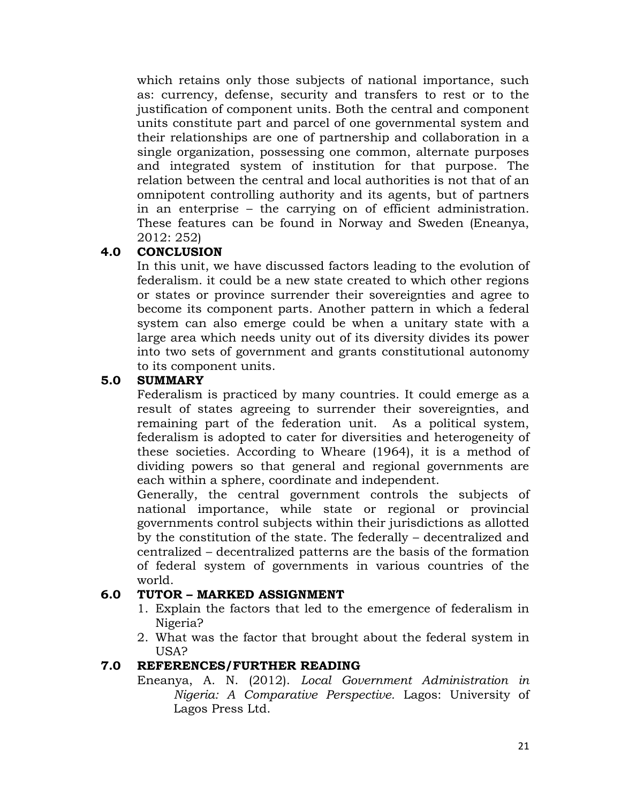which retains only those subjects of national importance, such as: currency, defense, security and transfers to rest or to the justification of component units. Both the central and component units constitute part and parcel of one governmental system and their relationships are one of partnership and collaboration in a single organization, possessing one common, alternate purposes and integrated system of institution for that purpose. The relation between the central and local authorities is not that of an omnipotent controlling authority and its agents, but of partners in an enterprise – the carrying on of efficient administration. These features can be found in Norway and Sweden (Eneanya, 2012: 252)

#### **4.0 CONCLUSION**

In this unit, we have discussed factors leading to the evolution of federalism. it could be a new state created to which other regions or states or province surrender their sovereignties and agree to become its component parts. Another pattern in which a federal system can also emerge could be when a unitary state with a large area which needs unity out of its diversity divides its power into two sets of government and grants constitutional autonomy to its component units.

#### **5.0 SUMMARY**

Federalism is practiced by many countries. It could emerge as a result of states agreeing to surrender their sovereignties, and remaining part of the federation unit. As a political system, federalism is adopted to cater for diversities and heterogeneity of these societies. According to Wheare (1964), it is a method of dividing powers so that general and regional governments are each within a sphere, coordinate and independent.

Generally, the central government controls the subjects of national importance, while state or regional or provincial governments control subjects within their jurisdictions as allotted by the constitution of the state. The federally – decentralized and centralized – decentralized patterns are the basis of the formation of federal system of governments in various countries of the world.

#### **6.0 TUTOR – MARKED ASSIGNMENT**

- 1. Explain the factors that led to the emergence of federalism in Nigeria?
- 2. What was the factor that brought about the federal system in USA?

#### **7.0 REFERENCES/FURTHER READING**

Eneanya, A. N. (2012). *Local Government Administration in Nigeria: A Comparative Perspective.* Lagos: University of Lagos Press Ltd.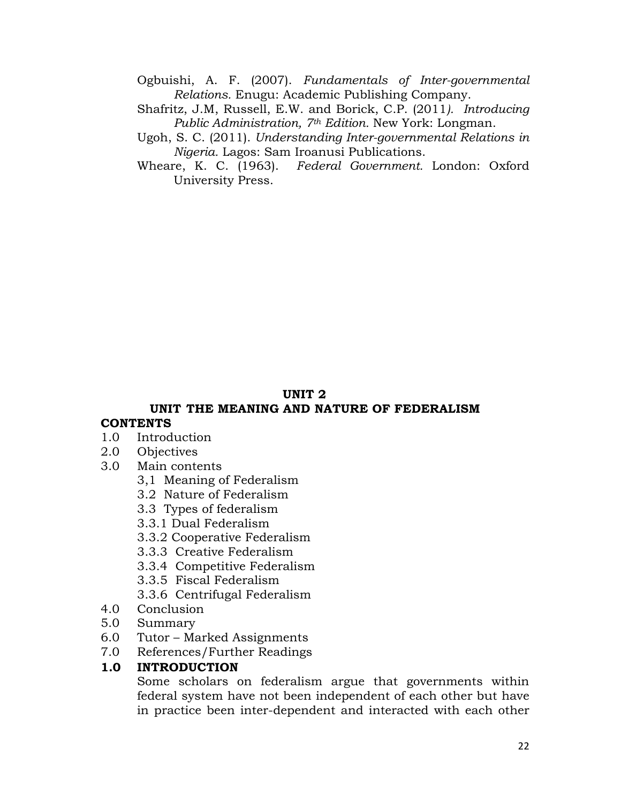Ogbuishi, A. F. (2007). *Fundamentals of Inter-governmental Relations.* Enugu: Academic Publishing Company.

- Shafritz, J.M, Russell, E.W. and Borick, C.P. (2011*). Introducing Public Administration, 7th Edition.* New York: Longman.
- Ugoh, S. C. (2011). *Understanding Inter-governmental Relations in Nigeria.* Lagos: Sam Iroanusi Publications.
- Wheare, K. C. (1963). *Federal Government.* London: Oxford University Press.

## **UNIT 2**

#### **UNIT THE MEANING AND NATURE OF FEDERALISM CONTENTS**

- 1.0 Introduction
- 2.0 Objectives
- 3.0 Main contents
	- 3,1 Meaning of Federalism
	- 3.2 Nature of Federalism
	- 3.3 Types of federalism
	- 3.3.1 Dual Federalism
	- 3.3.2 Cooperative Federalism
	- 3.3.3 Creative Federalism
	- 3.3.4 Competitive Federalism
	- 3.3.5 Fiscal Federalism
	- 3.3.6 Centrifugal Federalism
- 4.0 Conclusion
- 5.0 Summary
- 6.0 Tutor Marked Assignments
- 7.0 References/Further Readings

#### **1.0 INTRODUCTION**

Some scholars on federalism argue that governments within federal system have not been independent of each other but have in practice been inter-dependent and interacted with each other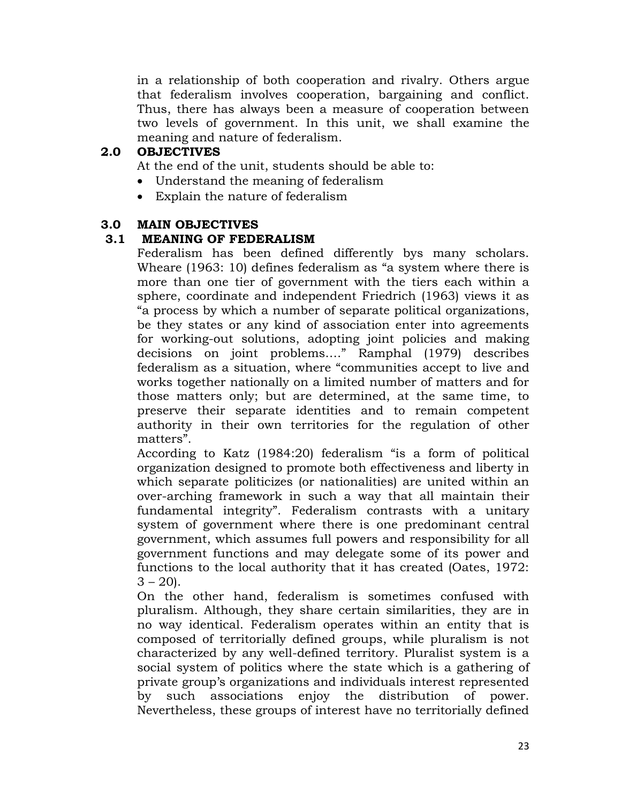in a relationship of both cooperation and rivalry. Others argue that federalism involves cooperation, bargaining and conflict. Thus, there has always been a measure of cooperation between two levels of government. In this unit, we shall examine the meaning and nature of federalism.

## **2.0 OBJECTIVES**

At the end of the unit, students should be able to:

- Understand the meaning of federalism
- Explain the nature of federalism

## **3.0 MAIN OBJECTIVES**

## **3.1 MEANING OF FEDERALISM**

Federalism has been defined differently bys many scholars. Wheare (1963: 10) defines federalism as "a system where there is more than one tier of government with the tiers each within a sphere, coordinate and independent Friedrich (1963) views it as "a process by which a number of separate political organizations, be they states or any kind of association enter into agreements for working-out solutions, adopting joint policies and making decisions on joint problems…." Ramphal (1979) describes federalism as a situation, where "communities accept to live and works together nationally on a limited number of matters and for those matters only; but are determined, at the same time, to preserve their separate identities and to remain competent authority in their own territories for the regulation of other matters".

According to Katz (1984:20) federalism "is a form of political organization designed to promote both effectiveness and liberty in which separate politicizes (or nationalities) are united within an over-arching framework in such a way that all maintain their fundamental integrity". Federalism contrasts with a unitary system of government where there is one predominant central government, which assumes full powers and responsibility for all government functions and may delegate some of its power and functions to the local authority that it has created (Oates, 1972:  $3 - 20$ .

On the other hand, federalism is sometimes confused with pluralism. Although, they share certain similarities, they are in no way identical. Federalism operates within an entity that is composed of territorially defined groups, while pluralism is not characterized by any well-defined territory. Pluralist system is a social system of politics where the state which is a gathering of private group's organizations and individuals interest represented by such associations enjoy the distribution of power. Nevertheless, these groups of interest have no territorially defined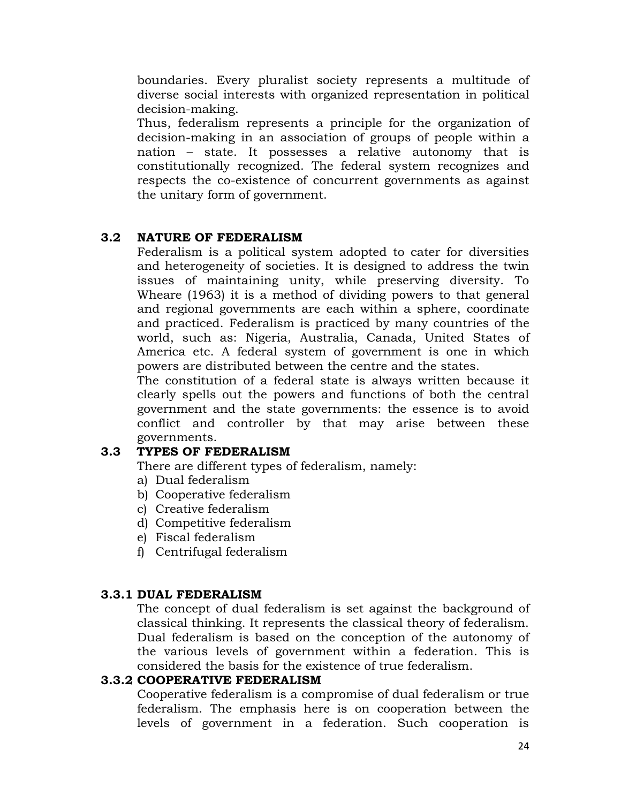boundaries. Every pluralist society represents a multitude of diverse social interests with organized representation in political decision-making.

Thus, federalism represents a principle for the organization of decision-making in an association of groups of people within a nation – state. It possesses a relative autonomy that is constitutionally recognized. The federal system recognizes and respects the co-existence of concurrent governments as against the unitary form of government.

## **3.2 NATURE OF FEDERALISM**

Federalism is a political system adopted to cater for diversities and heterogeneity of societies. It is designed to address the twin issues of maintaining unity, while preserving diversity. To Wheare (1963) it is a method of dividing powers to that general and regional governments are each within a sphere, coordinate and practiced. Federalism is practiced by many countries of the world, such as: Nigeria, Australia, Canada, United States of America etc. A federal system of government is one in which powers are distributed between the centre and the states.

The constitution of a federal state is always written because it clearly spells out the powers and functions of both the central government and the state governments: the essence is to avoid conflict and controller by that may arise between these governments.

#### **3.3 TYPES OF FEDERALISM**

There are different types of federalism, namely:

- a) Dual federalism
- b) Cooperative federalism
- c) Creative federalism
- d) Competitive federalism
- e) Fiscal federalism
- f) Centrifugal federalism

#### **3.3.1 DUAL FEDERALISM**

The concept of dual federalism is set against the background of classical thinking. It represents the classical theory of federalism. Dual federalism is based on the conception of the autonomy of the various levels of government within a federation. This is considered the basis for the existence of true federalism.

#### **3.3.2 COOPERATIVE FEDERALISM**

Cooperative federalism is a compromise of dual federalism or true federalism. The emphasis here is on cooperation between the levels of government in a federation. Such cooperation is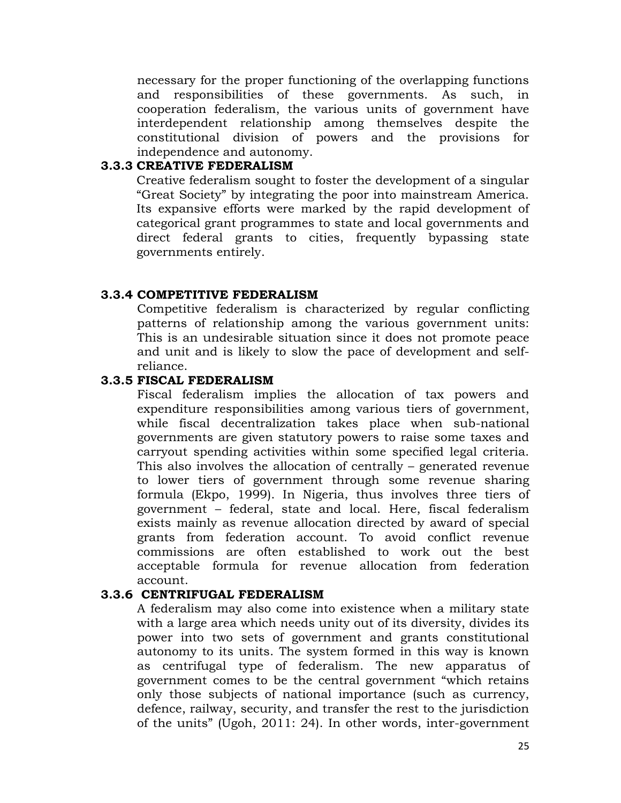necessary for the proper functioning of the overlapping functions and responsibilities of these governments. As such, in cooperation federalism, the various units of government have interdependent relationship among themselves despite the constitutional division of powers and the provisions for independence and autonomy.

#### **3.3.3 CREATIVE FEDERALISM**

Creative federalism sought to foster the development of a singular "Great Society" by integrating the poor into mainstream America. Its expansive efforts were marked by the rapid development of categorical grant programmes to state and local governments and direct federal grants to cities, frequently bypassing state governments entirely.

#### **3.3.4 COMPETITIVE FEDERALISM**

Competitive federalism is characterized by regular conflicting patterns of relationship among the various government units: This is an undesirable situation since it does not promote peace and unit and is likely to slow the pace of development and selfreliance.

#### **3.3.5 FISCAL FEDERALISM**

Fiscal federalism implies the allocation of tax powers and expenditure responsibilities among various tiers of government, while fiscal decentralization takes place when sub-national governments are given statutory powers to raise some taxes and carryout spending activities within some specified legal criteria. This also involves the allocation of centrally – generated revenue to lower tiers of government through some revenue sharing formula (Ekpo, 1999). In Nigeria, thus involves three tiers of government – federal, state and local. Here, fiscal federalism exists mainly as revenue allocation directed by award of special grants from federation account. To avoid conflict revenue commissions are often established to work out the best acceptable formula for revenue allocation from federation account.

#### **3.3.6 CENTRIFUGAL FEDERALISM**

A federalism may also come into existence when a military state with a large area which needs unity out of its diversity, divides its power into two sets of government and grants constitutional autonomy to its units. The system formed in this way is known as centrifugal type of federalism. The new apparatus of government comes to be the central government "which retains only those subjects of national importance (such as currency, defence, railway, security, and transfer the rest to the jurisdiction of the units" (Ugoh, 2011: 24). In other words, inter-government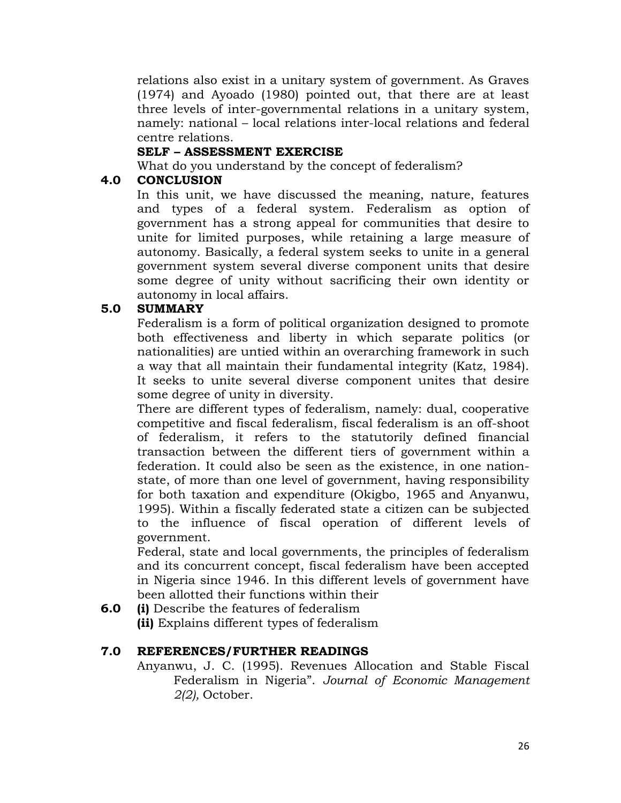relations also exist in a unitary system of government. As Graves (1974) and Ayoado (1980) pointed out, that there are at least three levels of inter-governmental relations in a unitary system, namely: national – local relations inter-local relations and federal centre relations.

## **SELF – ASSESSMENT EXERCISE**

What do you understand by the concept of federalism?

## **4.0 CONCLUSION**

In this unit, we have discussed the meaning, nature, features and types of a federal system. Federalism as option of government has a strong appeal for communities that desire to unite for limited purposes, while retaining a large measure of autonomy. Basically, a federal system seeks to unite in a general government system several diverse component units that desire some degree of unity without sacrificing their own identity or autonomy in local affairs.

## **5.0 SUMMARY**

Federalism is a form of political organization designed to promote both effectiveness and liberty in which separate politics (or nationalities) are untied within an overarching framework in such a way that all maintain their fundamental integrity (Katz, 1984). It seeks to unite several diverse component unites that desire some degree of unity in diversity.

There are different types of federalism, namely: dual, cooperative competitive and fiscal federalism, fiscal federalism is an off-shoot of federalism, it refers to the statutorily defined financial transaction between the different tiers of government within a federation. It could also be seen as the existence, in one nationstate, of more than one level of government, having responsibility for both taxation and expenditure (Okigbo, 1965 and Anyanwu, 1995). Within a fiscally federated state a citizen can be subjected to the influence of fiscal operation of different levels of government.

Federal, state and local governments, the principles of federalism and its concurrent concept, fiscal federalism have been accepted in Nigeria since 1946. In this different levels of government have been allotted their functions within their

**6.0 (i)** Describe the features of federalism **(ii)** Explains different types of federalism

## **7.0 REFERENCES/FURTHER READINGS**

Anyanwu, J. C. (1995). Revenues Allocation and Stable Fiscal Federalism in Nigeria". *Journal of Economic Management 2(2),* October.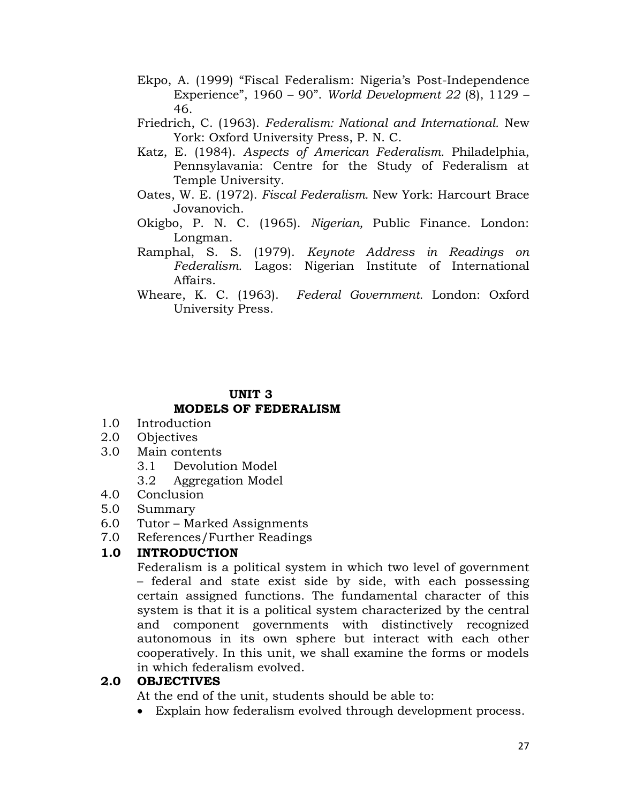- Ekpo, A. (1999) "Fiscal Federalism: Nigeria's Post-Independence Experience", 1960 – 90". *World Development 22* (8), 1129 – 46.
- Friedrich, C. (1963). *Federalism: National and International.* New York: Oxford University Press, P. N. C.
- Katz, E. (1984). *Aspects of American Federalism.* Philadelphia, Pennsylavania: Centre for the Study of Federalism at Temple University.
- Oates, W. E. (1972). *Fiscal Federalism.* New York: Harcourt Brace Jovanovich.
- Okigbo, P. N. C. (1965). *Nigerian,* Public Finance. London: Longman.
- Ramphal, S. S. (1979). *Keynote Address in Readings on Federalism.* Lagos: Nigerian Institute of International Affairs.
- Wheare, K. C. (1963). *Federal Government.* London: Oxford University Press.

# **UNIT 3 MODELS OF FEDERALISM**

- 1.0 Introduction
- 2.0 Objectives
- 3.0 Main contents
	- 3.1 Devolution Model
	- 3.2 Aggregation Model
- 4.0 Conclusion
- 5.0 Summary
- 6.0 Tutor Marked Assignments
- 7.0 References/Further Readings

# **1.0 INTRODUCTION**

Federalism is a political system in which two level of government – federal and state exist side by side, with each possessing certain assigned functions. The fundamental character of this system is that it is a political system characterized by the central and component governments with distinctively recognized autonomous in its own sphere but interact with each other cooperatively. In this unit, we shall examine the forms or models in which federalism evolved.

## **2.0 OBJECTIVES**

At the end of the unit, students should be able to:

Explain how federalism evolved through development process.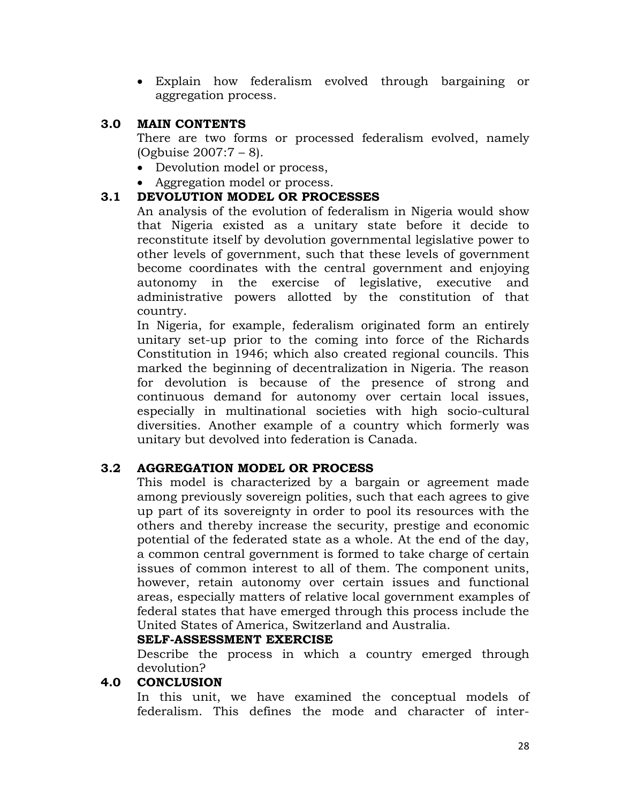Explain how federalism evolved through bargaining or aggregation process.

#### **3.0 MAIN CONTENTS**

There are two forms or processed federalism evolved, namely (Ogbuise 2007:7 – 8).

- Devolution model or process,
- Aggregation model or process.

## **3.1 DEVOLUTION MODEL OR PROCESSES**

An analysis of the evolution of federalism in Nigeria would show that Nigeria existed as a unitary state before it decide to reconstitute itself by devolution governmental legislative power to other levels of government, such that these levels of government become coordinates with the central government and enjoying autonomy in the exercise of legislative, executive and administrative powers allotted by the constitution of that country.

In Nigeria, for example, federalism originated form an entirely unitary set-up prior to the coming into force of the Richards Constitution in 1946; which also created regional councils. This marked the beginning of decentralization in Nigeria. The reason for devolution is because of the presence of strong and continuous demand for autonomy over certain local issues, especially in multinational societies with high socio-cultural diversities. Another example of a country which formerly was unitary but devolved into federation is Canada.

## **3.2 AGGREGATION MODEL OR PROCESS**

This model is characterized by a bargain or agreement made among previously sovereign polities, such that each agrees to give up part of its sovereignty in order to pool its resources with the others and thereby increase the security, prestige and economic potential of the federated state as a whole. At the end of the day, a common central government is formed to take charge of certain issues of common interest to all of them. The component units, however, retain autonomy over certain issues and functional areas, especially matters of relative local government examples of federal states that have emerged through this process include the United States of America, Switzerland and Australia.

#### **SELF-ASSESSMENT EXERCISE**

Describe the process in which a country emerged through devolution?

#### **4.0 CONCLUSION**

In this unit, we have examined the conceptual models of federalism. This defines the mode and character of inter-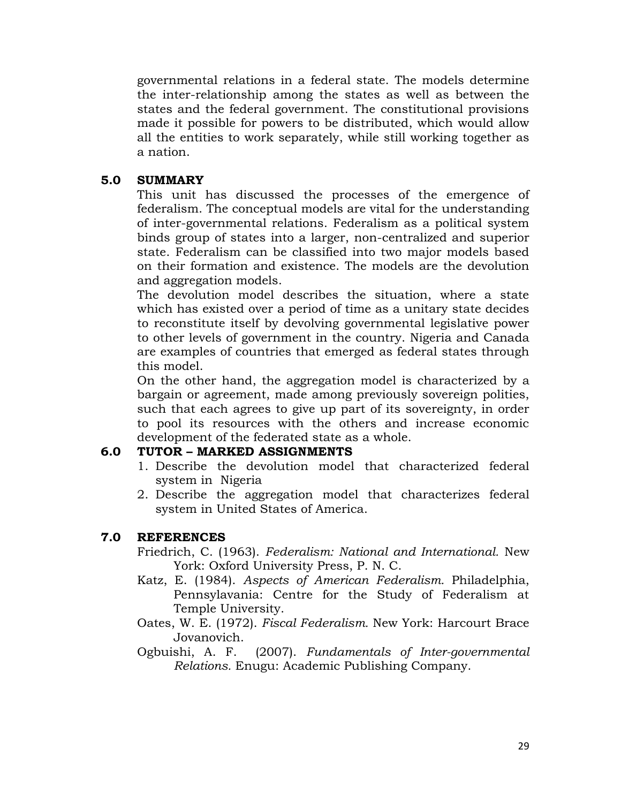governmental relations in a federal state. The models determine the inter-relationship among the states as well as between the states and the federal government. The constitutional provisions made it possible for powers to be distributed, which would allow all the entities to work separately, while still working together as a nation.

#### **5.0 SUMMARY**

This unit has discussed the processes of the emergence of federalism. The conceptual models are vital for the understanding of inter-governmental relations. Federalism as a political system binds group of states into a larger, non-centralized and superior state. Federalism can be classified into two major models based on their formation and existence. The models are the devolution and aggregation models.

The devolution model describes the situation, where a state which has existed over a period of time as a unitary state decides to reconstitute itself by devolving governmental legislative power to other levels of government in the country. Nigeria and Canada are examples of countries that emerged as federal states through this model.

On the other hand, the aggregation model is characterized by a bargain or agreement, made among previously sovereign polities, such that each agrees to give up part of its sovereignty, in order to pool its resources with the others and increase economic development of the federated state as a whole.

## **6.0 TUTOR – MARKED ASSIGNMENTS**

- 1. Describe the devolution model that characterized federal system in Nigeria
- 2. Describe the aggregation model that characterizes federal system in United States of America.

## **7.0 REFERENCES**

Friedrich, C. (1963). *Federalism: National and International.* New York: Oxford University Press, P. N. C.

- Katz, E. (1984). *Aspects of American Federalism.* Philadelphia, Pennsylavania: Centre for the Study of Federalism at Temple University.
- Oates, W. E. (1972). *Fiscal Federalism.* New York: Harcourt Brace Jovanovich.

Ogbuishi, A. F. (2007). *Fundamentals of Inter-governmental Relations.* Enugu: Academic Publishing Company.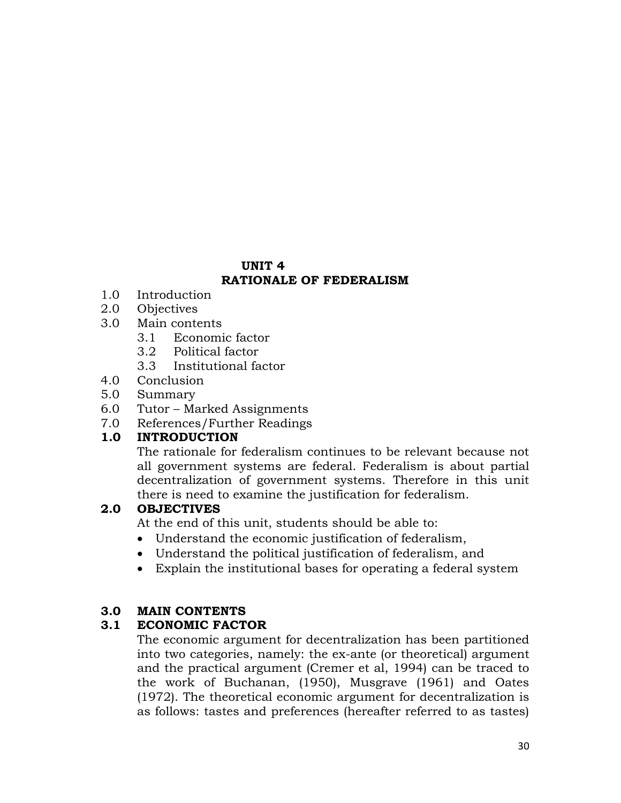## **UNIT 4 RATIONALE OF FEDERALISM**

- 1.0 Introduction
- 2.0 Objectives
- 3.0 Main contents
	- 3.1 Economic factor
	- 3.2 Political factor
	- 3.3 Institutional factor
- 4.0 Conclusion
- 5.0 Summary
- 6.0 Tutor Marked Assignments
- 7.0 References/Further Readings

## **1.0 INTRODUCTION**

The rationale for federalism continues to be relevant because not all government systems are federal. Federalism is about partial decentralization of government systems. Therefore in this unit there is need to examine the justification for federalism.

## **2.0 OBJECTIVES**

At the end of this unit, students should be able to:

- Understand the economic justification of federalism,
- Understand the political justification of federalism, and
- Explain the institutional bases for operating a federal system

#### **3.0 MAIN CONTENTS**

## **3.1 ECONOMIC FACTOR**

The economic argument for decentralization has been partitioned into two categories, namely: the ex-ante (or theoretical) argument and the practical argument (Cremer et al, 1994) can be traced to the work of Buchanan, (1950), Musgrave (1961) and Oates (1972). The theoretical economic argument for decentralization is as follows: tastes and preferences (hereafter referred to as tastes)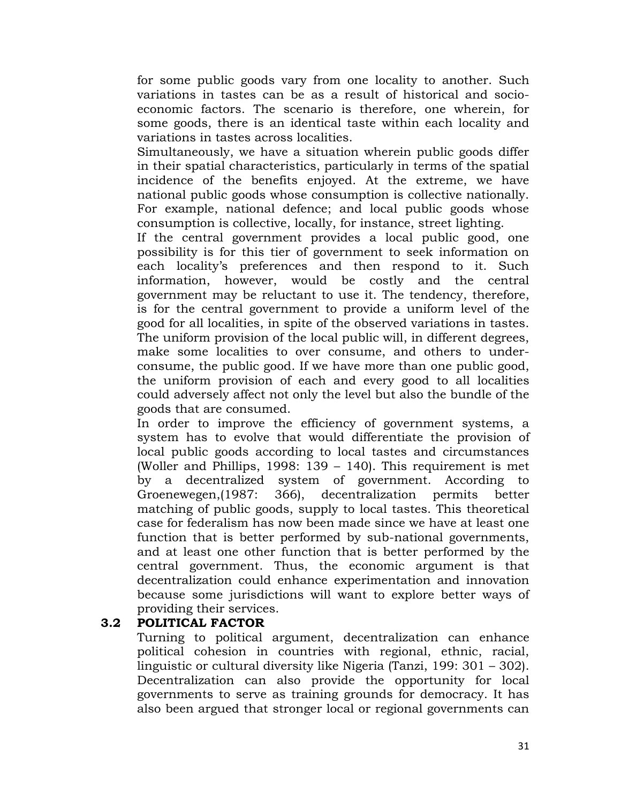for some public goods vary from one locality to another. Such variations in tastes can be as a result of historical and socioeconomic factors. The scenario is therefore, one wherein, for some goods, there is an identical taste within each locality and variations in tastes across localities.

Simultaneously, we have a situation wherein public goods differ in their spatial characteristics, particularly in terms of the spatial incidence of the benefits enjoyed. At the extreme, we have national public goods whose consumption is collective nationally. For example, national defence; and local public goods whose consumption is collective, locally, for instance, street lighting.

If the central government provides a local public good, one possibility is for this tier of government to seek information on each locality's preferences and then respond to it. Such information, however, would be costly and the central government may be reluctant to use it. The tendency, therefore, is for the central government to provide a uniform level of the good for all localities, in spite of the observed variations in tastes. The uniform provision of the local public will, in different degrees, make some localities to over consume, and others to underconsume, the public good. If we have more than one public good, the uniform provision of each and every good to all localities could adversely affect not only the level but also the bundle of the goods that are consumed.

In order to improve the efficiency of government systems, a system has to evolve that would differentiate the provision of local public goods according to local tastes and circumstances (Woller and Phillips, 1998: 139 – 140). This requirement is met by a decentralized system of government. According to Groenewegen,(1987: 366), decentralization permits better matching of public goods, supply to local tastes. This theoretical case for federalism has now been made since we have at least one function that is better performed by sub-national governments, and at least one other function that is better performed by the central government. Thus, the economic argument is that decentralization could enhance experimentation and innovation because some jurisdictions will want to explore better ways of providing their services.

## **3.2 POLITICAL FACTOR**

Turning to political argument, decentralization can enhance political cohesion in countries with regional, ethnic, racial, linguistic or cultural diversity like Nigeria (Tanzi, 199: 301 – 302). Decentralization can also provide the opportunity for local governments to serve as training grounds for democracy. It has also been argued that stronger local or regional governments can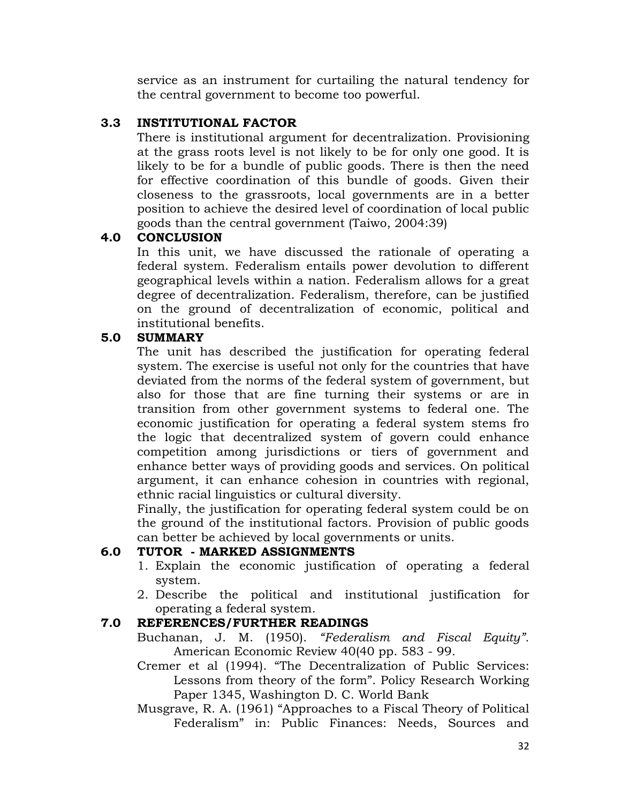service as an instrument for curtailing the natural tendency for the central government to become too powerful.

## **3.3 INSTITUTIONAL FACTOR**

There is institutional argument for decentralization. Provisioning at the grass roots level is not likely to be for only one good. It is likely to be for a bundle of public goods. There is then the need for effective coordination of this bundle of goods. Given their closeness to the grassroots, local governments are in a better position to achieve the desired level of coordination of local public goods than the central government (Taiwo, 2004:39)

# **4.0 CONCLUSION**

In this unit, we have discussed the rationale of operating a federal system. Federalism entails power devolution to different geographical levels within a nation. Federalism allows for a great degree of decentralization. Federalism, therefore, can be justified on the ground of decentralization of economic, political and institutional benefits.

## **5.0 SUMMARY**

The unit has described the justification for operating federal system. The exercise is useful not only for the countries that have deviated from the norms of the federal system of government, but also for those that are fine turning their systems or are in transition from other government systems to federal one. The economic justification for operating a federal system stems fro the logic that decentralized system of govern could enhance competition among jurisdictions or tiers of government and enhance better ways of providing goods and services. On political argument, it can enhance cohesion in countries with regional, ethnic racial linguistics or cultural diversity.

Finally, the justification for operating federal system could be on the ground of the institutional factors. Provision of public goods can better be achieved by local governments or units.

## **6.0 TUTOR - MARKED ASSIGNMENTS**

- 1. Explain the economic justification of operating a federal system.
- 2. Describe the political and institutional justification for operating a federal system.

## **7.0 REFERENCES/FURTHER READINGS**

- Buchanan, J. M. (1950). *"Federalism and Fiscal Equity".* American Economic Review 40(40 pp. 583 - 99.
- Cremer et al (1994). "The Decentralization of Public Services: Lessons from theory of the form". Policy Research Working Paper 1345, Washington D. C. World Bank
- Musgrave, R. A. (1961) "Approaches to a Fiscal Theory of Political Federalism" in: Public Finances: Needs, Sources and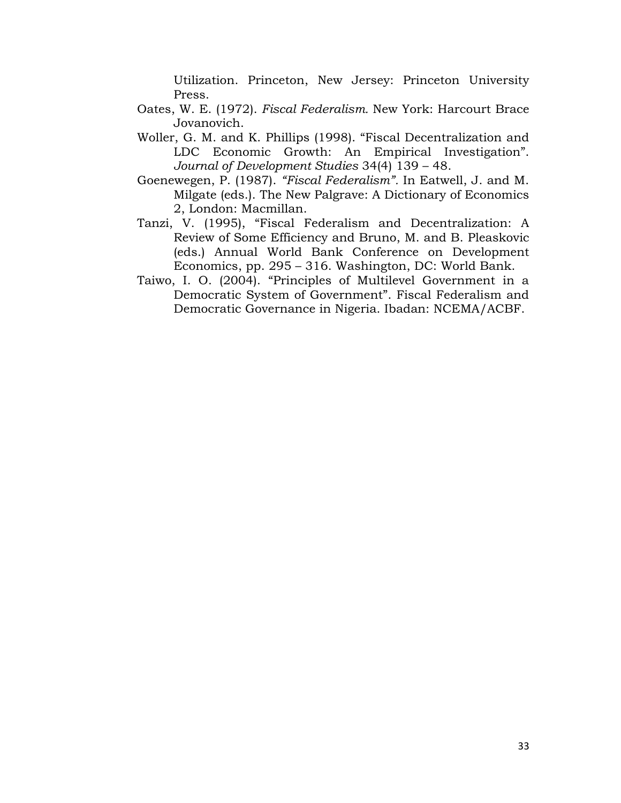Utilization. Princeton, New Jersey: Princeton University Press.

- Oates, W. E. (1972). *Fiscal Federalism.* New York: Harcourt Brace Jovanovich.
- Woller, G. M. and K. Phillips (1998). "Fiscal Decentralization and LDC Economic Growth: An Empirical Investigation". *Journal of Development Studies* 34(4) 139 – 48.
- Goenewegen, P. (1987). *"Fiscal Federalism".* In Eatwell, J. and M. Milgate (eds.). The New Palgrave: A Dictionary of Economics 2, London: Macmillan.
- Tanzi, V. (1995), "Fiscal Federalism and Decentralization: A Review of Some Efficiency and Bruno, M. and B. Pleaskovic (eds.) Annual World Bank Conference on Development Economics, pp. 295 – 316. Washington, DC: World Bank.
- Taiwo, I. O. (2004). "Principles of Multilevel Government in a Democratic System of Government". Fiscal Federalism and Democratic Governance in Nigeria. Ibadan: NCEMA/ACBF.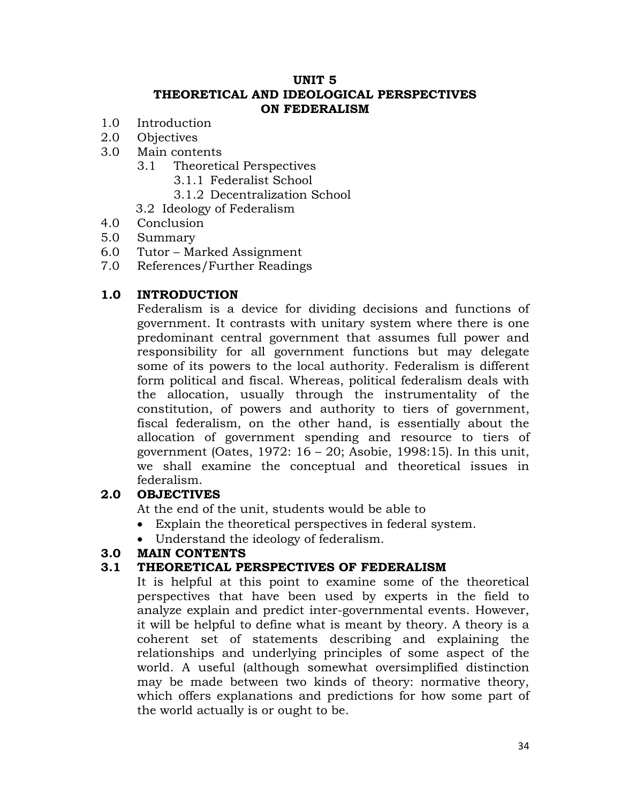#### **UNIT 5 THEORETICAL AND IDEOLOGICAL PERSPECTIVES ON FEDERALISM**

- 1.0 Introduction
- 2.0 Objectives
- 3.0 Main contents
	- 3.1 Theoretical Perspectives
		- 3.1.1 Federalist School
		- 3.1.2 Decentralization School
	- 3.2 Ideology of Federalism
- 4.0 Conclusion
- 5.0 Summary
- 6.0 Tutor Marked Assignment
- 7.0 References/Further Readings

#### **1.0 INTRODUCTION**

Federalism is a device for dividing decisions and functions of government. It contrasts with unitary system where there is one predominant central government that assumes full power and responsibility for all government functions but may delegate some of its powers to the local authority. Federalism is different form political and fiscal. Whereas, political federalism deals with the allocation, usually through the instrumentality of the constitution, of powers and authority to tiers of government, fiscal federalism, on the other hand, is essentially about the allocation of government spending and resource to tiers of government (Oates, 1972: 16 – 20; Asobie, 1998:15). In this unit, we shall examine the conceptual and theoretical issues in federalism.

#### **2.0 OBJECTIVES**

At the end of the unit, students would be able to

- Explain the theoretical perspectives in federal system.
- Understand the ideology of federalism.

#### **3.0 MAIN CONTENTS**

#### **3.1 THEORETICAL PERSPECTIVES OF FEDERALISM**

It is helpful at this point to examine some of the theoretical perspectives that have been used by experts in the field to analyze explain and predict inter-governmental events. However, it will be helpful to define what is meant by theory. A theory is a coherent set of statements describing and explaining the relationships and underlying principles of some aspect of the world. A useful (although somewhat oversimplified distinction may be made between two kinds of theory: normative theory, which offers explanations and predictions for how some part of the world actually is or ought to be.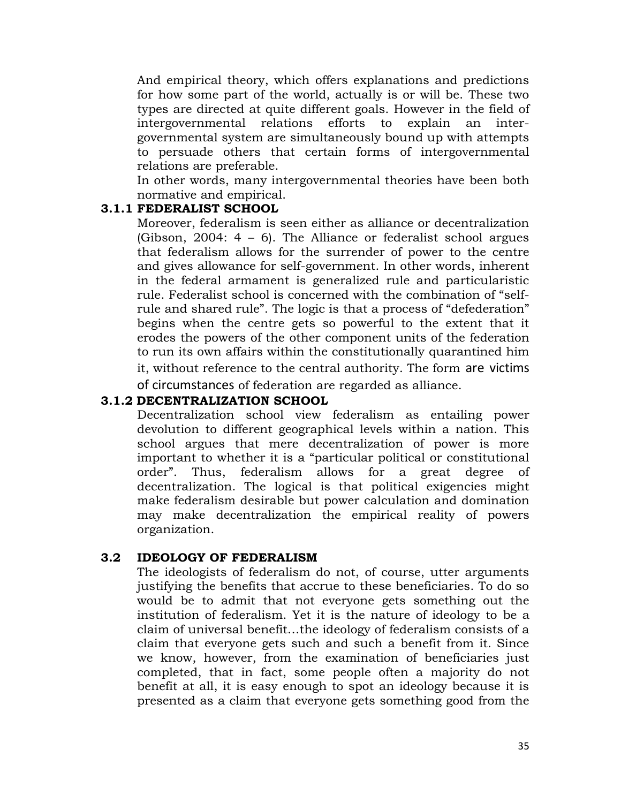And empirical theory, which offers explanations and predictions for how some part of the world, actually is or will be. These two types are directed at quite different goals. However in the field of intergovernmental relations efforts to explain an intergovernmental system are simultaneously bound up with attempts to persuade others that certain forms of intergovernmental relations are preferable.

In other words, many intergovernmental theories have been both normative and empirical.

## **3.1.1 FEDERALIST SCHOOL**

Moreover, federalism is seen either as alliance or decentralization (Gibson, 2004: 4 – 6). The Alliance or federalist school argues that federalism allows for the surrender of power to the centre and gives allowance for self-government. In other words, inherent in the federal armament is generalized rule and particularistic rule. Federalist school is concerned with the combination of "selfrule and shared rule". The logic is that a process of "defederation" begins when the centre gets so powerful to the extent that it erodes the powers of the other component units of the federation to run its own affairs within the constitutionally quarantined him it, without reference to the central authority. The form are victims of circumstances of federation are regarded as alliance.

### **3.1.2 DECENTRALIZATION SCHOOL**

Decentralization school view federalism as entailing power devolution to different geographical levels within a nation. This school argues that mere decentralization of power is more important to whether it is a "particular political or constitutional order". Thus, federalism allows for a great degree of decentralization. The logical is that political exigencies might make federalism desirable but power calculation and domination may make decentralization the empirical reality of powers organization.

## **3.2 IDEOLOGY OF FEDERALISM**

The ideologists of federalism do not, of course, utter arguments justifying the benefits that accrue to these beneficiaries. To do so would be to admit that not everyone gets something out the institution of federalism. Yet it is the nature of ideology to be a claim of universal benefit…the ideology of federalism consists of a claim that everyone gets such and such a benefit from it. Since we know, however, from the examination of beneficiaries just completed, that in fact, some people often a majority do not benefit at all, it is easy enough to spot an ideology because it is presented as a claim that everyone gets something good from the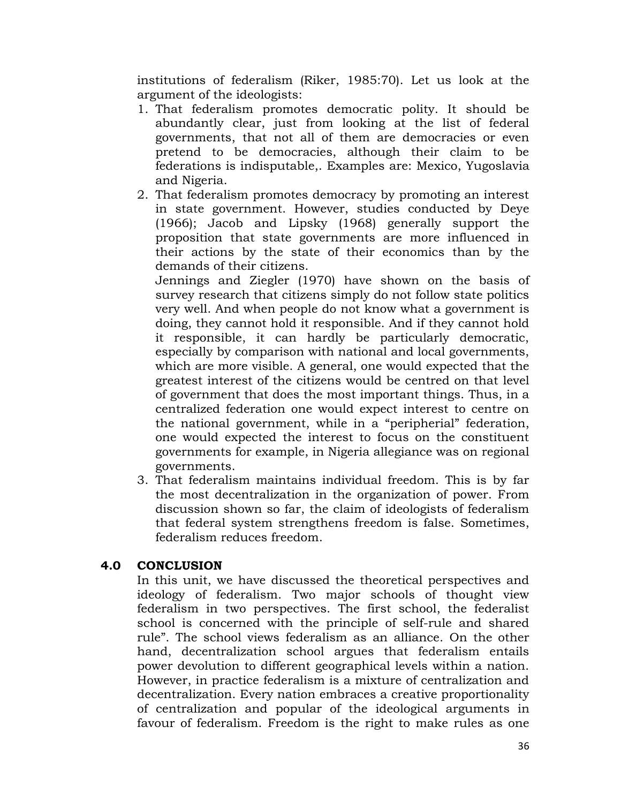institutions of federalism (Riker, 1985:70). Let us look at the argument of the ideologists:

- 1. That federalism promotes democratic polity. It should be abundantly clear, just from looking at the list of federal governments, that not all of them are democracies or even pretend to be democracies, although their claim to be federations is indisputable,. Examples are: Mexico, Yugoslavia and Nigeria.
- 2. That federalism promotes democracy by promoting an interest in state government. However, studies conducted by Deye (1966); Jacob and Lipsky (1968) generally support the proposition that state governments are more influenced in their actions by the state of their economics than by the demands of their citizens.

Jennings and Ziegler (1970) have shown on the basis of survey research that citizens simply do not follow state politics very well. And when people do not know what a government is doing, they cannot hold it responsible. And if they cannot hold it responsible, it can hardly be particularly democratic, especially by comparison with national and local governments, which are more visible. A general, one would expected that the greatest interest of the citizens would be centred on that level of government that does the most important things. Thus, in a centralized federation one would expect interest to centre on the national government, while in a "peripherial" federation, one would expected the interest to focus on the constituent governments for example, in Nigeria allegiance was on regional governments.

3. That federalism maintains individual freedom. This is by far the most decentralization in the organization of power. From discussion shown so far, the claim of ideologists of federalism that federal system strengthens freedom is false. Sometimes, federalism reduces freedom.

## **4.0 CONCLUSION**

In this unit, we have discussed the theoretical perspectives and ideology of federalism. Two major schools of thought view federalism in two perspectives. The first school, the federalist school is concerned with the principle of self-rule and shared rule". The school views federalism as an alliance. On the other hand, decentralization school argues that federalism entails power devolution to different geographical levels within a nation. However, in practice federalism is a mixture of centralization and decentralization. Every nation embraces a creative proportionality of centralization and popular of the ideological arguments in favour of federalism. Freedom is the right to make rules as one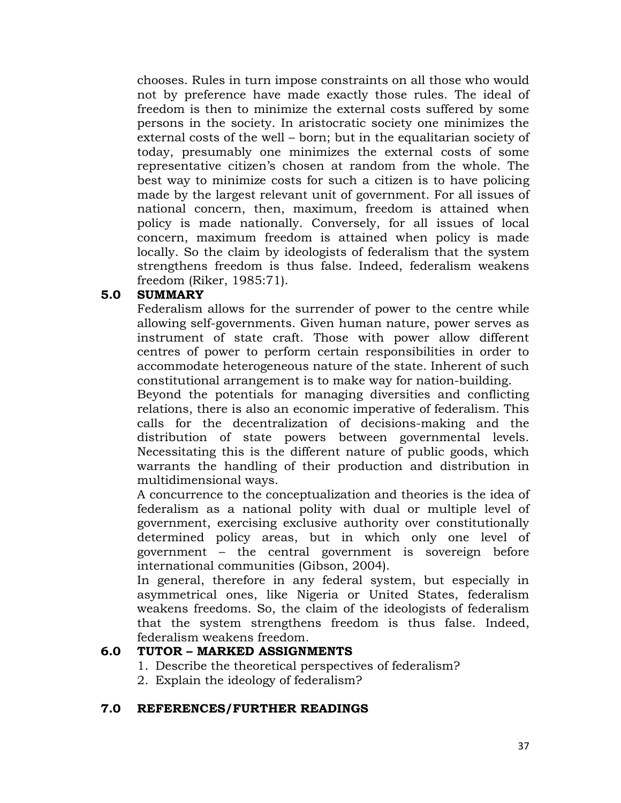chooses. Rules in turn impose constraints on all those who would not by preference have made exactly those rules. The ideal of freedom is then to minimize the external costs suffered by some persons in the society. In aristocratic society one minimizes the external costs of the well – born; but in the equalitarian society of today, presumably one minimizes the external costs of some representative citizen's chosen at random from the whole. The best way to minimize costs for such a citizen is to have policing made by the largest relevant unit of government. For all issues of national concern, then, maximum, freedom is attained when policy is made nationally. Conversely, for all issues of local concern, maximum freedom is attained when policy is made locally. So the claim by ideologists of federalism that the system strengthens freedom is thus false. Indeed, federalism weakens freedom (Riker, 1985:71).

#### **5.0 SUMMARY**

Federalism allows for the surrender of power to the centre while allowing self-governments. Given human nature, power serves as instrument of state craft. Those with power allow different centres of power to perform certain responsibilities in order to accommodate heterogeneous nature of the state. Inherent of such constitutional arrangement is to make way for nation-building.

Beyond the potentials for managing diversities and conflicting relations, there is also an economic imperative of federalism. This calls for the decentralization of decisions-making and the distribution of state powers between governmental levels. Necessitating this is the different nature of public goods, which warrants the handling of their production and distribution in multidimensional ways.

A concurrence to the conceptualization and theories is the idea of federalism as a national polity with dual or multiple level of government, exercising exclusive authority over constitutionally determined policy areas, but in which only one level of government – the central government is sovereign before international communities (Gibson, 2004).

In general, therefore in any federal system, but especially in asymmetrical ones, like Nigeria or United States, federalism weakens freedoms. So, the claim of the ideologists of federalism that the system strengthens freedom is thus false. Indeed, federalism weakens freedom.

### **6.0 TUTOR – MARKED ASSIGNMENTS**

- 1. Describe the theoretical perspectives of federalism?
- 2. Explain the ideology of federalism?

### **7.0 REFERENCES/FURTHER READINGS**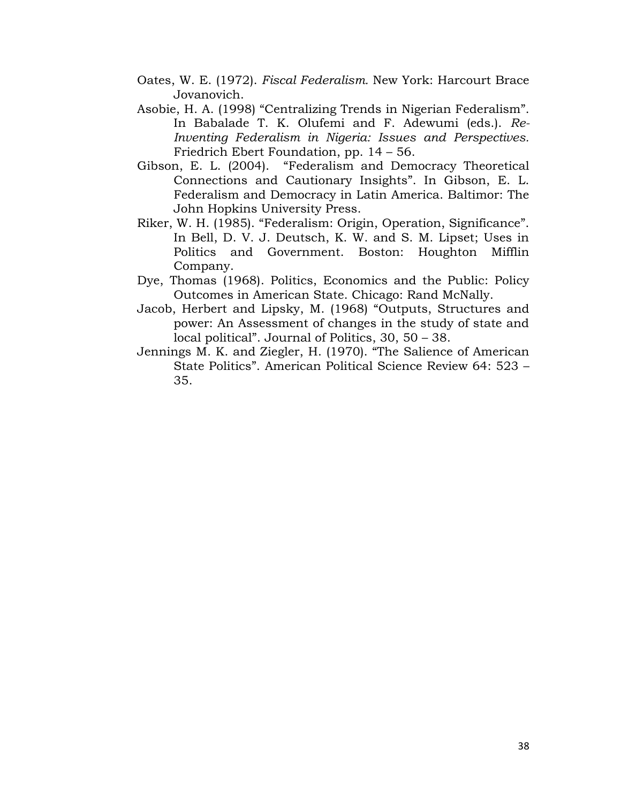- Oates, W. E. (1972). *Fiscal Federalism.* New York: Harcourt Brace Jovanovich.
- Asobie, H. A. (1998) "Centralizing Trends in Nigerian Federalism". In Babalade T. K. Olufemi and F. Adewumi (eds.). *Re-Inventing Federalism in Nigeria: Issues and Perspectives.*  Friedrich Ebert Foundation, pp. 14 – 56.
- Gibson, E. L. (2004). "Federalism and Democracy Theoretical Connections and Cautionary Insights". In Gibson, E. L. Federalism and Democracy in Latin America. Baltimor: The John Hopkins University Press.
- Riker, W. H. (1985). "Federalism: Origin, Operation, Significance". In Bell, D. V. J. Deutsch, K. W. and S. M. Lipset; Uses in Politics and Government. Boston: Houghton Mifflin Company.
- Dye, Thomas (1968). Politics, Economics and the Public: Policy Outcomes in American State. Chicago: Rand McNally.
- Jacob, Herbert and Lipsky, M. (1968) "Outputs, Structures and power: An Assessment of changes in the study of state and local political". Journal of Politics, 30, 50 – 38.
- Jennings M. K. and Ziegler, H. (1970). "The Salience of American State Politics". American Political Science Review 64: 523 – 35.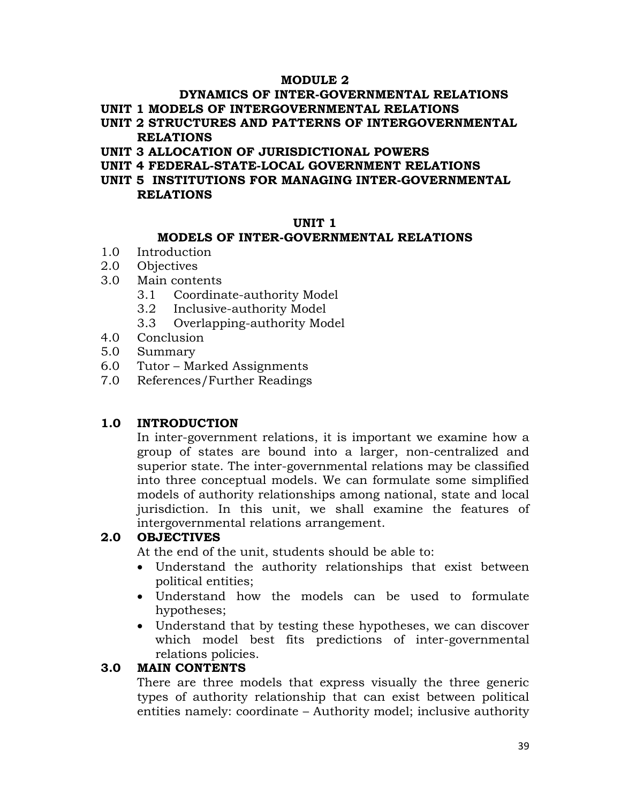#### **MODULE 2**

# **DYNAMICS OF INTER-GOVERNMENTAL RELATIONS**

- **UNIT 1 MODELS OF INTERGOVERNMENTAL RELATIONS**
- **UNIT 2 STRUCTURES AND PATTERNS OF INTERGOVERNMENTAL RELATIONS**
- **UNIT 3 ALLOCATION OF JURISDICTIONAL POWERS**
- **UNIT 4 FEDERAL-STATE-LOCAL GOVERNMENT RELATIONS**
- **UNIT 5 INSTITUTIONS FOR MANAGING INTER-GOVERNMENTAL RELATIONS**

#### **UNIT 1**

#### **MODELS OF INTER-GOVERNMENTAL RELATIONS**

- 1.0 Introduction
- 2.0 Objectives
- 3.0 Main contents
	- 3.1 Coordinate-authority Model
	- 3.2 Inclusive-authority Model
	- 3.3 Overlapping-authority Model
- 4.0 Conclusion
- 5.0 Summary
- 6.0 Tutor Marked Assignments
- 7.0 References/Further Readings

### **1.0 INTRODUCTION**

In inter-government relations, it is important we examine how a group of states are bound into a larger, non-centralized and superior state. The inter-governmental relations may be classified into three conceptual models. We can formulate some simplified models of authority relationships among national, state and local jurisdiction. In this unit, we shall examine the features of intergovernmental relations arrangement.

### **2.0 OBJECTIVES**

At the end of the unit, students should be able to:

- Understand the authority relationships that exist between political entities;
- Understand how the models can be used to formulate hypotheses;
- Understand that by testing these hypotheses, we can discover which model best fits predictions of inter-governmental relations policies.

#### **3.0 MAIN CONTENTS**

There are three models that express visually the three generic types of authority relationship that can exist between political entities namely: coordinate – Authority model; inclusive authority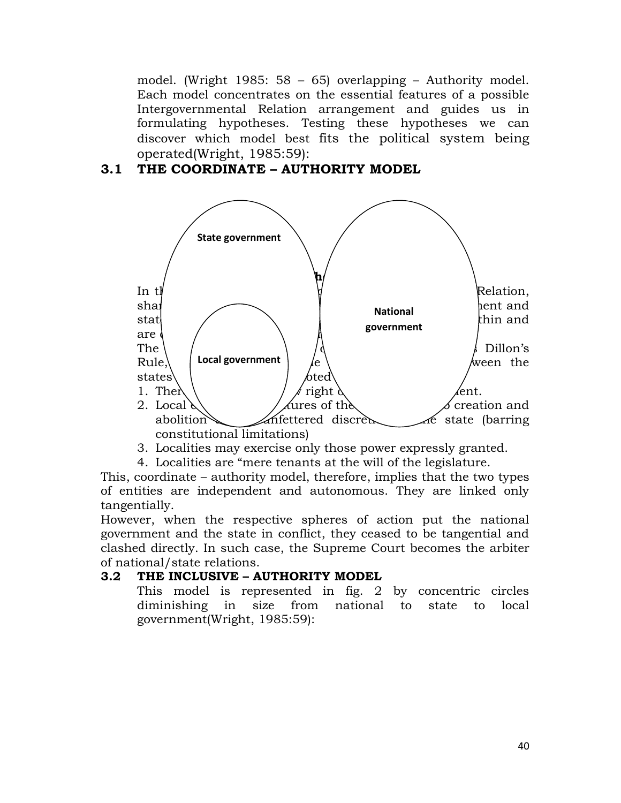model. (Wright 1985: 58 – 65) overlapping – Authority model. Each model concentrates on the essential features of a possible Intergovernmental Relation arrangement and guides us in formulating hypotheses. Testing these hypotheses we can discover which model best fits the political system being operated(Wright, 1985:59):

# **3.1 THE COORDINATE – AUTHORITY MODEL**



- 3. Localities may exercise only those power expressly granted.
- 4. Localities are "mere tenants at the will of the legislature.

This, coordinate – authority model, therefore, implies that the two types of entities are independent and autonomous. They are linked only tangentially.

However, when the respective spheres of action put the national government and the state in conflict, they ceased to be tangential and clashed directly. In such case, the Supreme Court becomes the arbiter of national/state relations.

### **3.2 THE INCLUSIVE – AUTHORITY MODEL**

This model is represented in fig. 2 by concentric circles diminishing in size from national to state to local government(Wright, 1985:59):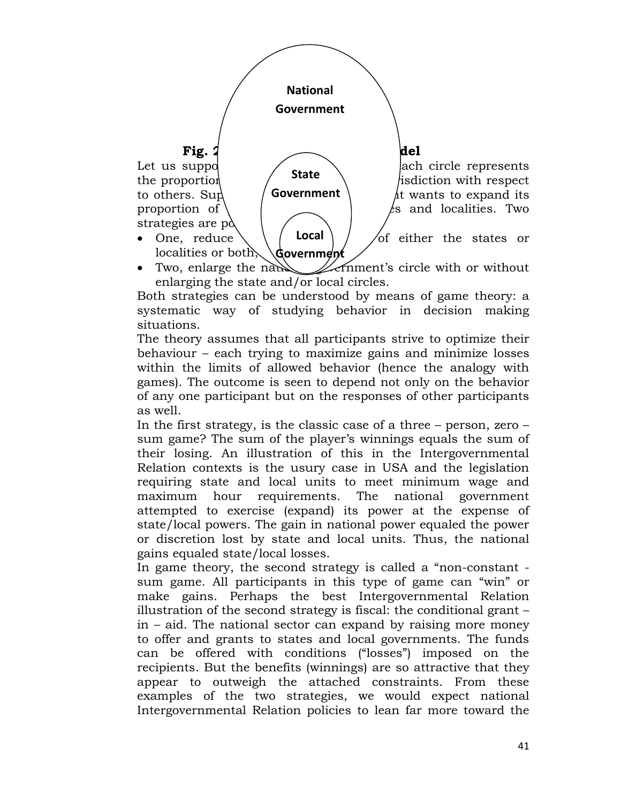

• Two, enlarge the national *definitional* circle with or without enlarging the state and/or local circles.

Both strategies can be understood by means of game theory: a systematic way of studying behavior in decision making situations.

The theory assumes that all participants strive to optimize their behaviour – each trying to maximize gains and minimize losses within the limits of allowed behavior (hence the analogy with games). The outcome is seen to depend not only on the behavior of any one participant but on the responses of other participants as well.

In the first strategy, is the classic case of a three  $-$  person, zero  $$ sum game? The sum of the player's winnings equals the sum of their losing. An illustration of this in the Intergovernmental Relation contexts is the usury case in USA and the legislation requiring state and local units to meet minimum wage and maximum hour requirements. The national government attempted to exercise (expand) its power at the expense of state/local powers. The gain in national power equaled the power or discretion lost by state and local units. Thus, the national gains equaled state/local losses.

In game theory, the second strategy is called a "non-constant sum game. All participants in this type of game can "win" or make gains. Perhaps the best Intergovernmental Relation illustration of the second strategy is fiscal: the conditional grant – in – aid. The national sector can expand by raising more money to offer and grants to states and local governments. The funds can be offered with conditions ("losses") imposed on the recipients. But the benefits (winnings) are so attractive that they appear to outweigh the attached constraints. From these examples of the two strategies, we would expect national Intergovernmental Relation policies to lean far more toward the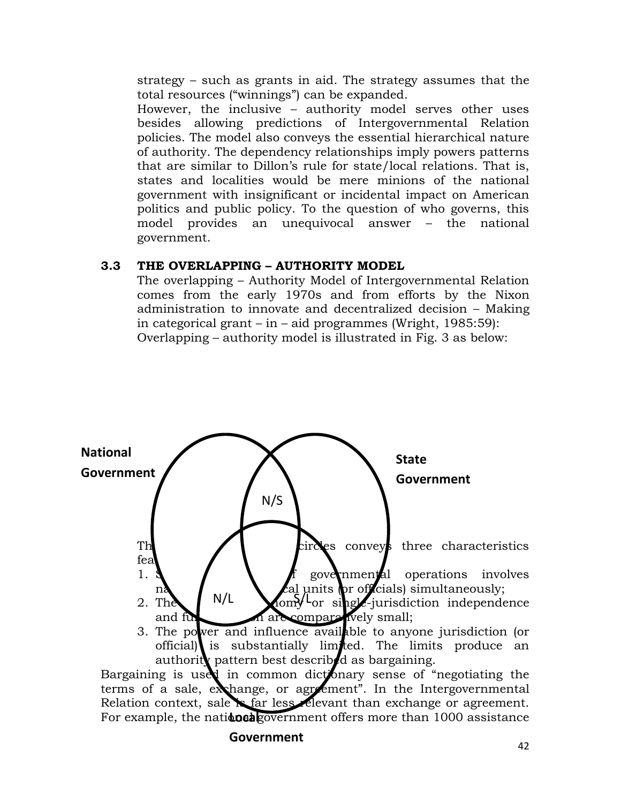strategy – such as grants in aid. The strategy assumes that the total resources ("winnings") can be expanded.

However, the inclusive – authority model serves other uses besides allowing predictions of Intergovernmental Relation policies. The model also conveys the essential hierarchical nature of authority. The dependency relationships imply powers patterns that are similar to Dillon's rule for state/local relations. That is, states and localities would be mere minions of the national government with insignificant or incidental impact on American politics and public policy. To the question of who governs, this model provides an unequivocal answer – the national government.

### **3.3 THE OVERLAPPING – AUTHORITY MODEL**

The overlapping – Authority Model of Intergovernmental Relation comes from the early 1970s and from efforts by the Nixon administration to innovate and decentralized decision – Making in categorical grant – in – aid programmes (Wright, 1985:59): Overlapping – authority model is illustrated in Fig. 3 as below:



official) is substantially limited. The limits produce an authorit**y** pattern best described as bargaining.

Bargaining is used in common dictionary sense of "negotiating the terms of a sale, exchange, or agreement". In the Intergovernmental Relation context, sale is far less relevant than exchange or agreement. For example, the nati**doeal** government offers more than 1000 assistance

#### **Government**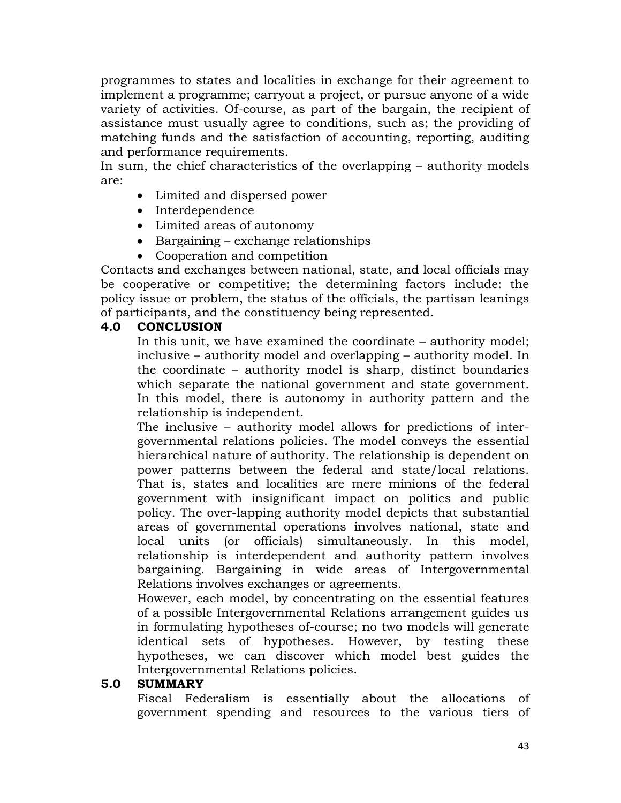programmes to states and localities in exchange for their agreement to implement a programme; carryout a project, or pursue anyone of a wide variety of activities. Of-course, as part of the bargain, the recipient of assistance must usually agree to conditions, such as; the providing of matching funds and the satisfaction of accounting, reporting, auditing and performance requirements.

In sum, the chief characteristics of the overlapping – authority models are:

- Limited and dispersed power
- Interdependence
- Limited areas of autonomy
- Bargaining exchange relationships
- Cooperation and competition

Contacts and exchanges between national, state, and local officials may be cooperative or competitive; the determining factors include: the policy issue or problem, the status of the officials, the partisan leanings of participants, and the constituency being represented.

### **4.0 CONCLUSION**

In this unit, we have examined the coordinate – authority model; inclusive – authority model and overlapping – authority model. In the coordinate – authority model is sharp, distinct boundaries which separate the national government and state government. In this model, there is autonomy in authority pattern and the relationship is independent.

The inclusive – authority model allows for predictions of intergovernmental relations policies. The model conveys the essential hierarchical nature of authority. The relationship is dependent on power patterns between the federal and state/local relations. That is, states and localities are mere minions of the federal government with insignificant impact on politics and public policy. The over-lapping authority model depicts that substantial areas of governmental operations involves national, state and local units (or officials) simultaneously. In this model, relationship is interdependent and authority pattern involves bargaining. Bargaining in wide areas of Intergovernmental Relations involves exchanges or agreements.

However, each model, by concentrating on the essential features of a possible Intergovernmental Relations arrangement guides us in formulating hypotheses of-course; no two models will generate identical sets of hypotheses. However, by testing these hypotheses, we can discover which model best guides the Intergovernmental Relations policies.

#### **5.0 SUMMARY**

Fiscal Federalism is essentially about the allocations of government spending and resources to the various tiers of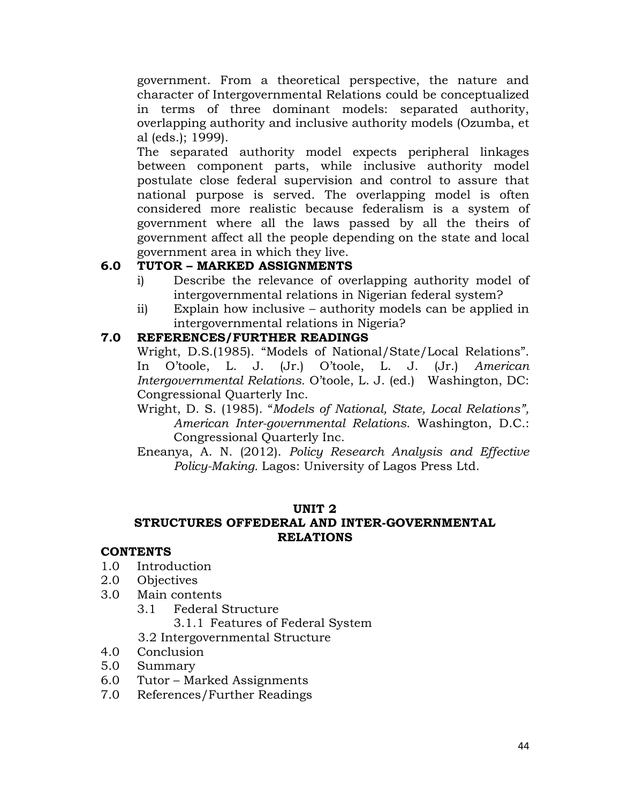government. From a theoretical perspective, the nature and character of Intergovernmental Relations could be conceptualized in terms of three dominant models: separated authority, overlapping authority and inclusive authority models (Ozumba, et al (eds.); 1999).

The separated authority model expects peripheral linkages between component parts, while inclusive authority model postulate close federal supervision and control to assure that national purpose is served. The overlapping model is often considered more realistic because federalism is a system of government where all the laws passed by all the theirs of government affect all the people depending on the state and local government area in which they live.

## **6.0 TUTOR – MARKED ASSIGNMENTS**

- i) Describe the relevance of overlapping authority model of intergovernmental relations in Nigerian federal system?
- ii) Explain how inclusive authority models can be applied in intergovernmental relations in Nigeria?

## **7.0 REFERENCES/FURTHER READINGS**

Wright, D.S.(1985). "Models of National/State/Local Relations". In O'toole, L. J. (Jr.) O'toole, L. J. (Jr.) *American Intergovernmental Relations.* O'toole, L. J. (ed.) Washington, DC: Congressional Quarterly Inc.

Wright, D. S. (1985). "*Models of National, State, Local Relations", American Inter-governmental Relations.* Washington, D.C.: Congressional Quarterly Inc.

Eneanya, A. N. (2012). *Policy Research Analysis and Effective Policy-Making.* Lagos: University of Lagos Press Ltd.

## **UNIT 2**

## **STRUCTURES OFFEDERAL AND INTER-GOVERNMENTAL RELATIONS**

## **CONTENTS**

- 1.0 Introduction
- 2.0 Objectives
- 3.0 Main contents
	- 3.1 Federal Structure

3.1.1 Features of Federal System

3.2 Intergovernmental Structure

- 4.0 Conclusion
- 5.0 Summary
- 6.0 Tutor Marked Assignments
- 7.0 References/Further Readings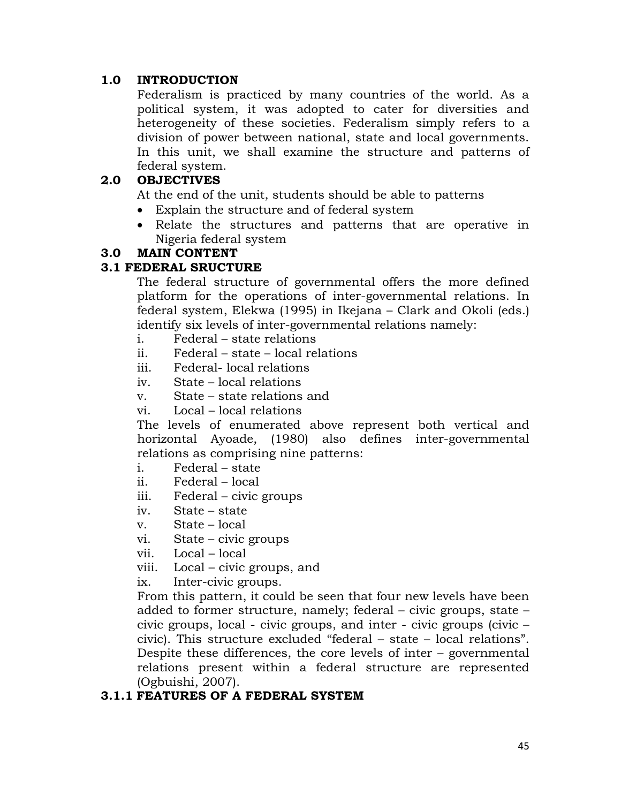### **1.0 INTRODUCTION**

Federalism is practiced by many countries of the world. As a political system, it was adopted to cater for diversities and heterogeneity of these societies. Federalism simply refers to a division of power between national, state and local governments. In this unit, we shall examine the structure and patterns of federal system.

### **2.0 OBJECTIVES**

At the end of the unit, students should be able to patterns

- Explain the structure and of federal system
- Relate the structures and patterns that are operative in Nigeria federal system

#### **3.0 MAIN CONTENT**

#### **3.1 FEDERAL SRUCTURE**

The federal structure of governmental offers the more defined platform for the operations of inter-governmental relations. In federal system, Elekwa (1995) in Ikejana – Clark and Okoli (eds.) identify six levels of inter-governmental relations namely:

- i. Federal state relations
- ii. Federal state local relations
- iii. Federal- local relations
- iv. State local relations
- v. State state relations and
- vi. Local local relations

The levels of enumerated above represent both vertical and horizontal Ayoade, (1980) also defines inter-governmental relations as comprising nine patterns:

- i. Federal state
- ii. Federal local
- iii. Federal civic groups
- iv. State state
- v. State local
- vi. State civic groups
- vii. Local local
- viii. Local civic groups, and
- ix. Inter-civic groups.

From this pattern, it could be seen that four new levels have been added to former structure, namely; federal – civic groups, state – civic groups, local - civic groups, and inter - civic groups (civic – civic). This structure excluded "federal – state – local relations". Despite these differences, the core levels of inter – governmental relations present within a federal structure are represented (Ogbuishi, 2007).

### **3.1.1 FEATURES OF A FEDERAL SYSTEM**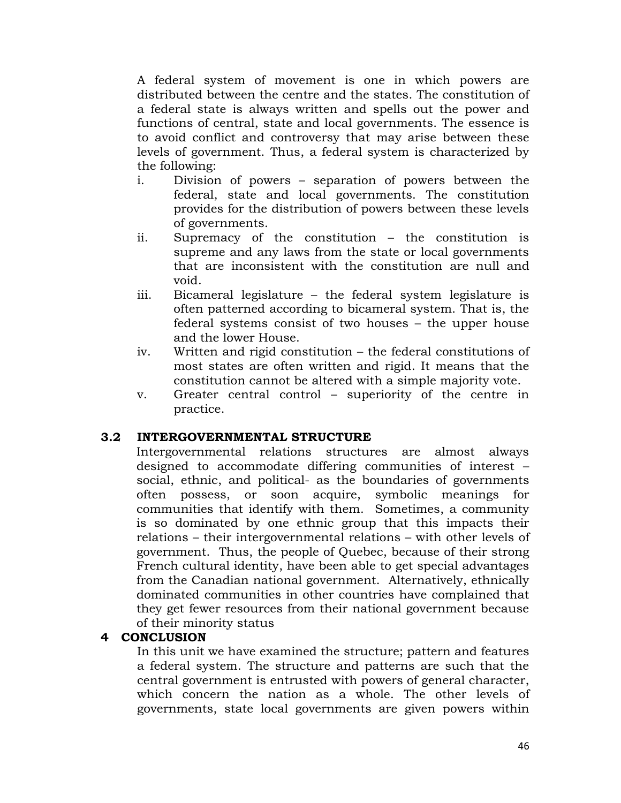A federal system of movement is one in which powers are distributed between the centre and the states. The constitution of a federal state is always written and spells out the power and functions of central, state and local governments. The essence is to avoid conflict and controversy that may arise between these levels of government. Thus, a federal system is characterized by the following:

- i. Division of powers separation of powers between the federal, state and local governments. The constitution provides for the distribution of powers between these levels of governments.
- ii. Supremacy of the constitution the constitution is supreme and any laws from the state or local governments that are inconsistent with the constitution are null and void.
- iii. Bicameral legislature the federal system legislature is often patterned according to bicameral system. That is, the federal systems consist of two houses – the upper house and the lower House.
- iv. Written and rigid constitution the federal constitutions of most states are often written and rigid. It means that the constitution cannot be altered with a simple majority vote.
- v. Greater central control superiority of the centre in practice.

### **3.2 INTERGOVERNMENTAL STRUCTURE**

Intergovernmental relations structures are almost always designed to accommodate differing communities of interest – social, ethnic, and political- as the boundaries of governments often possess, or soon acquire, symbolic meanings for communities that identify with them. Sometimes, a community is so dominated by one ethnic group that this impacts their relations – their intergovernmental relations – with other levels of government. Thus, the people of Quebec, because of their strong French cultural identity, have been able to get special advantages from the Canadian national government. Alternatively, ethnically dominated communities in other countries have complained that they get fewer resources from their national government because of their minority status

### **4 CONCLUSION**

In this unit we have examined the structure; pattern and features a federal system. The structure and patterns are such that the central government is entrusted with powers of general character, which concern the nation as a whole. The other levels of governments, state local governments are given powers within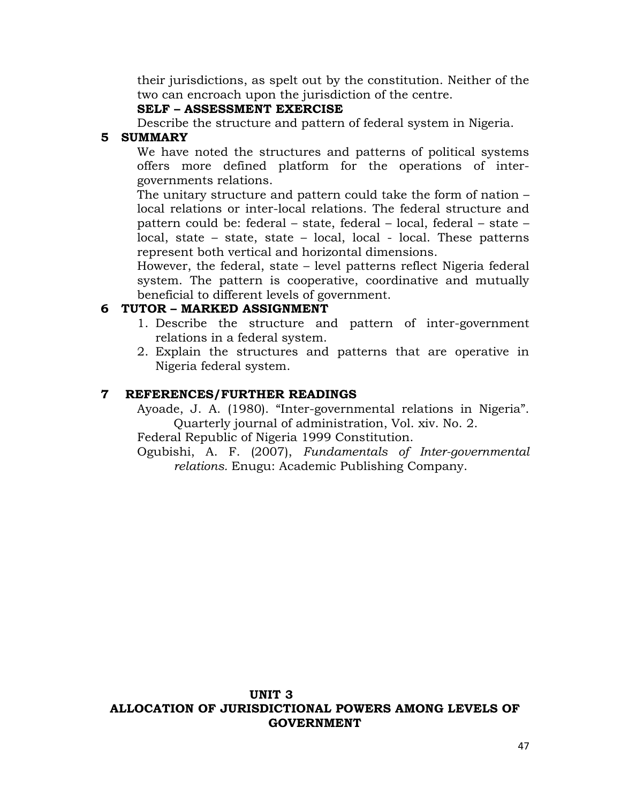their jurisdictions, as spelt out by the constitution. Neither of the two can encroach upon the jurisdiction of the centre.

### **SELF – ASSESSMENT EXERCISE**

Describe the structure and pattern of federal system in Nigeria.

### **5 SUMMARY**

We have noted the structures and patterns of political systems offers more defined platform for the operations of intergovernments relations.

The unitary structure and pattern could take the form of nation – local relations or inter-local relations. The federal structure and pattern could be: federal – state, federal – local, federal – state – local, state – state, state – local, local - local. These patterns represent both vertical and horizontal dimensions.

However, the federal, state – level patterns reflect Nigeria federal system. The pattern is cooperative, coordinative and mutually beneficial to different levels of government.

## **6 TUTOR – MARKED ASSIGNMENT**

- 1. Describe the structure and pattern of inter-government relations in a federal system.
- 2. Explain the structures and patterns that are operative in Nigeria federal system.

## **7 REFERENCES/FURTHER READINGS**

Ayoade, J. A. (1980). "Inter-governmental relations in Nigeria". Quarterly journal of administration, Vol. xiv. No. 2.

Federal Republic of Nigeria 1999 Constitution.

Ogubishi, A. F. (2007), *Fundamentals of Inter-governmental relations.* Enugu: Academic Publishing Company.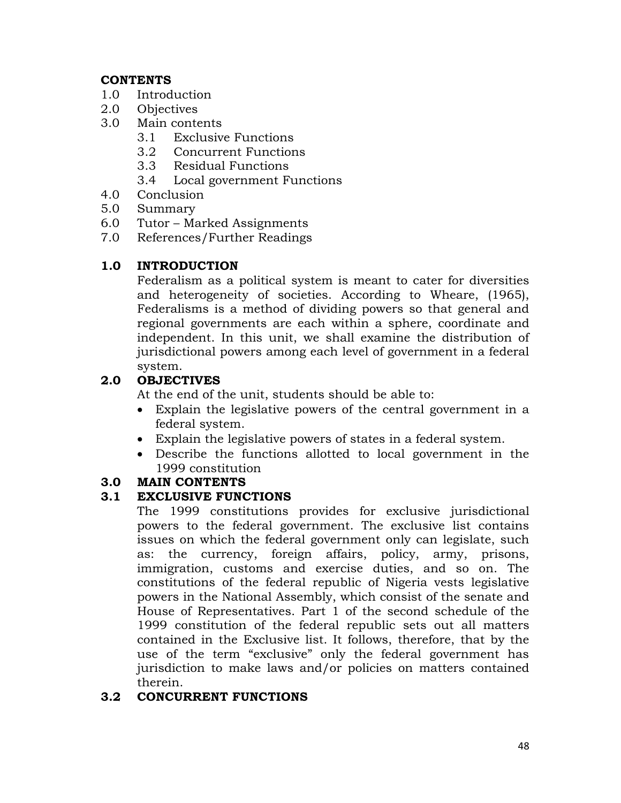## **CONTENTS**

- 1.0 Introduction
- 2.0 Objectives
- 3.0 Main contents
	- 3.1 Exclusive Functions
	- 3.2 Concurrent Functions
	- 3.3 Residual Functions
	- 3.4 Local government Functions
- 4.0 Conclusion
- 5.0 Summary
- 6.0 Tutor Marked Assignments
- 7.0 References/Further Readings

# **1.0 INTRODUCTION**

Federalism as a political system is meant to cater for diversities and heterogeneity of societies. According to Wheare, (1965), Federalisms is a method of dividing powers so that general and regional governments are each within a sphere, coordinate and independent. In this unit, we shall examine the distribution of jurisdictional powers among each level of government in a federal system.

# **2.0 OBJECTIVES**

At the end of the unit, students should be able to:

- Explain the legislative powers of the central government in a federal system.
- Explain the legislative powers of states in a federal system.
- Describe the functions allotted to local government in the 1999 constitution

# **3.0 MAIN CONTENTS**

# **3.1 EXCLUSIVE FUNCTIONS**

The 1999 constitutions provides for exclusive jurisdictional powers to the federal government. The exclusive list contains issues on which the federal government only can legislate, such as: the currency, foreign affairs, policy, army, prisons, immigration, customs and exercise duties, and so on. The constitutions of the federal republic of Nigeria vests legislative powers in the National Assembly, which consist of the senate and House of Representatives. Part 1 of the second schedule of the 1999 constitution of the federal republic sets out all matters contained in the Exclusive list. It follows, therefore, that by the use of the term "exclusive" only the federal government has jurisdiction to make laws and/or policies on matters contained therein.

# **3.2 CONCURRENT FUNCTIONS**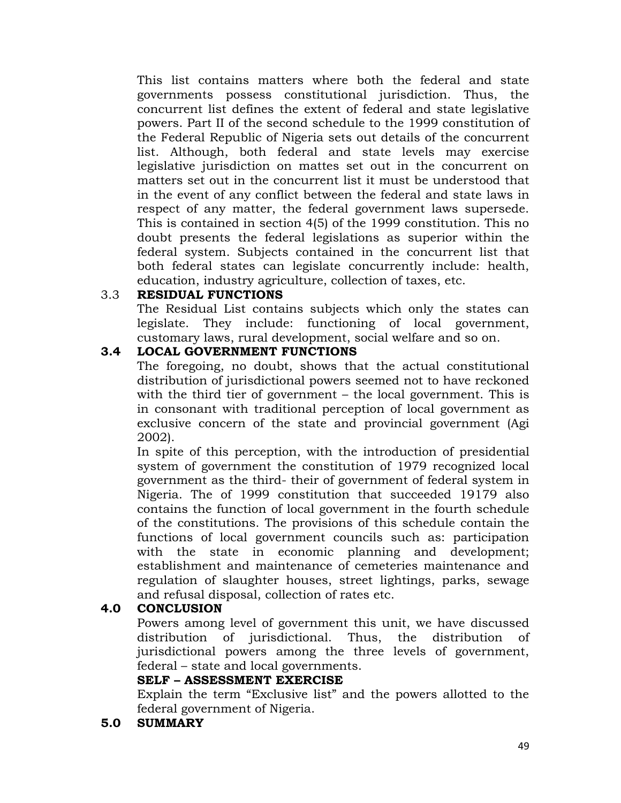This list contains matters where both the federal and state governments possess constitutional jurisdiction. Thus, the concurrent list defines the extent of federal and state legislative powers. Part II of the second schedule to the 1999 constitution of the Federal Republic of Nigeria sets out details of the concurrent list. Although, both federal and state levels may exercise legislative jurisdiction on mattes set out in the concurrent on matters set out in the concurrent list it must be understood that in the event of any conflict between the federal and state laws in respect of any matter, the federal government laws supersede. This is contained in section 4(5) of the 1999 constitution. This no doubt presents the federal legislations as superior within the federal system. Subjects contained in the concurrent list that both federal states can legislate concurrently include: health, education, industry agriculture, collection of taxes, etc.

### 3.3 **RESIDUAL FUNCTIONS**

The Residual List contains subjects which only the states can legislate. They include: functioning of local government, customary laws, rural development, social welfare and so on.

### **3.4 LOCAL GOVERNMENT FUNCTIONS**

The foregoing, no doubt, shows that the actual constitutional distribution of jurisdictional powers seemed not to have reckoned with the third tier of government – the local government. This is in consonant with traditional perception of local government as exclusive concern of the state and provincial government (Agi 2002).

In spite of this perception, with the introduction of presidential system of government the constitution of 1979 recognized local government as the third- their of government of federal system in Nigeria. The of 1999 constitution that succeeded 19179 also contains the function of local government in the fourth schedule of the constitutions. The provisions of this schedule contain the functions of local government councils such as: participation with the state in economic planning and development; establishment and maintenance of cemeteries maintenance and regulation of slaughter houses, street lightings, parks, sewage and refusal disposal, collection of rates etc.

## **4.0 CONCLUSION**

Powers among level of government this unit, we have discussed distribution of jurisdictional. Thus, the distribution of jurisdictional powers among the three levels of government, federal – state and local governments.

### **SELF – ASSESSMENT EXERCISE**

Explain the term "Exclusive list" and the powers allotted to the federal government of Nigeria.

### **5.0 SUMMARY**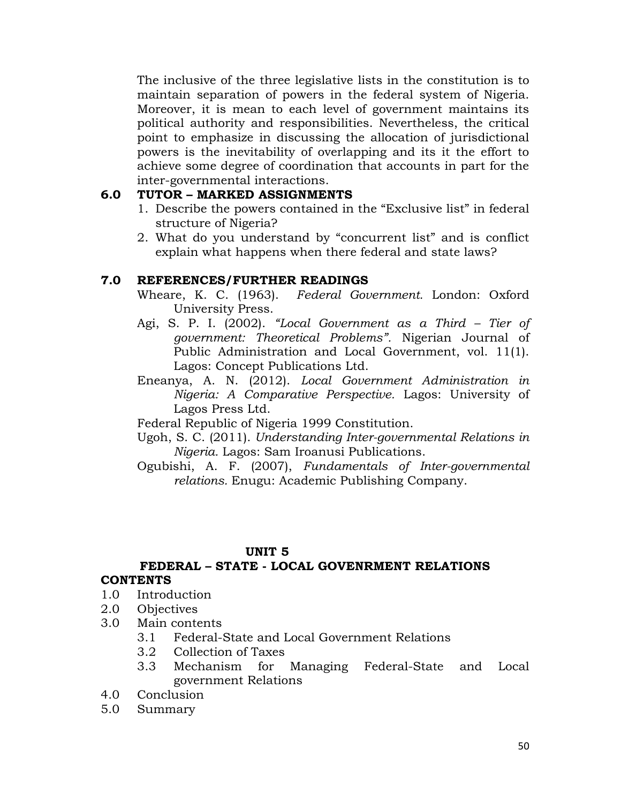The inclusive of the three legislative lists in the constitution is to maintain separation of powers in the federal system of Nigeria. Moreover, it is mean to each level of government maintains its political authority and responsibilities. Nevertheless, the critical point to emphasize in discussing the allocation of jurisdictional powers is the inevitability of overlapping and its it the effort to achieve some degree of coordination that accounts in part for the inter-governmental interactions.

## **6.0 TUTOR – MARKED ASSIGNMENTS**

- 1. Describe the powers contained in the "Exclusive list" in federal structure of Nigeria?
- 2. What do you understand by "concurrent list" and is conflict explain what happens when there federal and state laws?

## **7.0 REFERENCES/FURTHER READINGS**

- Wheare, K. C. (1963). *Federal Government.* London: Oxford University Press.
- Agi, S. P. I. (2002). *"Local Government as a Third – Tier of government: Theoretical Problems".* Nigerian Journal of Public Administration and Local Government, vol. 11(1). Lagos: Concept Publications Ltd.
- Eneanya, A. N. (2012). *Local Government Administration in Nigeria: A Comparative Perspective.* Lagos: University of Lagos Press Ltd.

Federal Republic of Nigeria 1999 Constitution.

- Ugoh, S. C. (2011). *Understanding Inter-governmental Relations in Nigeria.* Lagos: Sam Iroanusi Publications.
- Ogubishi, A. F. (2007), *Fundamentals of Inter-governmental relations.* Enugu: Academic Publishing Company.

## **UNIT 5**

### **FEDERAL – STATE - LOCAL GOVENRMENT RELATIONS CONTENTS**

### 1.0 Introduction

- 2.0 Objectives
- 3.0 Main contents
	- 3.1 Federal-State and Local Government Relations
	- 3.2 Collection of Taxes
	- 3.3 Mechanism for Managing Federal-State and Local government Relations
- 4.0 Conclusion
- 5.0 Summary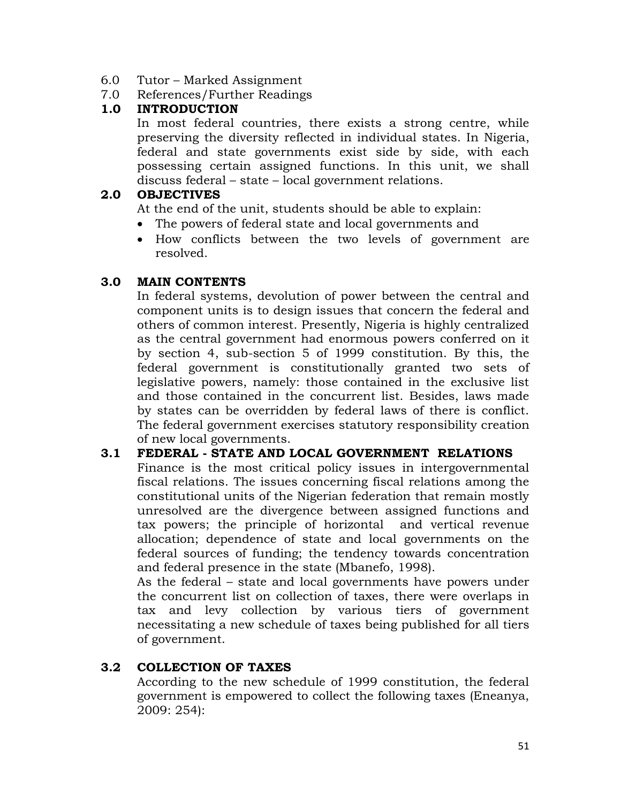- 6.0 Tutor Marked Assignment
- 7.0 References/Further Readings

### **1.0 INTRODUCTION**

In most federal countries, there exists a strong centre, while preserving the diversity reflected in individual states. In Nigeria, federal and state governments exist side by side, with each possessing certain assigned functions. In this unit, we shall discuss federal – state – local government relations.

### **2.0 OBJECTIVES**

At the end of the unit, students should be able to explain:

- The powers of federal state and local governments and
- How conflicts between the two levels of government are resolved.

## **3.0 MAIN CONTENTS**

In federal systems, devolution of power between the central and component units is to design issues that concern the federal and others of common interest. Presently, Nigeria is highly centralized as the central government had enormous powers conferred on it by section 4, sub-section 5 of 1999 constitution. By this, the federal government is constitutionally granted two sets of legislative powers, namely: those contained in the exclusive list and those contained in the concurrent list. Besides, laws made by states can be overridden by federal laws of there is conflict. The federal government exercises statutory responsibility creation of new local governments.

## **3.1 FEDERAL - STATE AND LOCAL GOVERNMENT RELATIONS**

Finance is the most critical policy issues in intergovernmental fiscal relations. The issues concerning fiscal relations among the constitutional units of the Nigerian federation that remain mostly unresolved are the divergence between assigned functions and tax powers; the principle of horizontal and vertical revenue allocation; dependence of state and local governments on the federal sources of funding; the tendency towards concentration and federal presence in the state (Mbanefo, 1998).

As the federal – state and local governments have powers under the concurrent list on collection of taxes, there were overlaps in tax and levy collection by various tiers of government necessitating a new schedule of taxes being published for all tiers of government.

## **3.2 COLLECTION OF TAXES**

According to the new schedule of 1999 constitution, the federal government is empowered to collect the following taxes (Eneanya, 2009: 254):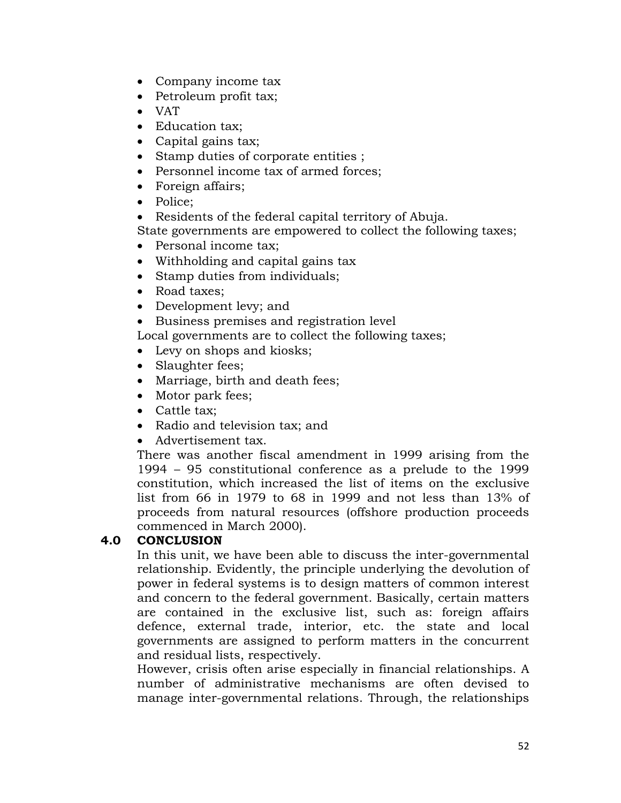- Company income tax
- Petroleum profit tax;
- VAT
- Education tax;
- Capital gains tax;
- Stamp duties of corporate entities ;
- Personnel income tax of armed forces;
- Foreign affairs;
- Police;
- Residents of the federal capital territory of Abuja.

State governments are empowered to collect the following taxes;

- Personal income tax;
- Withholding and capital gains tax
- Stamp duties from individuals;
- Road taxes:
- Development levy; and
- Business premises and registration level

Local governments are to collect the following taxes;

- Levy on shops and kiosks;
- Slaughter fees;
- Marriage, birth and death fees;
- Motor park fees;
- Cattle tax:
- Radio and television tax; and
- Advertisement tax.

There was another fiscal amendment in 1999 arising from the 1994 – 95 constitutional conference as a prelude to the 1999 constitution, which increased the list of items on the exclusive list from 66 in 1979 to 68 in 1999 and not less than 13% of proceeds from natural resources (offshore production proceeds commenced in March 2000).

## **4.0 CONCLUSION**

In this unit, we have been able to discuss the inter-governmental relationship. Evidently, the principle underlying the devolution of power in federal systems is to design matters of common interest and concern to the federal government. Basically, certain matters are contained in the exclusive list, such as: foreign affairs defence, external trade, interior, etc. the state and local governments are assigned to perform matters in the concurrent and residual lists, respectively.

However, crisis often arise especially in financial relationships. A number of administrative mechanisms are often devised to manage inter-governmental relations. Through, the relationships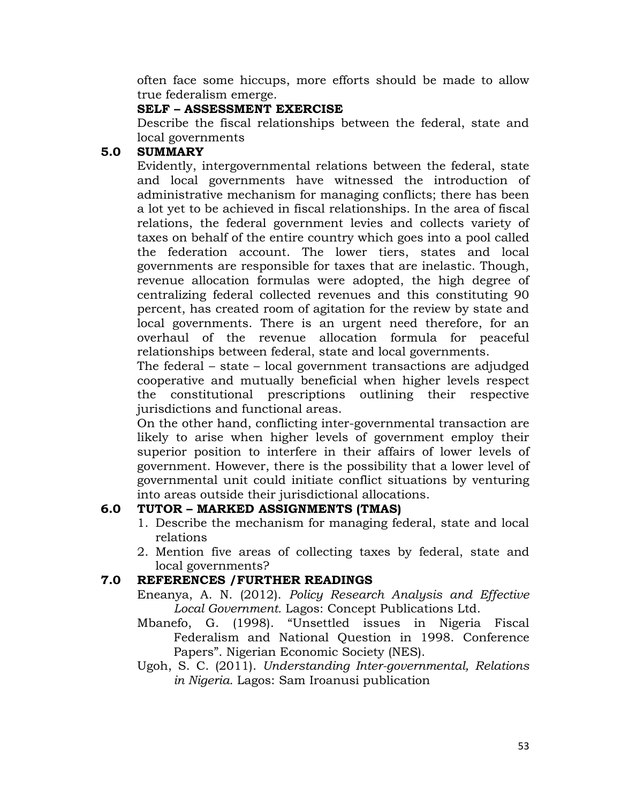often face some hiccups, more efforts should be made to allow true federalism emerge.

### **SELF – ASSESSMENT EXERCISE**

Describe the fiscal relationships between the federal, state and local governments

### **5.0 SUMMARY**

Evidently, intergovernmental relations between the federal, state and local governments have witnessed the introduction of administrative mechanism for managing conflicts; there has been a lot yet to be achieved in fiscal relationships. In the area of fiscal relations, the federal government levies and collects variety of taxes on behalf of the entire country which goes into a pool called the federation account. The lower tiers, states and local governments are responsible for taxes that are inelastic. Though, revenue allocation formulas were adopted, the high degree of centralizing federal collected revenues and this constituting 90 percent, has created room of agitation for the review by state and local governments. There is an urgent need therefore, for an overhaul of the revenue allocation formula for peaceful relationships between federal, state and local governments.

The federal – state – local government transactions are adjudged cooperative and mutually beneficial when higher levels respect the constitutional prescriptions outlining their respective jurisdictions and functional areas.

On the other hand, conflicting inter-governmental transaction are likely to arise when higher levels of government employ their superior position to interfere in their affairs of lower levels of government. However, there is the possibility that a lower level of governmental unit could initiate conflict situations by venturing into areas outside their jurisdictional allocations.

## **6.0 TUTOR – MARKED ASSIGNMENTS (TMAS)**

- 1. Describe the mechanism for managing federal, state and local relations
- 2. Mention five areas of collecting taxes by federal, state and local governments?

## **7.0 REFERENCES /FURTHER READINGS**

- Eneanya, A. N. (2012). *Policy Research Analysis and Effective Local Government.* Lagos: Concept Publications Ltd.
- Mbanefo, G. (1998). "Unsettled issues in Nigeria Fiscal Federalism and National Question in 1998. Conference Papers". Nigerian Economic Society (NES).
- Ugoh, S. C. (2011). *Understanding Inter-governmental, Relations in Nigeria.* Lagos: Sam Iroanusi publication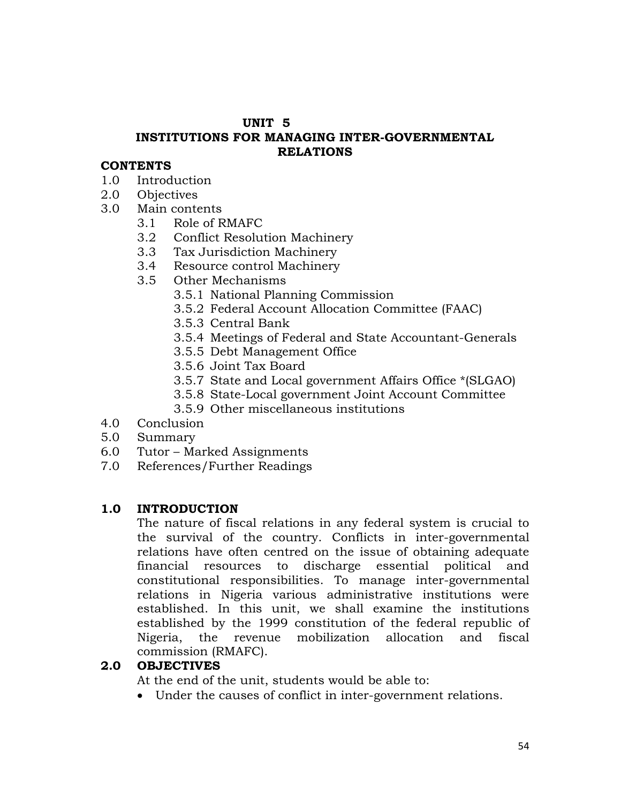#### **UNIT 5**

## **INSTITUTIONS FOR MANAGING INTER-GOVERNMENTAL RELATIONS**

#### **CONTENTS**

- 1.0 Introduction
- 2.0 Objectives
- 3.0 Main contents
	- 3.1 Role of RMAFC
	- 3.2 Conflict Resolution Machinery
	- 3.3 Tax Jurisdiction Machinery
	- 3.4 Resource control Machinery
	- 3.5 Other Mechanisms
		- 3.5.1 National Planning Commission
		- 3.5.2 Federal Account Allocation Committee (FAAC)
		- 3.5.3 Central Bank
		- 3.5.4 Meetings of Federal and State Accountant-Generals
		- 3.5.5 Debt Management Office
		- 3.5.6 Joint Tax Board
		- 3.5.7 State and Local government Affairs Office \*(SLGAO)
		- 3.5.8 State-Local government Joint Account Committee
		- 3.5.9 Other miscellaneous institutions
- 4.0 Conclusion
- 5.0 Summary
- 6.0 Tutor Marked Assignments
- 7.0 References/Further Readings

### **1.0 INTRODUCTION**

The nature of fiscal relations in any federal system is crucial to the survival of the country. Conflicts in inter-governmental relations have often centred on the issue of obtaining adequate financial resources to discharge essential political and constitutional responsibilities. To manage inter-governmental relations in Nigeria various administrative institutions were established. In this unit, we shall examine the institutions established by the 1999 constitution of the federal republic of Nigeria, the revenue mobilization allocation and fiscal commission (RMAFC).

### **2.0 OBJECTIVES**

At the end of the unit, students would be able to:

Under the causes of conflict in inter-government relations.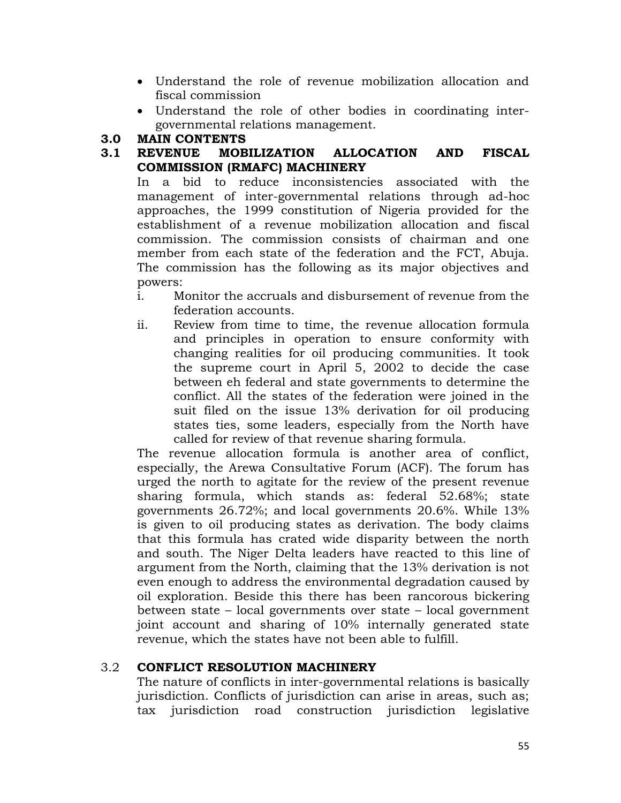- Understand the role of revenue mobilization allocation and fiscal commission
- Understand the role of other bodies in coordinating intergovernmental relations management.

### **3.0 MAIN CONTENTS**

## **3.1 REVENUE MOBILIZATION ALLOCATION AND FISCAL COMMISSION (RMAFC) MACHINERY**

In a bid to reduce inconsistencies associated with the management of inter-governmental relations through ad-hoc approaches, the 1999 constitution of Nigeria provided for the establishment of a revenue mobilization allocation and fiscal commission. The commission consists of chairman and one member from each state of the federation and the FCT, Abuja. The commission has the following as its major objectives and powers:

- i. Monitor the accruals and disbursement of revenue from the federation accounts.
- ii. Review from time to time, the revenue allocation formula and principles in operation to ensure conformity with changing realities for oil producing communities. It took the supreme court in April 5, 2002 to decide the case between eh federal and state governments to determine the conflict. All the states of the federation were joined in the suit filed on the issue 13% derivation for oil producing states ties, some leaders, especially from the North have called for review of that revenue sharing formula.

The revenue allocation formula is another area of conflict, especially, the Arewa Consultative Forum (ACF). The forum has urged the north to agitate for the review of the present revenue sharing formula, which stands as: federal 52.68%; state governments 26.72%; and local governments 20.6%. While 13% is given to oil producing states as derivation. The body claims that this formula has crated wide disparity between the north and south. The Niger Delta leaders have reacted to this line of argument from the North, claiming that the 13% derivation is not even enough to address the environmental degradation caused by oil exploration. Beside this there has been rancorous bickering between state – local governments over state – local government joint account and sharing of 10% internally generated state revenue, which the states have not been able to fulfill.

### 3.2 **CONFLICT RESOLUTION MACHINERY**

The nature of conflicts in inter-governmental relations is basically jurisdiction. Conflicts of jurisdiction can arise in areas, such as; tax jurisdiction road construction jurisdiction legislative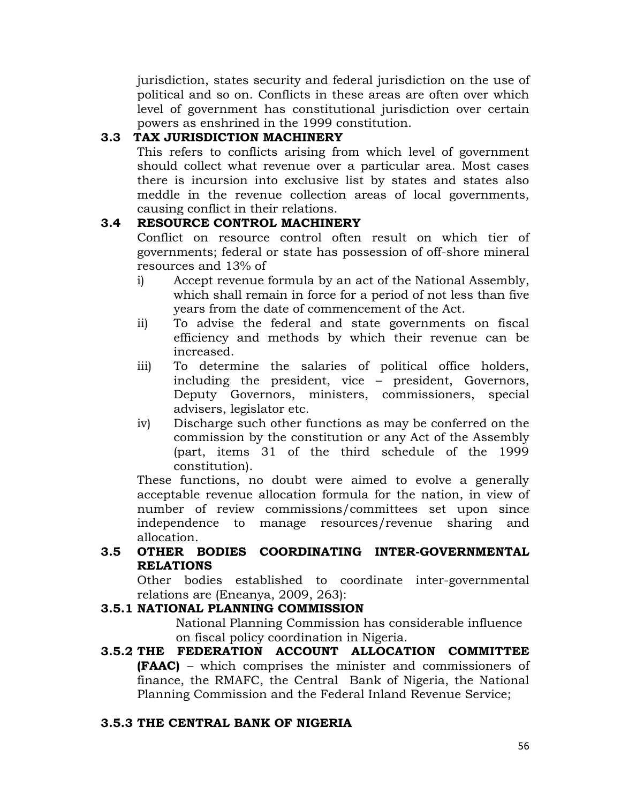jurisdiction, states security and federal jurisdiction on the use of political and so on. Conflicts in these areas are often over which level of government has constitutional jurisdiction over certain powers as enshrined in the 1999 constitution.

## **3.3 TAX JURISDICTION MACHINERY**

This refers to conflicts arising from which level of government should collect what revenue over a particular area. Most cases there is incursion into exclusive list by states and states also meddle in the revenue collection areas of local governments, causing conflict in their relations.

## **3.4 RESOURCE CONTROL MACHINERY**

Conflict on resource control often result on which tier of governments; federal or state has possession of off-shore mineral resources and 13% of

- i) Accept revenue formula by an act of the National Assembly, which shall remain in force for a period of not less than five years from the date of commencement of the Act.
- ii) To advise the federal and state governments on fiscal efficiency and methods by which their revenue can be increased.
- iii) To determine the salaries of political office holders, including the president, vice – president, Governors, Deputy Governors, ministers, commissioners, special advisers, legislator etc.
- iv) Discharge such other functions as may be conferred on the commission by the constitution or any Act of the Assembly (part, items 31 of the third schedule of the 1999 constitution).

These functions, no doubt were aimed to evolve a generally acceptable revenue allocation formula for the nation, in view of number of review commissions/committees set upon since independence to manage resources/revenue sharing and allocation.

## **3.5 OTHER BODIES COORDINATING INTER-GOVERNMENTAL RELATIONS**

Other bodies established to coordinate inter-governmental relations are (Eneanya, 2009, 263):

## **3.5.1 NATIONAL PLANNING COMMISSION**

National Planning Commission has considerable influence on fiscal policy coordination in Nigeria.

**3.5.2 THE FEDERATION ACCOUNT ALLOCATION COMMITTEE (FAAC)** – which comprises the minister and commissioners of finance, the RMAFC, the Central Bank of Nigeria, the National Planning Commission and the Federal Inland Revenue Service;

## **3.5.3 THE CENTRAL BANK OF NIGERIA**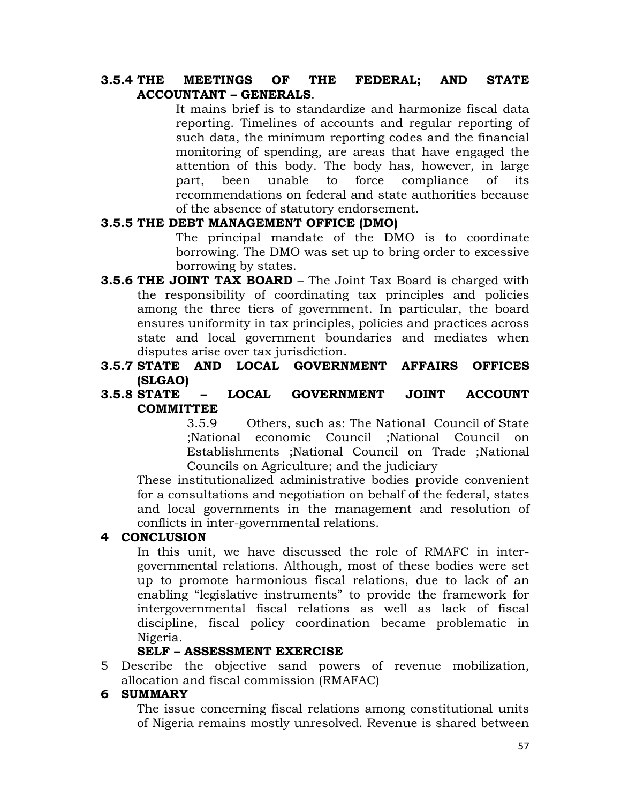### **3.5.4 THE MEETINGS OF THE FEDERAL; AND STATE ACCOUNTANT – GENERALS**.

It mains brief is to standardize and harmonize fiscal data reporting. Timelines of accounts and regular reporting of such data, the minimum reporting codes and the financial monitoring of spending, are areas that have engaged the attention of this body. The body has, however, in large part, been unable to force compliance of its recommendations on federal and state authorities because of the absence of statutory endorsement.

### **3.5.5 THE DEBT MANAGEMENT OFFICE (DMO)**

The principal mandate of the DMO is to coordinate borrowing. The DMO was set up to bring order to excessive borrowing by states.

- **3.5.6 THE JOINT TAX BOARD** The Joint Tax Board is charged with the responsibility of coordinating tax principles and policies among the three tiers of government. In particular, the board ensures uniformity in tax principles, policies and practices across state and local government boundaries and mediates when disputes arise over tax jurisdiction.
- **3.5.7 STATE AND LOCAL GOVERNMENT AFFAIRS OFFICES (SLGAO)**
- **3.5.8 STATE – LOCAL GOVERNMENT JOINT ACCOUNT COMMITTEE**

3.5.9 Others, such as: The National Council of State ;National economic Council ;National Council on Establishments ;National Council on Trade ;National Councils on Agriculture; and the judiciary

These institutionalized administrative bodies provide convenient for a consultations and negotiation on behalf of the federal, states and local governments in the management and resolution of conflicts in inter-governmental relations.

### **4 CONCLUSION**

In this unit, we have discussed the role of RMAFC in intergovernmental relations. Although, most of these bodies were set up to promote harmonious fiscal relations, due to lack of an enabling "legislative instruments" to provide the framework for intergovernmental fiscal relations as well as lack of fiscal discipline, fiscal policy coordination became problematic in Nigeria.

### **SELF – ASSESSMENT EXERCISE**

5 Describe the objective sand powers of revenue mobilization, allocation and fiscal commission (RMAFAC)

#### **6 SUMMARY**

The issue concerning fiscal relations among constitutional units of Nigeria remains mostly unresolved. Revenue is shared between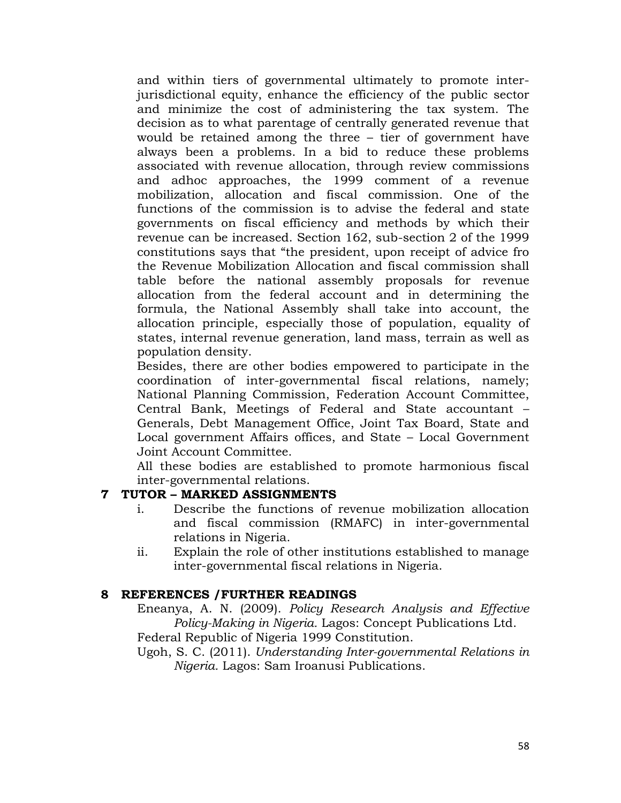and within tiers of governmental ultimately to promote interjurisdictional equity, enhance the efficiency of the public sector and minimize the cost of administering the tax system. The decision as to what parentage of centrally generated revenue that would be retained among the three – tier of government have always been a problems. In a bid to reduce these problems associated with revenue allocation, through review commissions and adhoc approaches, the 1999 comment of a revenue mobilization, allocation and fiscal commission. One of the functions of the commission is to advise the federal and state governments on fiscal efficiency and methods by which their revenue can be increased. Section 162, sub-section 2 of the 1999 constitutions says that "the president, upon receipt of advice fro the Revenue Mobilization Allocation and fiscal commission shall table before the national assembly proposals for revenue allocation from the federal account and in determining the formula, the National Assembly shall take into account, the allocation principle, especially those of population, equality of states, internal revenue generation, land mass, terrain as well as population density.

Besides, there are other bodies empowered to participate in the coordination of inter-governmental fiscal relations, namely; National Planning Commission, Federation Account Committee, Central Bank, Meetings of Federal and State accountant – Generals, Debt Management Office, Joint Tax Board, State and Local government Affairs offices, and State – Local Government Joint Account Committee.

All these bodies are established to promote harmonious fiscal inter-governmental relations.

### **7 TUTOR – MARKED ASSIGNMENTS**

- i. Describe the functions of revenue mobilization allocation and fiscal commission (RMAFC) in inter-governmental relations in Nigeria.
- ii. Explain the role of other institutions established to manage inter-governmental fiscal relations in Nigeria.

### **8 REFERENCES /FURTHER READINGS**

Eneanya, A. N. (2009). *Policy Research Analysis and Effective Policy-Making in Nigeria.* Lagos: Concept Publications Ltd. Federal Republic of Nigeria 1999 Constitution.

Ugoh, S. C. (2011). *Understanding Inter-governmental Relations in Nigeria.* Lagos: Sam Iroanusi Publications.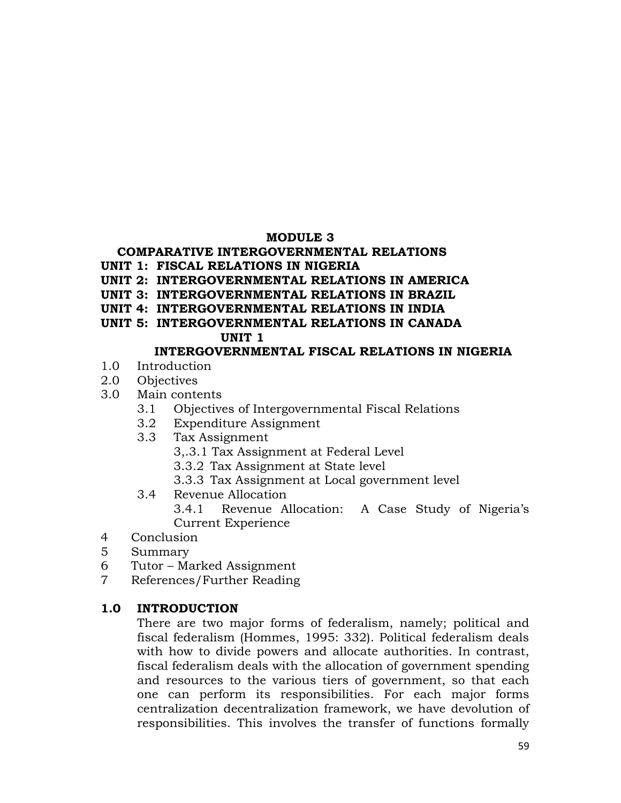### **MODULE 3**

## **COMPARATIVE INTERGOVERNMENTAL RELATIONS**

#### **UNIT 1: FISCAL RELATIONS IN NIGERIA**

- **UNIT 2: INTERGOVERNMENTAL RELATIONS IN AMERICA**
- **UNIT 3: INTERGOVERNMENTAL RELATIONS IN BRAZIL**
- **UNIT 4: INTERGOVERNMENTAL RELATIONS IN INDIA**
- **UNIT 5: INTERGOVERNMENTAL RELATIONS IN CANADA**

### **UNIT 1**

## **INTERGOVERNMENTAL FISCAL RELATIONS IN NIGERIA**

- 1.0 Introduction
- 2.0 Objectives
- 3.0 Main contents
	- 3.1 Objectives of Intergovernmental Fiscal Relations
	- 3.2 Expenditure Assignment
	- 3.3 Tax Assignment
		- 3,.3.1 Tax Assignment at Federal Level
		- 3.3.2 Tax Assignment at State level
		- 3.3.3 Tax Assignment at Local government level
	- 3.4 Revenue Allocation

3.4.1 Revenue Allocation: A Case Study of Nigeria's Current Experience

- 4 Conclusion
- 5 Summary
- 6 Tutor Marked Assignment
- 7 References/Further Reading

## **1.0 INTRODUCTION**

There are two major forms of federalism, namely; political and fiscal federalism (Hommes, 1995: 332). Political federalism deals with how to divide powers and allocate authorities. In contrast, fiscal federalism deals with the allocation of government spending and resources to the various tiers of government, so that each one can perform its responsibilities. For each major forms centralization decentralization framework, we have devolution of responsibilities. This involves the transfer of functions formally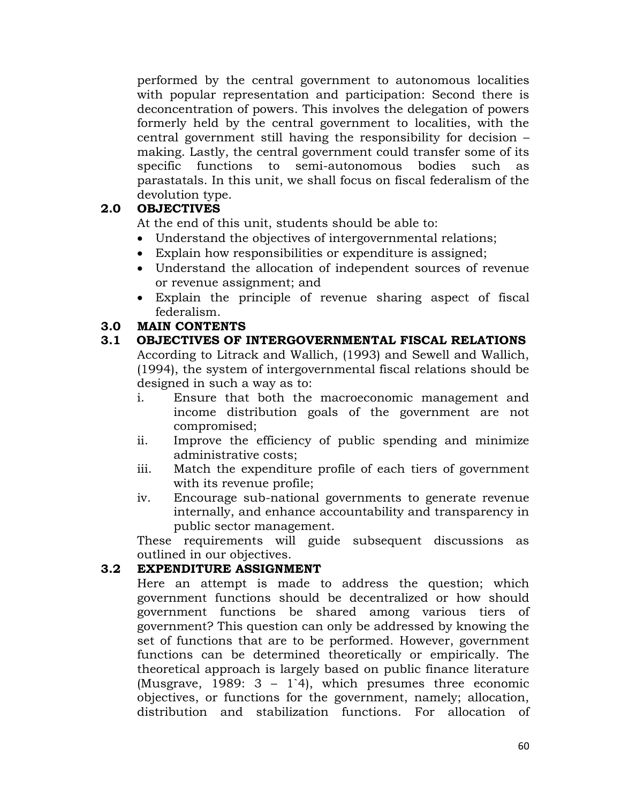performed by the central government to autonomous localities with popular representation and participation: Second there is deconcentration of powers. This involves the delegation of powers formerly held by the central government to localities, with the central government still having the responsibility for decision – making. Lastly, the central government could transfer some of its specific functions to semi-autonomous bodies such as parastatals. In this unit, we shall focus on fiscal federalism of the devolution type.

### **2.0 OBJECTIVES**

At the end of this unit, students should be able to:

- Understand the objectives of intergovernmental relations;
- Explain how responsibilities or expenditure is assigned;
- Understand the allocation of independent sources of revenue or revenue assignment; and
- Explain the principle of revenue sharing aspect of fiscal federalism.

### **3.0 MAIN CONTENTS**

- **3.1 OBJECTIVES OF INTERGOVERNMENTAL FISCAL RELATIONS** According to Litrack and Wallich, (1993) and Sewell and Wallich, (1994), the system of intergovernmental fiscal relations should be designed in such a way as to:
	- i. Ensure that both the macroeconomic management and income distribution goals of the government are not compromised;
	- ii. Improve the efficiency of public spending and minimize administrative costs;
	- iii. Match the expenditure profile of each tiers of government with its revenue profile;
	- iv. Encourage sub-national governments to generate revenue internally, and enhance accountability and transparency in public sector management.

These requirements will guide subsequent discussions as outlined in our objectives.

## **3.2 EXPENDITURE ASSIGNMENT**

Here an attempt is made to address the question; which government functions should be decentralized or how should government functions be shared among various tiers of government? This question can only be addressed by knowing the set of functions that are to be performed. However, government functions can be determined theoretically or empirically. The theoretical approach is largely based on public finance literature (Musgrave, 1989: 3 – 1`4), which presumes three economic objectives, or functions for the government, namely; allocation, distribution and stabilization functions. For allocation of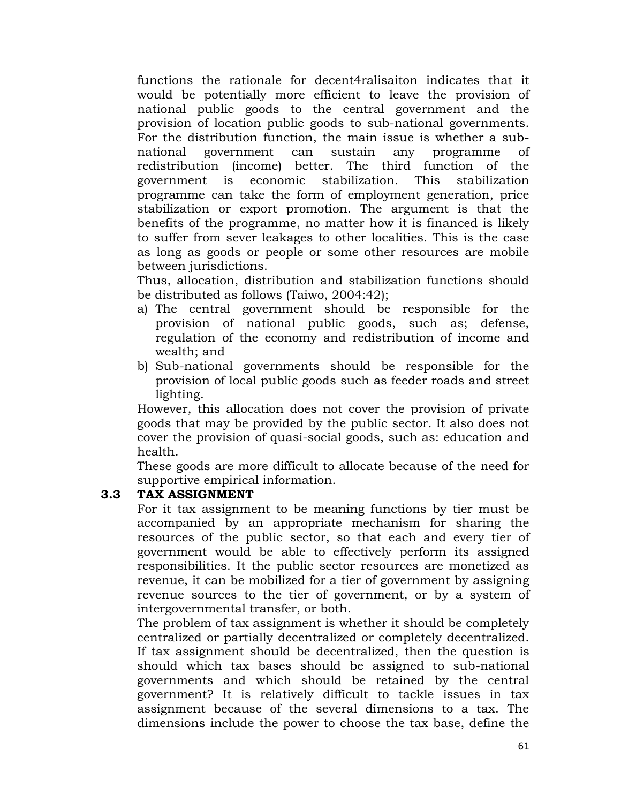functions the rationale for decent4ralisaiton indicates that it would be potentially more efficient to leave the provision of national public goods to the central government and the provision of location public goods to sub-national governments. For the distribution function, the main issue is whether a subnational government can sustain any programme of redistribution (income) better. The third function of the government is economic stabilization. This stabilization programme can take the form of employment generation, price stabilization or export promotion. The argument is that the benefits of the programme, no matter how it is financed is likely to suffer from sever leakages to other localities. This is the case as long as goods or people or some other resources are mobile between jurisdictions.

Thus, allocation, distribution and stabilization functions should be distributed as follows (Taiwo, 2004:42);

- a) The central government should be responsible for the provision of national public goods, such as; defense, regulation of the economy and redistribution of income and wealth; and
- b) Sub-national governments should be responsible for the provision of local public goods such as feeder roads and street lighting.

However, this allocation does not cover the provision of private goods that may be provided by the public sector. It also does not cover the provision of quasi-social goods, such as: education and health.

These goods are more difficult to allocate because of the need for supportive empirical information.

### **3.3 TAX ASSIGNMENT**

For it tax assignment to be meaning functions by tier must be accompanied by an appropriate mechanism for sharing the resources of the public sector, so that each and every tier of government would be able to effectively perform its assigned responsibilities. It the public sector resources are monetized as revenue, it can be mobilized for a tier of government by assigning revenue sources to the tier of government, or by a system of intergovernmental transfer, or both.

The problem of tax assignment is whether it should be completely centralized or partially decentralized or completely decentralized. If tax assignment should be decentralized, then the question is should which tax bases should be assigned to sub-national governments and which should be retained by the central government? It is relatively difficult to tackle issues in tax assignment because of the several dimensions to a tax. The dimensions include the power to choose the tax base, define the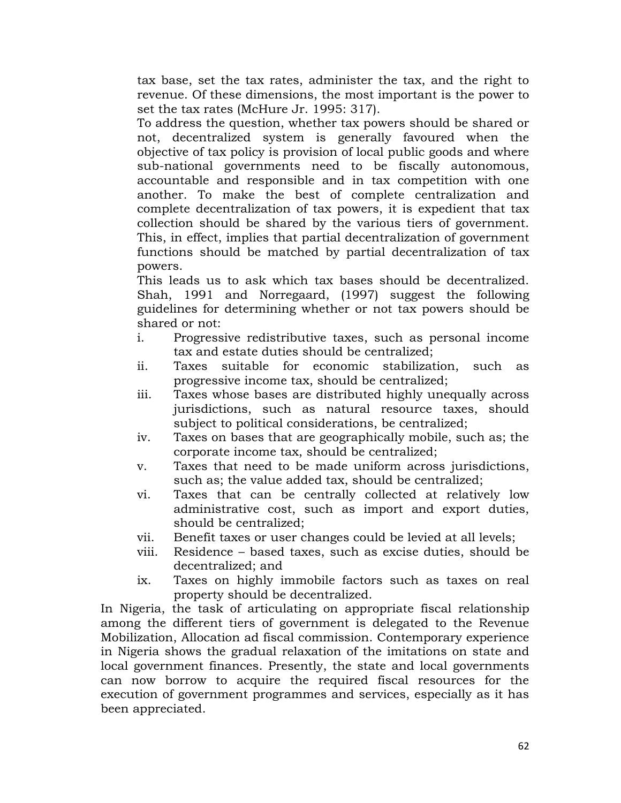tax base, set the tax rates, administer the tax, and the right to revenue. Of these dimensions, the most important is the power to set the tax rates (McHure Jr. 1995: 317).

To address the question, whether tax powers should be shared or not, decentralized system is generally favoured when the objective of tax policy is provision of local public goods and where sub-national governments need to be fiscally autonomous, accountable and responsible and in tax competition with one another. To make the best of complete centralization and complete decentralization of tax powers, it is expedient that tax collection should be shared by the various tiers of government. This, in effect, implies that partial decentralization of government functions should be matched by partial decentralization of tax powers.

This leads us to ask which tax bases should be decentralized. Shah, 1991 and Norregaard, (1997) suggest the following guidelines for determining whether or not tax powers should be shared or not:

- i. Progressive redistributive taxes, such as personal income tax and estate duties should be centralized;
- ii. Taxes suitable for economic stabilization, such as progressive income tax, should be centralized;
- iii. Taxes whose bases are distributed highly unequally across jurisdictions, such as natural resource taxes, should subject to political considerations, be centralized;
- iv. Taxes on bases that are geographically mobile, such as; the corporate income tax, should be centralized;
- v. Taxes that need to be made uniform across jurisdictions, such as; the value added tax, should be centralized;
- vi. Taxes that can be centrally collected at relatively low administrative cost, such as import and export duties, should be centralized;
- vii. Benefit taxes or user changes could be levied at all levels;
- viii. Residence based taxes, such as excise duties, should be decentralized; and
- ix. Taxes on highly immobile factors such as taxes on real property should be decentralized.

In Nigeria, the task of articulating on appropriate fiscal relationship among the different tiers of government is delegated to the Revenue Mobilization, Allocation ad fiscal commission. Contemporary experience in Nigeria shows the gradual relaxation of the imitations on state and local government finances. Presently, the state and local governments can now borrow to acquire the required fiscal resources for the execution of government programmes and services, especially as it has been appreciated.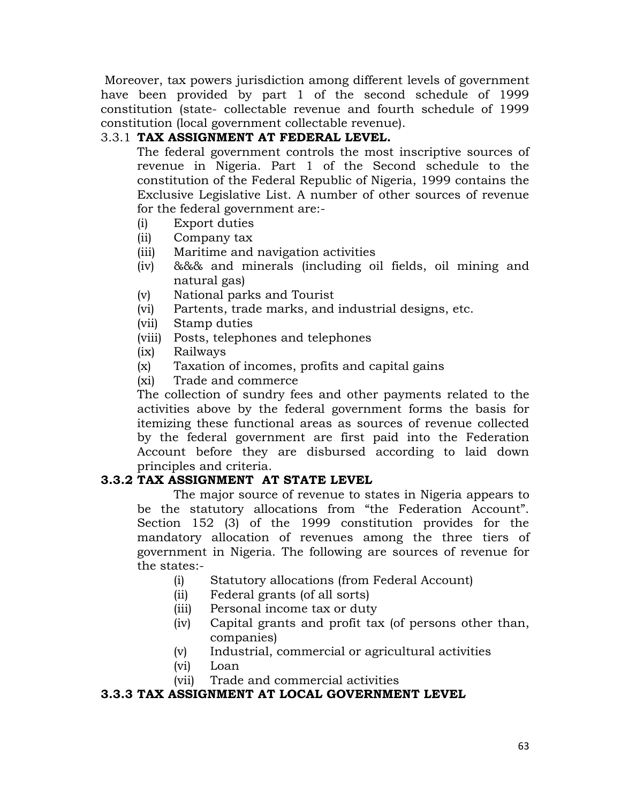Moreover, tax powers jurisdiction among different levels of government have been provided by part 1 of the second schedule of 1999 constitution (state- collectable revenue and fourth schedule of 1999 constitution (local government collectable revenue).

## 3.3.1 **TAX ASSIGNMENT AT FEDERAL LEVEL.**

The federal government controls the most inscriptive sources of revenue in Nigeria. Part 1 of the Second schedule to the constitution of the Federal Republic of Nigeria, 1999 contains the Exclusive Legislative List. A number of other sources of revenue for the federal government are:-

- (i) Export duties
- (ii) Company tax
- (iii) Maritime and navigation activities
- (iv) &&& and minerals (including oil fields, oil mining and natural gas)
- (v) National parks and Tourist
- (vi) Partents, trade marks, and industrial designs, etc.
- (vii) Stamp duties
- (viii) Posts, telephones and telephones
- (ix) Railways
- (x) Taxation of incomes, profits and capital gains
- (xi) Trade and commerce

The collection of sundry fees and other payments related to the activities above by the federal government forms the basis for itemizing these functional areas as sources of revenue collected by the federal government are first paid into the Federation Account before they are disbursed according to laid down principles and criteria.

## **3.3.2 TAX ASSIGNMENT AT STATE LEVEL**

The major source of revenue to states in Nigeria appears to be the statutory allocations from "the Federation Account". Section 152 (3) of the 1999 constitution provides for the mandatory allocation of revenues among the three tiers of government in Nigeria. The following are sources of revenue for the states:-

- (i) Statutory allocations (from Federal Account)
- (ii) Federal grants (of all sorts)
- (iii) Personal income tax or duty
- (iv) Capital grants and profit tax (of persons other than, companies)
- (v) Industrial, commercial or agricultural activities
- (vi) Loan
- (vii) Trade and commercial activities

### **3.3.3 TAX ASSIGNMENT AT LOCAL GOVERNMENT LEVEL**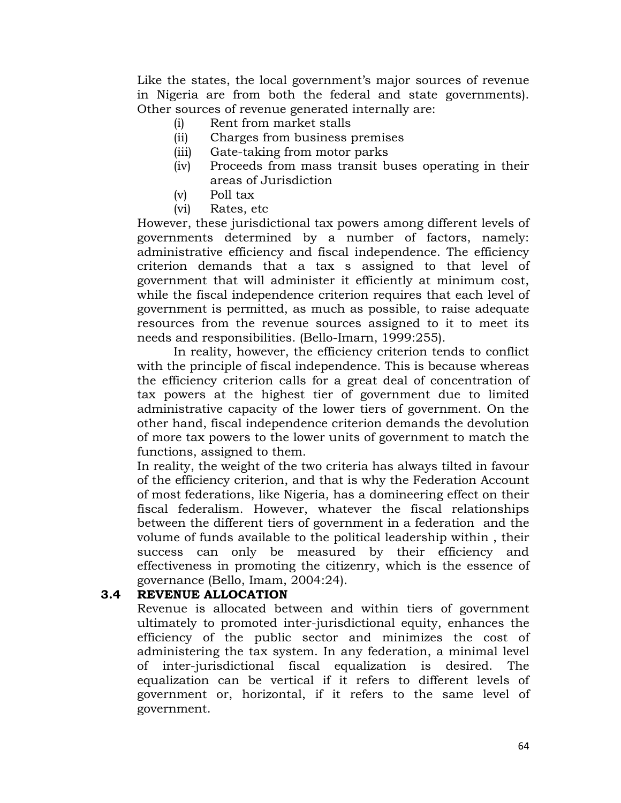Like the states, the local government's major sources of revenue in Nigeria are from both the federal and state governments). Other sources of revenue generated internally are:

- (i) Rent from market stalls
- (ii) Charges from business premises
- (iii) Gate-taking from motor parks
- (iv) Proceeds from mass transit buses operating in their areas of Jurisdiction
- (v) Poll tax
- (vi) Rates, etc

However, these jurisdictional tax powers among different levels of governments determined by a number of factors, namely: administrative efficiency and fiscal independence. The efficiency criterion demands that a tax s assigned to that level of government that will administer it efficiently at minimum cost, while the fiscal independence criterion requires that each level of government is permitted, as much as possible, to raise adequate resources from the revenue sources assigned to it to meet its needs and responsibilities. (Bello-Imarn, 1999:255).

In reality, however, the efficiency criterion tends to conflict with the principle of fiscal independence. This is because whereas the efficiency criterion calls for a great deal of concentration of tax powers at the highest tier of government due to limited administrative capacity of the lower tiers of government. On the other hand, fiscal independence criterion demands the devolution of more tax powers to the lower units of government to match the functions, assigned to them.

In reality, the weight of the two criteria has always tilted in favour of the efficiency criterion, and that is why the Federation Account of most federations, like Nigeria, has a domineering effect on their fiscal federalism. However, whatever the fiscal relationships between the different tiers of government in a federation and the volume of funds available to the political leadership within , their success can only be measured by their efficiency and effectiveness in promoting the citizenry, which is the essence of governance (Bello, Imam, 2004:24).

### **3.4 REVENUE ALLOCATION**

Revenue is allocated between and within tiers of government ultimately to promoted inter-jurisdictional equity, enhances the efficiency of the public sector and minimizes the cost of administering the tax system. In any federation, a minimal level of inter-jurisdictional fiscal equalization is desired. The equalization can be vertical if it refers to different levels of government or, horizontal, if it refers to the same level of government.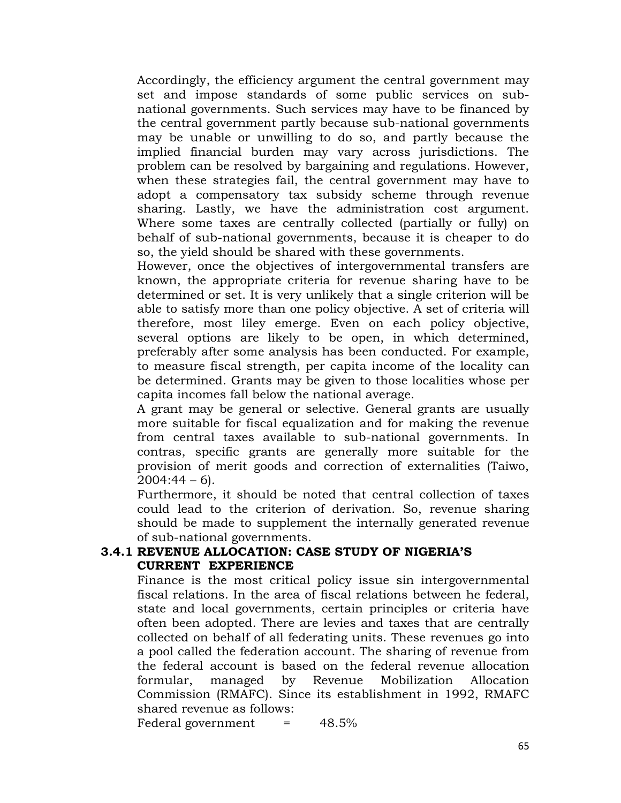Accordingly, the efficiency argument the central government may set and impose standards of some public services on subnational governments. Such services may have to be financed by the central government partly because sub-national governments may be unable or unwilling to do so, and partly because the implied financial burden may vary across jurisdictions. The problem can be resolved by bargaining and regulations. However, when these strategies fail, the central government may have to adopt a compensatory tax subsidy scheme through revenue sharing. Lastly, we have the administration cost argument. Where some taxes are centrally collected (partially or fully) on behalf of sub-national governments, because it is cheaper to do so, the yield should be shared with these governments.

However, once the objectives of intergovernmental transfers are known, the appropriate criteria for revenue sharing have to be determined or set. It is very unlikely that a single criterion will be able to satisfy more than one policy objective. A set of criteria will therefore, most liley emerge. Even on each policy objective, several options are likely to be open, in which determined, preferably after some analysis has been conducted. For example, to measure fiscal strength, per capita income of the locality can be determined. Grants may be given to those localities whose per capita incomes fall below the national average.

A grant may be general or selective. General grants are usually more suitable for fiscal equalization and for making the revenue from central taxes available to sub-national governments. In contras, specific grants are generally more suitable for the provision of merit goods and correction of externalities (Taiwo,  $2004:44 - 6$ .

Furthermore, it should be noted that central collection of taxes could lead to the criterion of derivation. So, revenue sharing should be made to supplement the internally generated revenue of sub-national governments.

### **3.4.1 REVENUE ALLOCATION: CASE STUDY OF NIGERIA'S CURRENT EXPERIENCE**

Finance is the most critical policy issue sin intergovernmental fiscal relations. In the area of fiscal relations between he federal, state and local governments, certain principles or criteria have often been adopted. There are levies and taxes that are centrally collected on behalf of all federating units. These revenues go into a pool called the federation account. The sharing of revenue from the federal account is based on the federal revenue allocation formular, managed by Revenue Mobilization Allocation Commission (RMAFC). Since its establishment in 1992, RMAFC shared revenue as follows:

Federal government  $=$  48.5%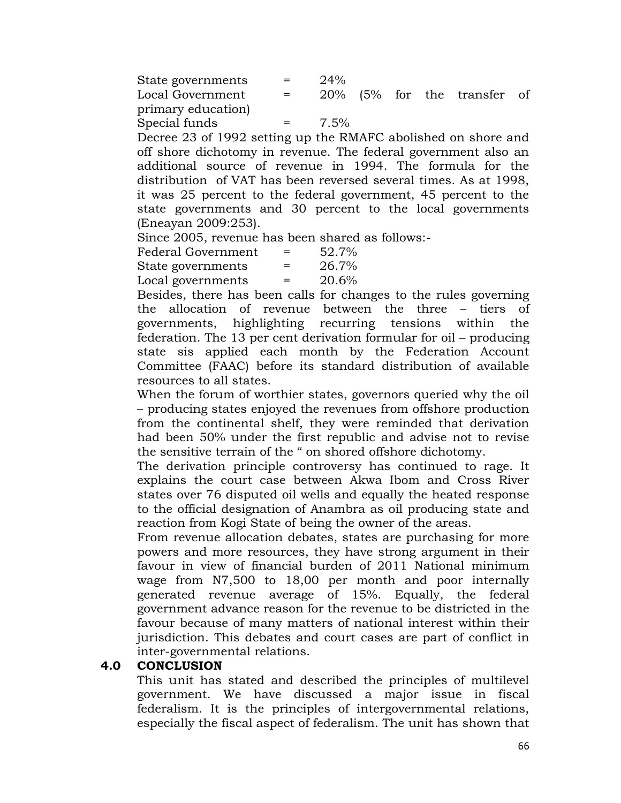| State governments  | $\mathbf{r} = \mathbf{r}$ | 24%     |  |                             |  |
|--------------------|---------------------------|---------|--|-----------------------------|--|
| Local Government   | $\mathbf{r} = \mathbf{r}$ |         |  | 20% (5% for the transfer of |  |
| primary education) |                           |         |  |                             |  |
| Special funds      | $\mathbf{r} = \mathbf{r}$ | $7.5\%$ |  |                             |  |

Decree 23 of 1992 setting up the RMAFC abolished on shore and off shore dichotomy in revenue. The federal government also an additional source of revenue in 1994. The formula for the distribution of VAT has been reversed several times. As at 1998, it was 25 percent to the federal government, 45 percent to the state governments and 30 percent to the local governments (Eneayan 2009:253).

Since 2005, revenue has been shared as follows:-

| Federal Government | $=$ | 52.7% |
|--------------------|-----|-------|
| State governments  | $=$ | 26.7% |
| Local governments  | $=$ | 20.6% |

Besides, there has been calls for changes to the rules governing the allocation of revenue between the three – tiers of governments, highlighting recurring tensions within the federation. The 13 per cent derivation formular for oil – producing state sis applied each month by the Federation Account Committee (FAAC) before its standard distribution of available resources to all states.

When the forum of worthier states, governors queried why the oil – producing states enjoyed the revenues from offshore production from the continental shelf, they were reminded that derivation had been 50% under the first republic and advise not to revise the sensitive terrain of the " on shored offshore dichotomy.

The derivation principle controversy has continued to rage. It explains the court case between Akwa Ibom and Cross River states over 76 disputed oil wells and equally the heated response to the official designation of Anambra as oil producing state and reaction from Kogi State of being the owner of the areas.

From revenue allocation debates, states are purchasing for more powers and more resources, they have strong argument in their favour in view of financial burden of 2011 National minimum wage from N7,500 to 18,00 per month and poor internally generated revenue average of 15%. Equally, the federal government advance reason for the revenue to be districted in the favour because of many matters of national interest within their jurisdiction. This debates and court cases are part of conflict in inter-governmental relations.

### **4.0 CONCLUSION**

This unit has stated and described the principles of multilevel government. We have discussed a major issue in fiscal federalism. It is the principles of intergovernmental relations, especially the fiscal aspect of federalism. The unit has shown that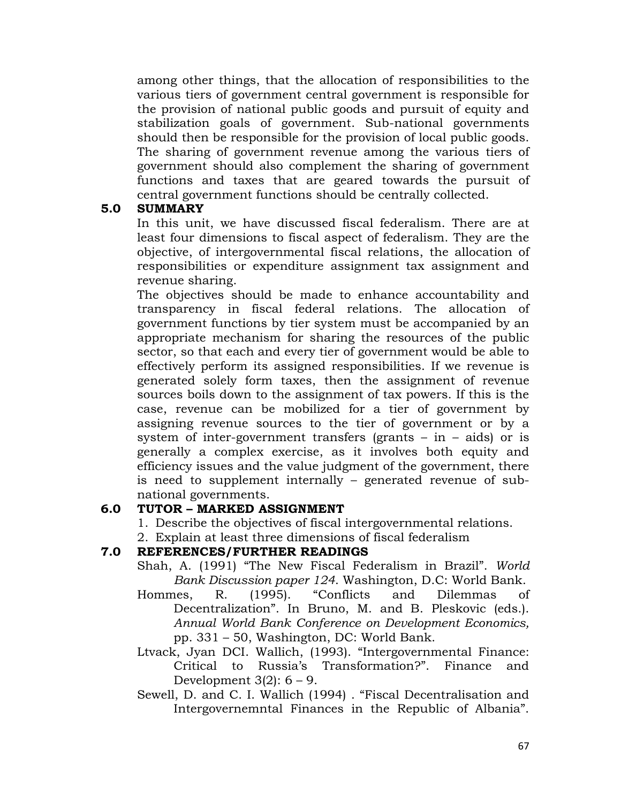among other things, that the allocation of responsibilities to the various tiers of government central government is responsible for the provision of national public goods and pursuit of equity and stabilization goals of government. Sub-national governments should then be responsible for the provision of local public goods. The sharing of government revenue among the various tiers of government should also complement the sharing of government functions and taxes that are geared towards the pursuit of central government functions should be centrally collected.

### **5.0 SUMMARY**

In this unit, we have discussed fiscal federalism. There are at least four dimensions to fiscal aspect of federalism. They are the objective, of intergovernmental fiscal relations, the allocation of responsibilities or expenditure assignment tax assignment and revenue sharing.

The objectives should be made to enhance accountability and transparency in fiscal federal relations. The allocation of government functions by tier system must be accompanied by an appropriate mechanism for sharing the resources of the public sector, so that each and every tier of government would be able to effectively perform its assigned responsibilities. If we revenue is generated solely form taxes, then the assignment of revenue sources boils down to the assignment of tax powers. If this is the case, revenue can be mobilized for a tier of government by assigning revenue sources to the tier of government or by a system of inter-government transfers (grants  $-$  in  $-$  aids) or is generally a complex exercise, as it involves both equity and efficiency issues and the value judgment of the government, there is need to supplement internally – generated revenue of subnational governments.

## **6.0 TUTOR – MARKED ASSIGNMENT**

1. Describe the objectives of fiscal intergovernmental relations.

2. Explain at least three dimensions of fiscal federalism

# **7.0 REFERENCES/FURTHER READINGS**

- Shah, A. (1991) "The New Fiscal Federalism in Brazil". *World Bank Discussion paper 124*. Washington, D.C: World Bank.
- Hommes, R. (1995). "Conflicts and Dilemmas of Decentralization". In Bruno, M. and B. Pleskovic (eds.). *Annual World Bank Conference on Development Economics,* pp. 331 – 50, Washington, DC: World Bank.
- Ltvack, Jyan DCI. Wallich, (1993). "Intergovernmental Finance: Critical to Russia's Transformation?". Finance and Development  $3(2)$ :  $6 - 9$ .
- Sewell, D. and C. I. Wallich (1994) . "Fiscal Decentralisation and Intergovernemntal Finances in the Republic of Albania".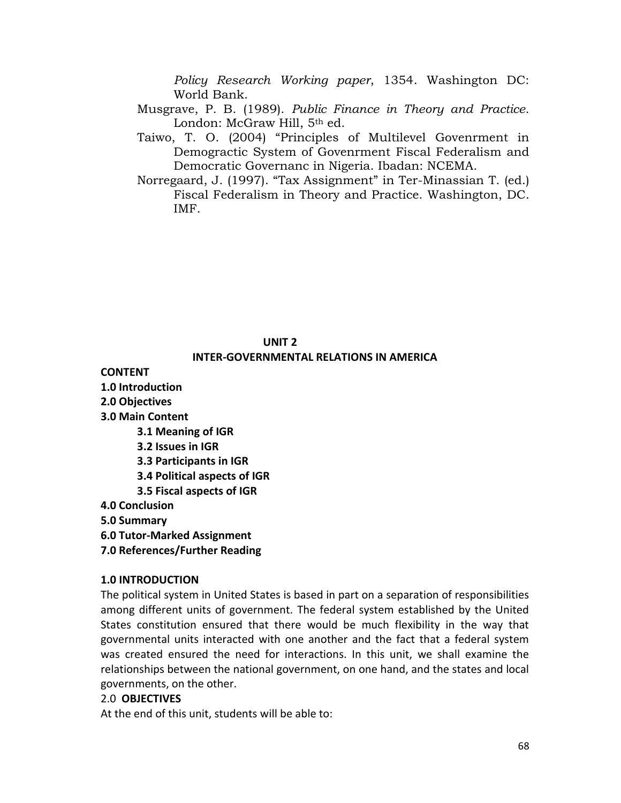*Policy Research Working paper*, 1354. Washington DC: World Bank.

- Musgrave, P. B. (1989). *Public Finance in Theory and Practice*. London: McGraw Hill, 5<sup>th</sup> ed.
- Taiwo, T. O. (2004) "Principles of Multilevel Govenrment in Demogractic System of Govenrment Fiscal Federalism and Democratic Governanc in Nigeria. Ibadan: NCEMA.
- Norregaard, J. (1997). "Tax Assignment" in Ter-Minassian T. (ed.) Fiscal Federalism in Theory and Practice. Washington, DC. IMF.

#### **UNIT 2**

#### **INTER-GOVERNMENTAL RELATIONS IN AMERICA**

**CONTENT**

- **1.0 Introduction**
- **2.0 Objectives**
- **3.0 Main Content**
	- **3.1 Meaning of IGR**
	- **3.2 Issues in IGR**
	- **3.3 Participants in IGR**
	- **3.4 Political aspects of IGR**
	- **3.5 Fiscal aspects of IGR**
- **4.0 Conclusion**
- **5.0 Summary**
- **6.0 Tutor-Marked Assignment**
- **7.0 References/Further Reading**

#### **1.0 INTRODUCTION**

The political system in United States is based in part on a separation of responsibilities among different units of government. The federal system established by the United States constitution ensured that there would be much flexibility in the way that governmental units interacted with one another and the fact that a federal system was created ensured the need for interactions. In this unit, we shall examine the relationships between the national government, on one hand, and the states and local governments, on the other.

#### 2.0 **OBJECTIVES**

At the end of this unit, students will be able to: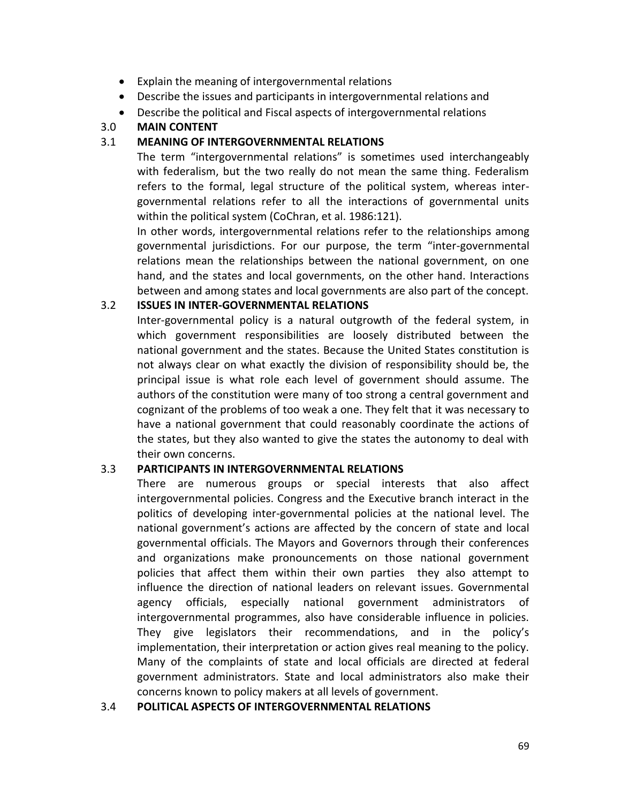- Explain the meaning of intergovernmental relations
- Describe the issues and participants in intergovernmental relations and
- Describe the political and Fiscal aspects of intergovernmental relations

#### 3.0 **MAIN CONTENT**

#### 3.1 **MEANING OF INTERGOVERNMENTAL RELATIONS**

The term "intergovernmental relations" is sometimes used interchangeably with federalism, but the two really do not mean the same thing. Federalism refers to the formal, legal structure of the political system, whereas intergovernmental relations refer to all the interactions of governmental units within the political system (CoChran, et al. 1986:121).

In other words, intergovernmental relations refer to the relationships among governmental jurisdictions. For our purpose, the term "inter-governmental relations mean the relationships between the national government, on one hand, and the states and local governments, on the other hand. Interactions between and among states and local governments are also part of the concept.

#### 3.2 **ISSUES IN INTER-GOVERNMENTAL RELATIONS**

Inter-governmental policy is a natural outgrowth of the federal system, in which government responsibilities are loosely distributed between the national government and the states. Because the United States constitution is not always clear on what exactly the division of responsibility should be, the principal issue is what role each level of government should assume. The authors of the constitution were many of too strong a central government and cognizant of the problems of too weak a one. They felt that it was necessary to have a national government that could reasonably coordinate the actions of the states, but they also wanted to give the states the autonomy to deal with their own concerns.

### 3.3 **PARTICIPANTS IN INTERGOVERNMENTAL RELATIONS**

There are numerous groups or special interests that also affect intergovernmental policies. Congress and the Executive branch interact in the politics of developing inter-governmental policies at the national level. The national government's actions are affected by the concern of state and local governmental officials. The Mayors and Governors through their conferences and organizations make pronouncements on those national government policies that affect them within their own parties they also attempt to influence the direction of national leaders on relevant issues. Governmental agency officials, especially national government administrators of intergovernmental programmes, also have considerable influence in policies. They give legislators their recommendations, and in the policy's implementation, their interpretation or action gives real meaning to the policy. Many of the complaints of state and local officials are directed at federal government administrators. State and local administrators also make their concerns known to policy makers at all levels of government.

#### 3.4 **POLITICAL ASPECTS OF INTERGOVERNMENTAL RELATIONS**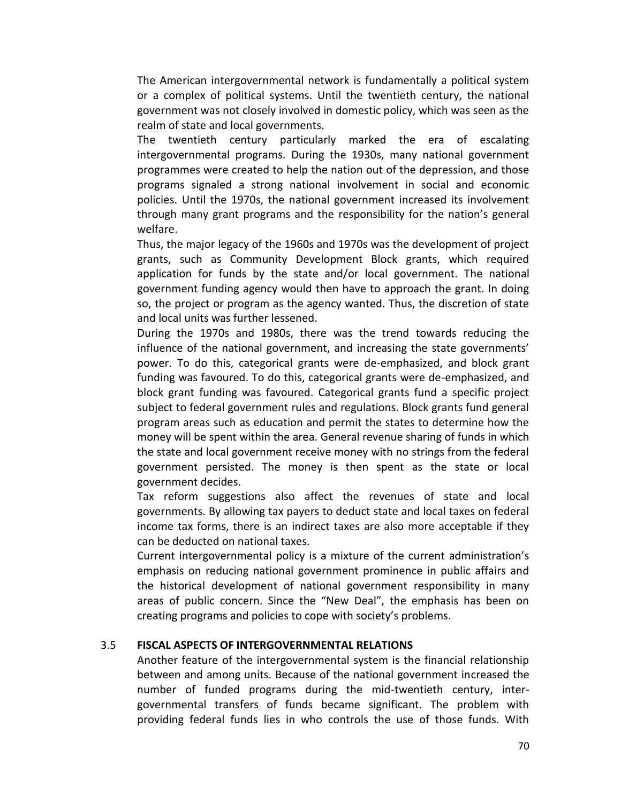The American intergovernmental network is fundamentally a political system or a complex of political systems. Until the twentieth century, the national government was not closely involved in domestic policy, which was seen as the realm of state and local governments.

The twentieth century particularly marked the era of escalating intergovernmental programs. During the 1930s, many national government programmes were created to help the nation out of the depression, and those programs signaled a strong national involvement in social and economic policies. Until the 1970s, the national government increased its involvement through many grant programs and the responsibility for the nation's general welfare.

Thus, the major legacy of the 1960s and 1970s was the development of project grants, such as Community Development Block grants, which required application for funds by the state and/or local government. The national government funding agency would then have to approach the grant. In doing so, the project or program as the agency wanted. Thus, the discretion of state and local units was further lessened.

During the 1970s and 1980s, there was the trend towards reducing the influence of the national government, and increasing the state governments' power. To do this, categorical grants were de-emphasized, and block grant funding was favoured. To do this, categorical grants were de-emphasized, and block grant funding was favoured. Categorical grants fund a specific project subject to federal government rules and regulations. Block grants fund general program areas such as education and permit the states to determine how the money will be spent within the area. General revenue sharing of funds in which the state and local government receive money with no strings from the federal government persisted. The money is then spent as the state or local government decides.

Tax reform suggestions also affect the revenues of state and local governments. By allowing tax payers to deduct state and local taxes on federal income tax forms, there is an indirect taxes are also more acceptable if they can be deducted on national taxes.

Current intergovernmental policy is a mixture of the current administration's emphasis on reducing national government prominence in public affairs and the historical development of national government responsibility in many areas of public concern. Since the "New Deal", the emphasis has been on creating programs and policies to cope with society's problems.

#### 3.5 **FISCAL ASPECTS OF INTERGOVERNMENTAL RELATIONS**

Another feature of the intergovernmental system is the financial relationship between and among units. Because of the national government increased the number of funded programs during the mid-twentieth century, intergovernmental transfers of funds became significant. The problem with providing federal funds lies in who controls the use of those funds. With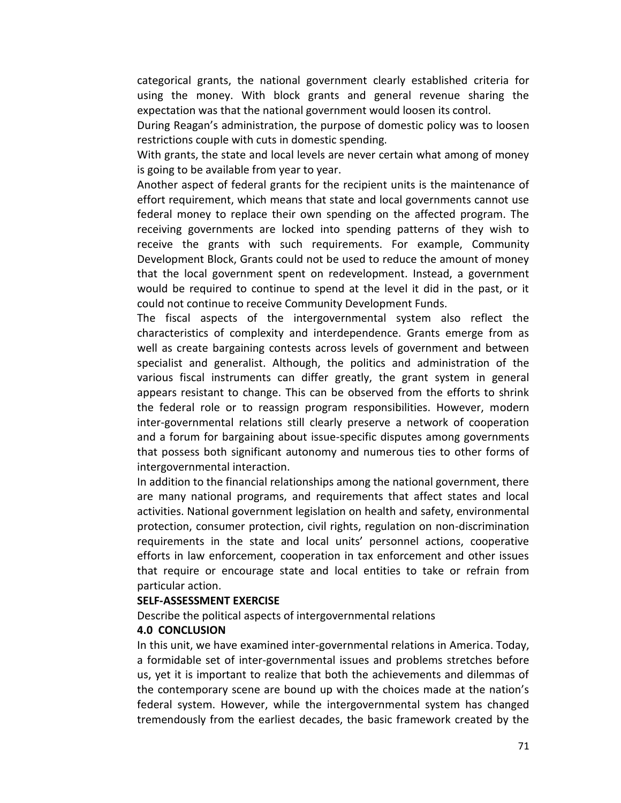categorical grants, the national government clearly established criteria for using the money. With block grants and general revenue sharing the expectation was that the national government would loosen its control.

During Reagan's administration, the purpose of domestic policy was to loosen restrictions couple with cuts in domestic spending.

With grants, the state and local levels are never certain what among of money is going to be available from year to year.

Another aspect of federal grants for the recipient units is the maintenance of effort requirement, which means that state and local governments cannot use federal money to replace their own spending on the affected program. The receiving governments are locked into spending patterns of they wish to receive the grants with such requirements. For example, Community Development Block, Grants could not be used to reduce the amount of money that the local government spent on redevelopment. Instead, a government would be required to continue to spend at the level it did in the past, or it could not continue to receive Community Development Funds.

The fiscal aspects of the intergovernmental system also reflect the characteristics of complexity and interdependence. Grants emerge from as well as create bargaining contests across levels of government and between specialist and generalist. Although, the politics and administration of the various fiscal instruments can differ greatly, the grant system in general appears resistant to change. This can be observed from the efforts to shrink the federal role or to reassign program responsibilities. However, modern inter-governmental relations still clearly preserve a network of cooperation and a forum for bargaining about issue-specific disputes among governments that possess both significant autonomy and numerous ties to other forms of intergovernmental interaction.

In addition to the financial relationships among the national government, there are many national programs, and requirements that affect states and local activities. National government legislation on health and safety, environmental protection, consumer protection, civil rights, regulation on non-discrimination requirements in the state and local units' personnel actions, cooperative efforts in law enforcement, cooperation in tax enforcement and other issues that require or encourage state and local entities to take or refrain from particular action.

#### **SELF-ASSESSMENT EXERCISE**

Describe the political aspects of intergovernmental relations

#### **4.0 CONCLUSION**

In this unit, we have examined inter-governmental relations in America. Today, a formidable set of inter-governmental issues and problems stretches before us, yet it is important to realize that both the achievements and dilemmas of the contemporary scene are bound up with the choices made at the nation's federal system. However, while the intergovernmental system has changed tremendously from the earliest decades, the basic framework created by the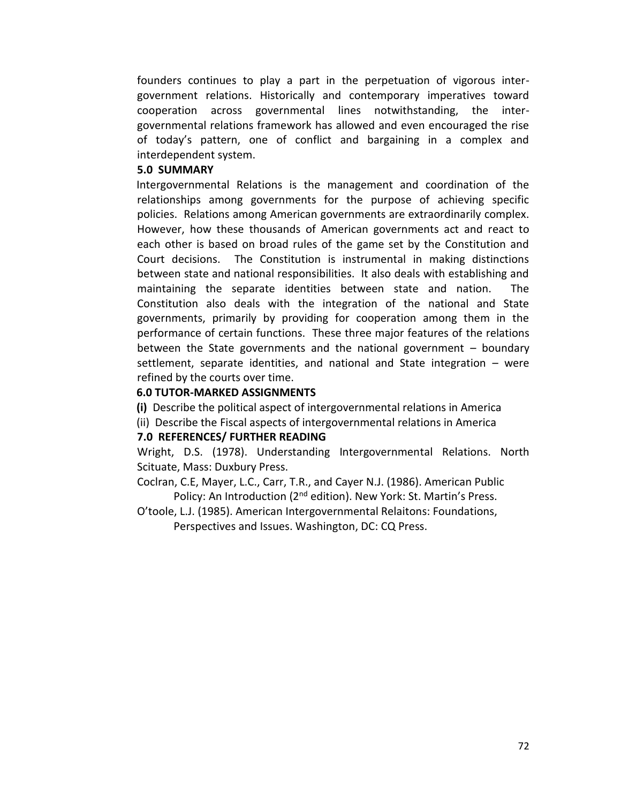founders continues to play a part in the perpetuation of vigorous intergovernment relations. Historically and contemporary imperatives toward cooperation across governmental lines notwithstanding, the intergovernmental relations framework has allowed and even encouraged the rise of today's pattern, one of conflict and bargaining in a complex and interdependent system.

#### **5.0 SUMMARY**

Intergovernmental Relations is the management and coordination of the relationships among governments for the purpose of achieving specific policies. Relations among American governments are extraordinarily complex. However, how these thousands of American governments act and react to each other is based on broad rules of the game set by the Constitution and Court decisions. The Constitution is instrumental in making distinctions between state and national responsibilities. It also deals with establishing and maintaining the separate identities between state and nation. The Constitution also deals with the integration of the national and State governments, primarily by providing for cooperation among them in the performance of certain functions. These three major features of the relations between the State governments and the national government – boundary settlement, separate identities, and national and State integration – were refined by the courts over time.

#### **6.0 TUTOR-MARKED ASSIGNMENTS**

- **(i)** Describe the political aspect of intergovernmental relations in America
- (ii) Describe the Fiscal aspects of intergovernmental relations in America

#### **7.0 REFERENCES/ FURTHER READING**

Wright, D.S. (1978). Understanding Intergovernmental Relations. North Scituate, Mass: Duxbury Press.

- Coclran, C.E, Mayer, L.C., Carr, T.R., and Cayer N.J. (1986). American Public Policy: An Introduction (2<sup>nd</sup> edition). New York: St. Martin's Press.
- O'toole, L.J. (1985). American Intergovernmental Relaitons: Foundations, Perspectives and Issues. Washington, DC: CQ Press.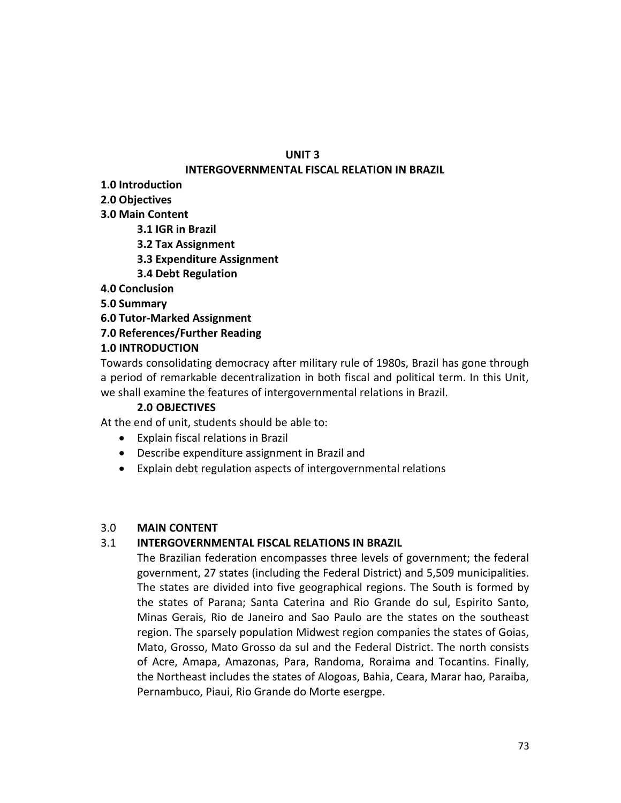## **UNIT 3**

## **INTERGOVERNMENTAL FISCAL RELATION IN BRAZIL**

**1.0 Introduction**

**2.0 Objectives**

- **3.0 Main Content**
	- **3.1 IGR in Brazil**
	- **3.2 Tax Assignment**
	- **3.3 Expenditure Assignment**
	- **3.4 Debt Regulation**

**4.0 Conclusion**

**5.0 Summary**

**6.0 Tutor-Marked Assignment**

**7.0 References/Further Reading**

# **1.0 INTRODUCTION**

Towards consolidating democracy after military rule of 1980s, Brazil has gone through a period of remarkable decentralization in both fiscal and political term. In this Unit, we shall examine the features of intergovernmental relations in Brazil.

# **2.0 OBJECTIVES**

At the end of unit, students should be able to:

- Explain fiscal relations in Brazil
- Describe expenditure assignment in Brazil and
- Explain debt regulation aspects of intergovernmental relations

## 3.0 **MAIN CONTENT**

## 3.1 **INTERGOVERNMENTAL FISCAL RELATIONS IN BRAZIL**

The Brazilian federation encompasses three levels of government; the federal government, 27 states (including the Federal District) and 5,509 municipalities. The states are divided into five geographical regions. The South is formed by the states of Parana; Santa Caterina and Rio Grande do sul, Espirito Santo, Minas Gerais, Rio de Janeiro and Sao Paulo are the states on the southeast region. The sparsely population Midwest region companies the states of Goias, Mato, Grosso, Mato Grosso da sul and the Federal District. The north consists of Acre, Amapa, Amazonas, Para, Randoma, Roraima and Tocantins. Finally, the Northeast includes the states of Alogoas, Bahia, Ceara, Marar hao, Paraiba, Pernambuco, Piaui, Rio Grande do Morte esergpe.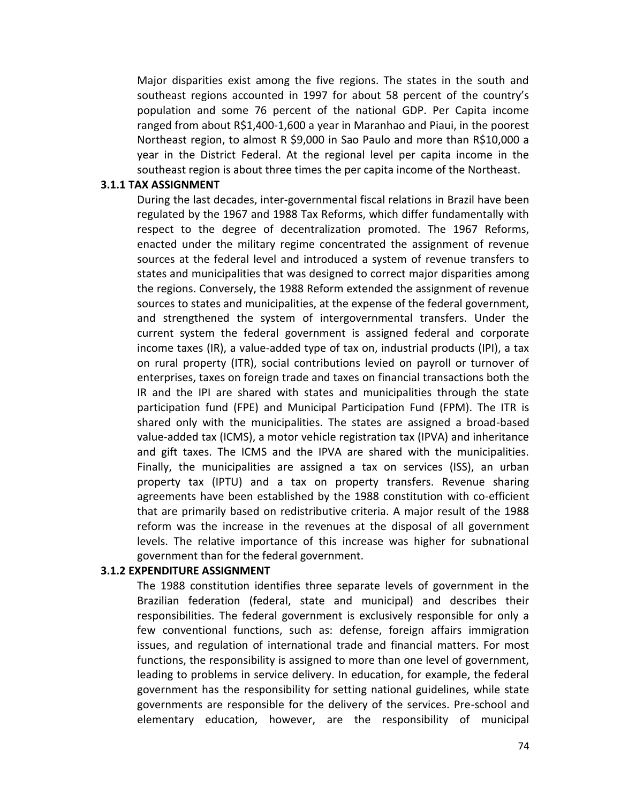Major disparities exist among the five regions. The states in the south and southeast regions accounted in 1997 for about 58 percent of the country's population and some 76 percent of the national GDP. Per Capita income ranged from about R\$1,400-1,600 a year in Maranhao and Piaui, in the poorest Northeast region, to almost R \$9,000 in Sao Paulo and more than R\$10,000 a year in the District Federal. At the regional level per capita income in the southeast region is about three times the per capita income of the Northeast.

#### **3.1.1 TAX ASSIGNMENT**

During the last decades, inter-governmental fiscal relations in Brazil have been regulated by the 1967 and 1988 Tax Reforms, which differ fundamentally with respect to the degree of decentralization promoted. The 1967 Reforms, enacted under the military regime concentrated the assignment of revenue sources at the federal level and introduced a system of revenue transfers to states and municipalities that was designed to correct major disparities among the regions. Conversely, the 1988 Reform extended the assignment of revenue sources to states and municipalities, at the expense of the federal government, and strengthened the system of intergovernmental transfers. Under the current system the federal government is assigned federal and corporate income taxes (IR), a value-added type of tax on, industrial products (IPI), a tax on rural property (ITR), social contributions levied on payroll or turnover of enterprises, taxes on foreign trade and taxes on financial transactions both the IR and the IPI are shared with states and municipalities through the state participation fund (FPE) and Municipal Participation Fund (FPM). The ITR is shared only with the municipalities. The states are assigned a broad-based value-added tax (ICMS), a motor vehicle registration tax (IPVA) and inheritance and gift taxes. The ICMS and the IPVA are shared with the municipalities. Finally, the municipalities are assigned a tax on services (ISS), an urban property tax (IPTU) and a tax on property transfers. Revenue sharing agreements have been established by the 1988 constitution with co-efficient that are primarily based on redistributive criteria. A major result of the 1988 reform was the increase in the revenues at the disposal of all government levels. The relative importance of this increase was higher for subnational government than for the federal government.

#### **3.1.2 EXPENDITURE ASSIGNMENT**

The 1988 constitution identifies three separate levels of government in the Brazilian federation (federal, state and municipal) and describes their responsibilities. The federal government is exclusively responsible for only a few conventional functions, such as: defense, foreign affairs immigration issues, and regulation of international trade and financial matters. For most functions, the responsibility is assigned to more than one level of government, leading to problems in service delivery. In education, for example, the federal government has the responsibility for setting national guidelines, while state governments are responsible for the delivery of the services. Pre-school and elementary education, however, are the responsibility of municipal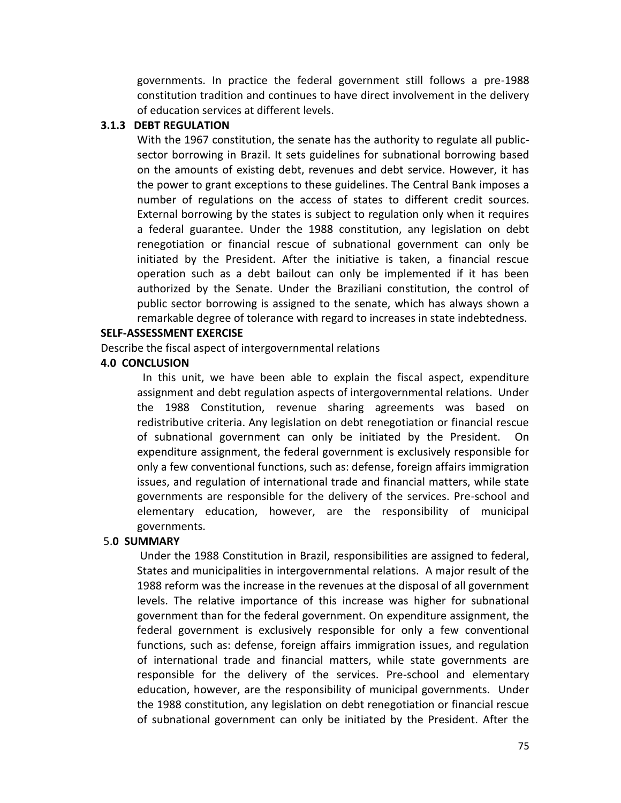governments. In practice the federal government still follows a pre-1988 constitution tradition and continues to have direct involvement in the delivery of education services at different levels.

#### **3.1.3 DEBT REGULATION**

With the 1967 constitution, the senate has the authority to regulate all publicsector borrowing in Brazil. It sets guidelines for subnational borrowing based on the amounts of existing debt, revenues and debt service. However, it has the power to grant exceptions to these guidelines. The Central Bank imposes a number of regulations on the access of states to different credit sources. External borrowing by the states is subject to regulation only when it requires a federal guarantee. Under the 1988 constitution, any legislation on debt renegotiation or financial rescue of subnational government can only be initiated by the President. After the initiative is taken, a financial rescue operation such as a debt bailout can only be implemented if it has been authorized by the Senate. Under the Braziliani constitution, the control of public sector borrowing is assigned to the senate, which has always shown a remarkable degree of tolerance with regard to increases in state indebtedness.

## **SELF-ASSESSMENT EXERCISE**

Describe the fiscal aspect of intergovernmental relations

## **4.0 CONCLUSION**

 In this unit, we have been able to explain the fiscal aspect, expenditure assignment and debt regulation aspects of intergovernmental relations. Under the 1988 Constitution, revenue sharing agreements was based on redistributive criteria. Any legislation on debt renegotiation or financial rescue of subnational government can only be initiated by the President. On expenditure assignment, the federal government is exclusively responsible for only a few conventional functions, such as: defense, foreign affairs immigration issues, and regulation of international trade and financial matters, while state governments are responsible for the delivery of the services. Pre-school and elementary education, however, are the responsibility of municipal governments.

## 5.**0 SUMMARY**

Under the 1988 Constitution in Brazil, responsibilities are assigned to federal, States and municipalities in intergovernmental relations. A major result of the 1988 reform was the increase in the revenues at the disposal of all government levels. The relative importance of this increase was higher for subnational government than for the federal government. On expenditure assignment, the federal government is exclusively responsible for only a few conventional functions, such as: defense, foreign affairs immigration issues, and regulation of international trade and financial matters, while state governments are responsible for the delivery of the services. Pre-school and elementary education, however, are the responsibility of municipal governments. Under the 1988 constitution, any legislation on debt renegotiation or financial rescue of subnational government can only be initiated by the President. After the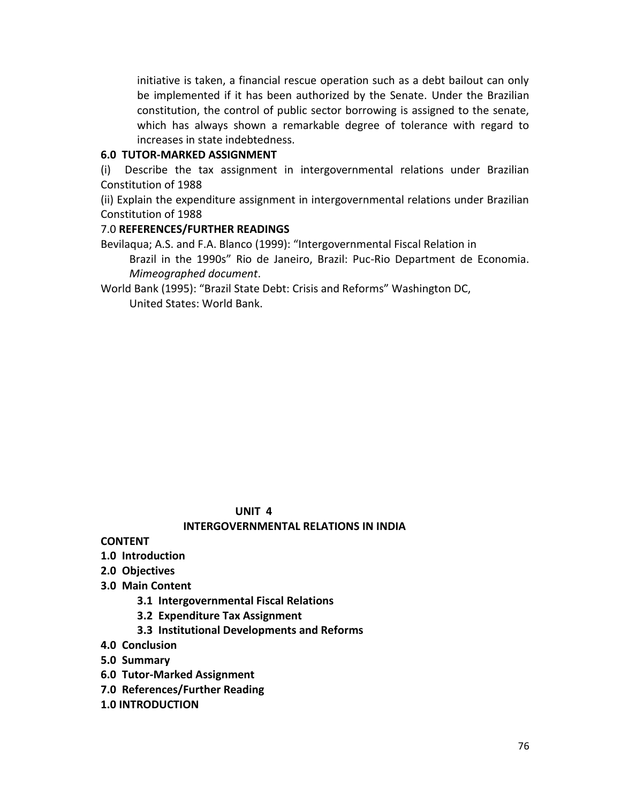initiative is taken, a financial rescue operation such as a debt bailout can only be implemented if it has been authorized by the Senate. Under the Brazilian constitution, the control of public sector borrowing is assigned to the senate, which has always shown a remarkable degree of tolerance with regard to increases in state indebtedness.

#### **6.0 TUTOR-MARKED ASSIGNMENT**

(i) Describe the tax assignment in intergovernmental relations under Brazilian Constitution of 1988

(ii) Explain the expenditure assignment in intergovernmental relations under Brazilian Constitution of 1988

## 7.0 **REFERENCES/FURTHER READINGS**

Bevilaqua; A.S. and F.A. Blanco (1999): "Intergovernmental Fiscal Relation in Brazil in the 1990s" Rio de Janeiro, Brazil: Puc-Rio Department de Economia. *Mimeographed document*.

World Bank (1995): "Brazil State Debt: Crisis and Reforms" Washington DC, United States: World Bank.

#### **UNIT 4**

## **INTERGOVERNMENTAL RELATIONS IN INDIA**

- **CONTENT**
- **1.0 Introduction**
- **2.0 Objectives**
- **3.0 Main Content**
	- **3.1 Intergovernmental Fiscal Relations**
	- **3.2 Expenditure Tax Assignment**
	- **3.3 Institutional Developments and Reforms**
- **4.0 Conclusion**
- **5.0 Summary**
- **6.0 Tutor-Marked Assignment**
- **7.0 References/Further Reading**
- **1.0 INTRODUCTION**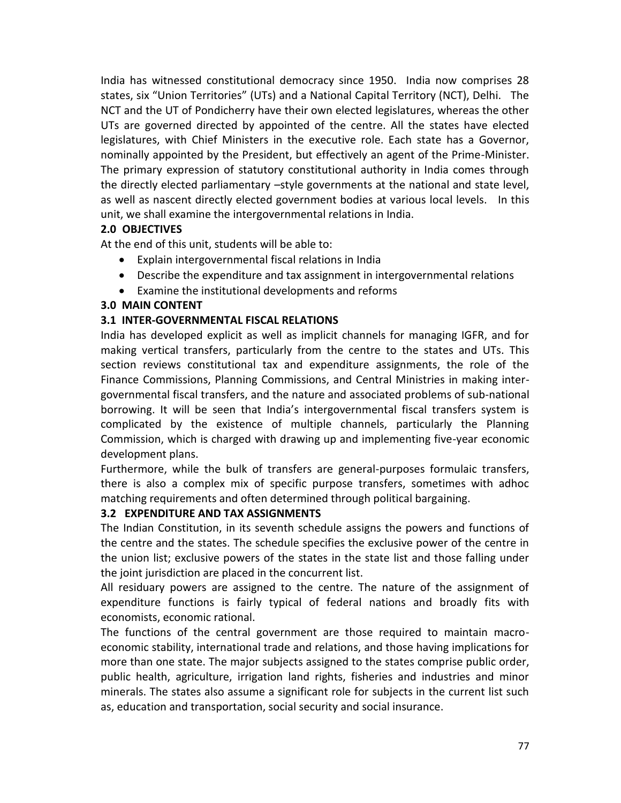India has witnessed constitutional democracy since 1950. India now comprises 28 states, six "Union Territories" (UTs) and a National Capital Territory (NCT), Delhi. The NCT and the UT of Pondicherry have their own elected legislatures, whereas the other UTs are governed directed by appointed of the centre. All the states have elected legislatures, with Chief Ministers in the executive role. Each state has a Governor, nominally appointed by the President, but effectively an agent of the Prime-Minister. The primary expression of statutory constitutional authority in India comes through the directly elected parliamentary –style governments at the national and state level, as well as nascent directly elected government bodies at various local levels. In this unit, we shall examine the intergovernmental relations in India.

## **2.0 OBJECTIVES**

At the end of this unit, students will be able to:

- Explain intergovernmental fiscal relations in India
- Describe the expenditure and tax assignment in intergovernmental relations
- Examine the institutional developments and reforms

## **3.0 MAIN CONTENT**

## **3.1 INTER-GOVERNMENTAL FISCAL RELATIONS**

India has developed explicit as well as implicit channels for managing IGFR, and for making vertical transfers, particularly from the centre to the states and UTs. This section reviews constitutional tax and expenditure assignments, the role of the Finance Commissions, Planning Commissions, and Central Ministries in making intergovernmental fiscal transfers, and the nature and associated problems of sub-national borrowing. It will be seen that India's intergovernmental fiscal transfers system is complicated by the existence of multiple channels, particularly the Planning Commission, which is charged with drawing up and implementing five-year economic development plans.

Furthermore, while the bulk of transfers are general-purposes formulaic transfers, there is also a complex mix of specific purpose transfers, sometimes with adhoc matching requirements and often determined through political bargaining.

## **3.2 EXPENDITURE AND TAX ASSIGNMENTS**

The Indian Constitution, in its seventh schedule assigns the powers and functions of the centre and the states. The schedule specifies the exclusive power of the centre in the union list; exclusive powers of the states in the state list and those falling under the joint jurisdiction are placed in the concurrent list.

All residuary powers are assigned to the centre. The nature of the assignment of expenditure functions is fairly typical of federal nations and broadly fits with economists, economic rational.

The functions of the central government are those required to maintain macroeconomic stability, international trade and relations, and those having implications for more than one state. The major subjects assigned to the states comprise public order, public health, agriculture, irrigation land rights, fisheries and industries and minor minerals. The states also assume a significant role for subjects in the current list such as, education and transportation, social security and social insurance.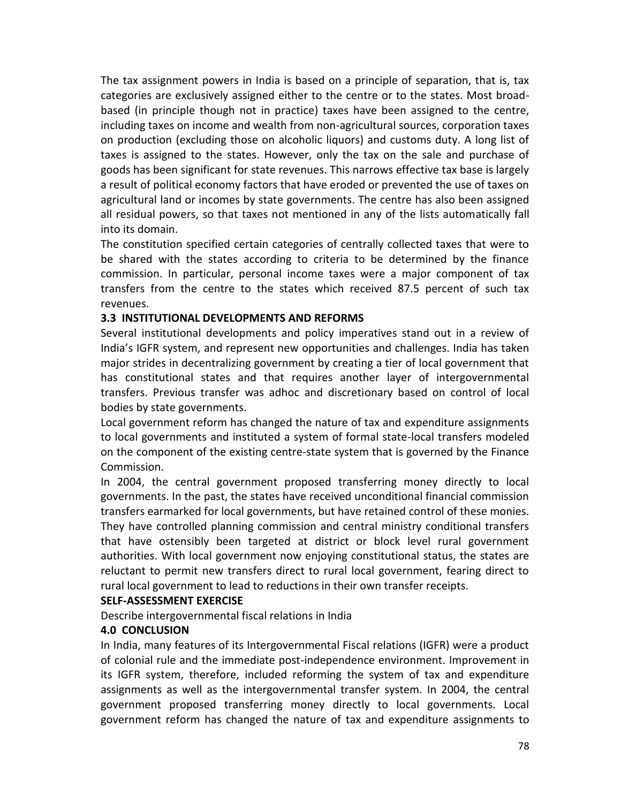The tax assignment powers in India is based on a principle of separation, that is, tax categories are exclusively assigned either to the centre or to the states. Most broadbased (in principle though not in practice) taxes have been assigned to the centre, including taxes on income and wealth from non-agricultural sources, corporation taxes on production (excluding those on alcoholic liquors) and customs duty. A long list of taxes is assigned to the states. However, only the tax on the sale and purchase of goods has been significant for state revenues. This narrows effective tax base is largely a result of political economy factors that have eroded or prevented the use of taxes on agricultural land or incomes by state governments. The centre has also been assigned all residual powers, so that taxes not mentioned in any of the lists automatically fall into its domain.

The constitution specified certain categories of centrally collected taxes that were to be shared with the states according to criteria to be determined by the finance commission. In particular, personal income taxes were a major component of tax transfers from the centre to the states which received 87.5 percent of such tax revenues.

#### **3.3 INSTITUTIONAL DEVELOPMENTS AND REFORMS**

Several institutional developments and policy imperatives stand out in a review of India's IGFR system, and represent new opportunities and challenges. India has taken major strides in decentralizing government by creating a tier of local government that has constitutional states and that requires another layer of intergovernmental transfers. Previous transfer was adhoc and discretionary based on control of local bodies by state governments.

Local government reform has changed the nature of tax and expenditure assignments to local governments and instituted a system of formal state-local transfers modeled on the component of the existing centre-state system that is governed by the Finance Commission.

In 2004, the central government proposed transferring money directly to local governments. In the past, the states have received unconditional financial commission transfers earmarked for local governments, but have retained control of these monies. They have controlled planning commission and central ministry conditional transfers that have ostensibly been targeted at district or block level rural government authorities. With local government now enjoying constitutional status, the states are reluctant to permit new transfers direct to rural local government, fearing direct to rural local government to lead to reductions in their own transfer receipts.

#### **SELF-ASSESSMENT EXERCISE**

Describe intergovernmental fiscal relations in India

#### **4.0 CONCLUSION**

In India, many features of its Intergovernmental Fiscal relations (IGFR) were a product of colonial rule and the immediate post-independence environment. Improvement in its IGFR system, therefore, included reforming the system of tax and expenditure assignments as well as the intergovernmental transfer system. In 2004, the central government proposed transferring money directly to local governments. Local government reform has changed the nature of tax and expenditure assignments to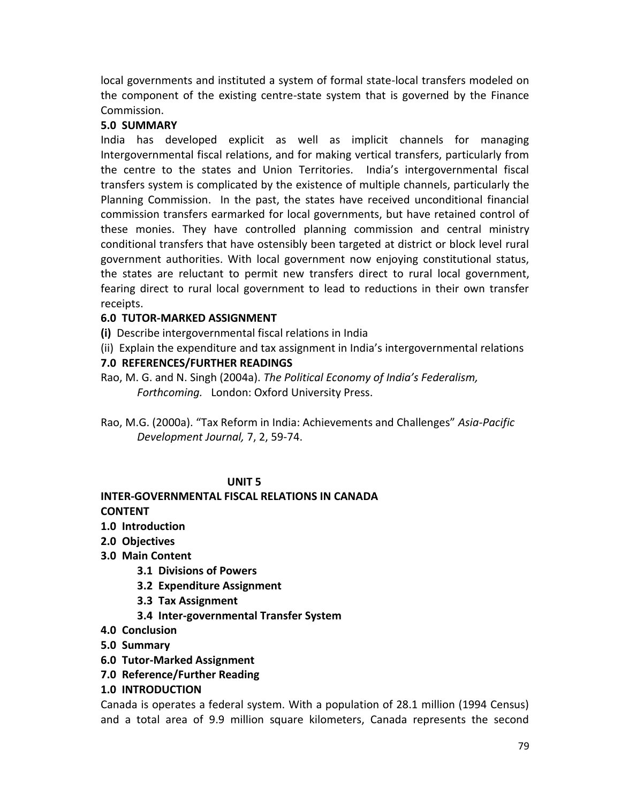local governments and instituted a system of formal state-local transfers modeled on the component of the existing centre-state system that is governed by the Finance Commission.

## **5.0 SUMMARY**

India has developed explicit as well as implicit channels for managing Intergovernmental fiscal relations, and for making vertical transfers, particularly from the centre to the states and Union Territories. India's intergovernmental fiscal transfers system is complicated by the existence of multiple channels, particularly the Planning Commission. In the past, the states have received unconditional financial commission transfers earmarked for local governments, but have retained control of these monies. They have controlled planning commission and central ministry conditional transfers that have ostensibly been targeted at district or block level rural government authorities. With local government now enjoying constitutional status, the states are reluctant to permit new transfers direct to rural local government, fearing direct to rural local government to lead to reductions in their own transfer receipts.

# **6.0 TUTOR-MARKED ASSIGNMENT**

**(i)** Describe intergovernmental fiscal relations in India

(ii) Explain the expenditure and tax assignment in India's intergovernmental relations

## **7.0 REFERENCES/FURTHER READINGS**

Rao, M. G. and N. Singh (2004a). *The Political Economy of India's Federalism, Forthcoming.* London: Oxford University Press.

Rao, M.G. (2000a). "Tax Reform in India: Achievements and Challenges" *Asia-Pacific Development Journal,* 7, 2, 59-74.

## **UNIT 5**

### **INTER-GOVERNMENTAL FISCAL RELATIONS IN CANADA CONTENT**

- **1.0 Introduction**
- **2.0 Objectives**
- **3.0 Main Content**
	- **3.1 Divisions of Powers**
	- **3.2 Expenditure Assignment**
	- **3.3 Tax Assignment**
	- **3.4 Inter-governmental Transfer System**
- **4.0 Conclusion**
- **5.0 Summary**
- **6.0 Tutor-Marked Assignment**
- **7.0 Reference/Further Reading**
- **1.0 INTRODUCTION**

Canada is operates a federal system. With a population of 28.1 million (1994 Census) and a total area of 9.9 million square kilometers, Canada represents the second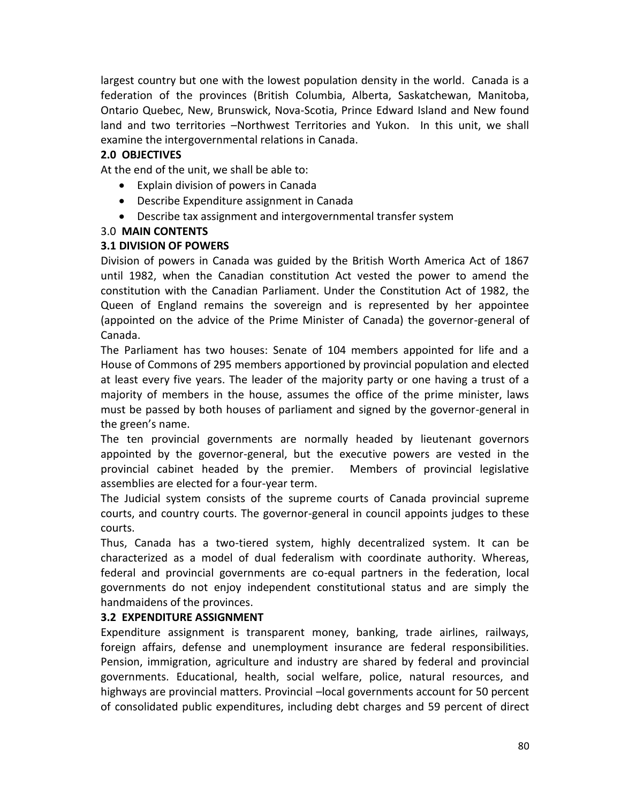largest country but one with the lowest population density in the world. Canada is a federation of the provinces (British Columbia, Alberta, Saskatchewan, Manitoba, Ontario Quebec, New, Brunswick, Nova-Scotia, Prince Edward Island and New found land and two territories –Northwest Territories and Yukon. In this unit, we shall examine the intergovernmental relations in Canada.

## **2.0 OBJECTIVES**

At the end of the unit, we shall be able to:

- Explain division of powers in Canada
- Describe Expenditure assignment in Canada
- Describe tax assignment and intergovernmental transfer system

## 3.0 **MAIN CONTENTS**

## **3.1 DIVISION OF POWERS**

Division of powers in Canada was guided by the British Worth America Act of 1867 until 1982, when the Canadian constitution Act vested the power to amend the constitution with the Canadian Parliament. Under the Constitution Act of 1982, the Queen of England remains the sovereign and is represented by her appointee (appointed on the advice of the Prime Minister of Canada) the governor-general of Canada.

The Parliament has two houses: Senate of 104 members appointed for life and a House of Commons of 295 members apportioned by provincial population and elected at least every five years. The leader of the majority party or one having a trust of a majority of members in the house, assumes the office of the prime minister, laws must be passed by both houses of parliament and signed by the governor-general in the green's name.

The ten provincial governments are normally headed by lieutenant governors appointed by the governor-general, but the executive powers are vested in the provincial cabinet headed by the premier. Members of provincial legislative assemblies are elected for a four-year term.

The Judicial system consists of the supreme courts of Canada provincial supreme courts, and country courts. The governor-general in council appoints judges to these courts.

Thus, Canada has a two-tiered system, highly decentralized system. It can be characterized as a model of dual federalism with coordinate authority. Whereas, federal and provincial governments are co-equal partners in the federation, local governments do not enjoy independent constitutional status and are simply the handmaidens of the provinces.

## **3.2 EXPENDITURE ASSIGNMENT**

Expenditure assignment is transparent money, banking, trade airlines, railways, foreign affairs, defense and unemployment insurance are federal responsibilities. Pension, immigration, agriculture and industry are shared by federal and provincial governments. Educational, health, social welfare, police, natural resources, and highways are provincial matters. Provincial –local governments account for 50 percent of consolidated public expenditures, including debt charges and 59 percent of direct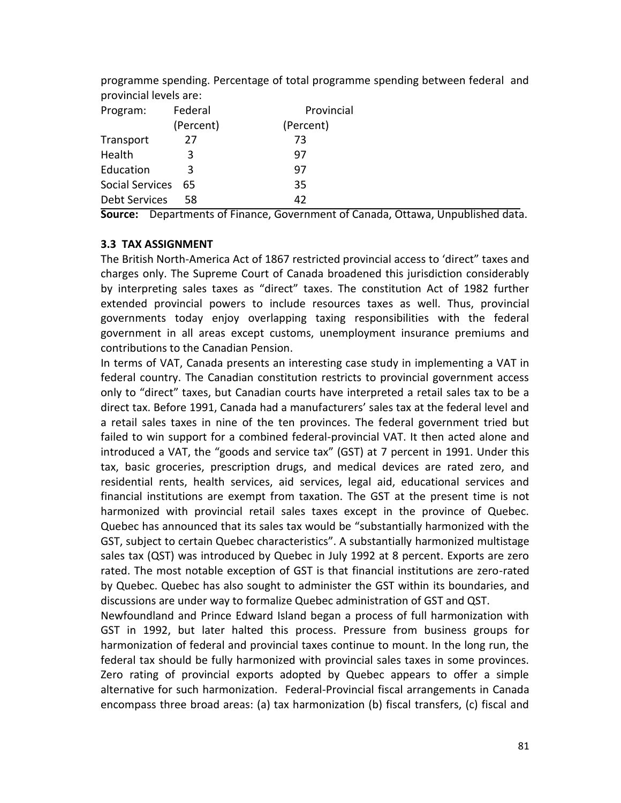| provincial levels are: |           |            |
|------------------------|-----------|------------|
| Program:               | Federal   | Provincial |
|                        | (Percent) | (Percent)  |
| Transport              | 27        | 73         |
| Health                 | 3         | 97         |
| Education              | 3         | 97         |
| Social Services<br>65  |           | 35         |
| <b>Debt Services</b>   | 58        | 42         |

programme spending. Percentage of total programme spending between federal and

**Source:** Departments of Finance, Government of Canada, Ottawa, Unpublished data.

## **3.3 TAX ASSIGNMENT**

The British North-America Act of 1867 restricted provincial access to 'direct" taxes and charges only. The Supreme Court of Canada broadened this jurisdiction considerably by interpreting sales taxes as "direct" taxes. The constitution Act of 1982 further extended provincial powers to include resources taxes as well. Thus, provincial governments today enjoy overlapping taxing responsibilities with the federal government in all areas except customs, unemployment insurance premiums and contributions to the Canadian Pension.

In terms of VAT, Canada presents an interesting case study in implementing a VAT in federal country. The Canadian constitution restricts to provincial government access only to "direct" taxes, but Canadian courts have interpreted a retail sales tax to be a direct tax. Before 1991, Canada had a manufacturers' sales tax at the federal level and a retail sales taxes in nine of the ten provinces. The federal government tried but failed to win support for a combined federal-provincial VAT. It then acted alone and introduced a VAT, the "goods and service tax" (GST) at 7 percent in 1991. Under this tax, basic groceries, prescription drugs, and medical devices are rated zero, and residential rents, health services, aid services, legal aid, educational services and financial institutions are exempt from taxation. The GST at the present time is not harmonized with provincial retail sales taxes except in the province of Quebec. Quebec has announced that its sales tax would be "substantially harmonized with the GST, subject to certain Quebec characteristics". A substantially harmonized multistage sales tax (QST) was introduced by Quebec in July 1992 at 8 percent. Exports are zero rated. The most notable exception of GST is that financial institutions are zero-rated by Quebec. Quebec has also sought to administer the GST within its boundaries, and discussions are under way to formalize Quebec administration of GST and QST.

Newfoundland and Prince Edward Island began a process of full harmonization with GST in 1992, but later halted this process. Pressure from business groups for harmonization of federal and provincial taxes continue to mount. In the long run, the federal tax should be fully harmonized with provincial sales taxes in some provinces. Zero rating of provincial exports adopted by Quebec appears to offer a simple alternative for such harmonization. Federal-Provincial fiscal arrangements in Canada encompass three broad areas: (a) tax harmonization (b) fiscal transfers, (c) fiscal and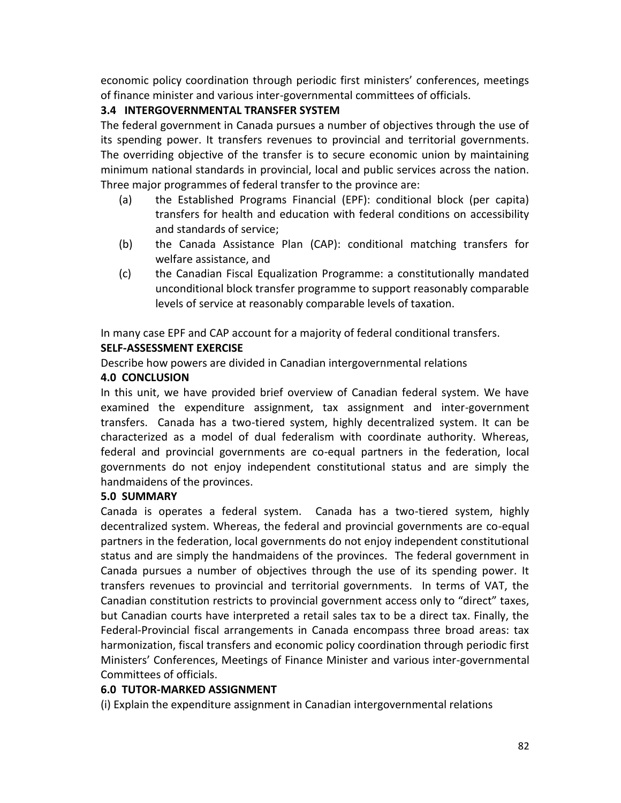economic policy coordination through periodic first ministers' conferences, meetings of finance minister and various inter-governmental committees of officials.

# **3.4 INTERGOVERNMENTAL TRANSFER SYSTEM**

The federal government in Canada pursues a number of objectives through the use of its spending power. It transfers revenues to provincial and territorial governments. The overriding objective of the transfer is to secure economic union by maintaining minimum national standards in provincial, local and public services across the nation. Three major programmes of federal transfer to the province are:

- (a) the Established Programs Financial (EPF): conditional block (per capita) transfers for health and education with federal conditions on accessibility and standards of service;
- (b) the Canada Assistance Plan (CAP): conditional matching transfers for welfare assistance, and
- (c) the Canadian Fiscal Equalization Programme: a constitutionally mandated unconditional block transfer programme to support reasonably comparable levels of service at reasonably comparable levels of taxation.

In many case EPF and CAP account for a majority of federal conditional transfers. **SELF-ASSESSMENT EXERCISE**

Describe how powers are divided in Canadian intergovernmental relations

# **4.0 CONCLUSION**

In this unit, we have provided brief overview of Canadian federal system. We have examined the expenditure assignment, tax assignment and inter-government transfers. Canada has a two-tiered system, highly decentralized system. It can be characterized as a model of dual federalism with coordinate authority. Whereas, federal and provincial governments are co-equal partners in the federation, local governments do not enjoy independent constitutional status and are simply the handmaidens of the provinces.

# **5.0 SUMMARY**

Canada is operates a federal system. Canada has a two-tiered system, highly decentralized system. Whereas, the federal and provincial governments are co-equal partners in the federation, local governments do not enjoy independent constitutional status and are simply the handmaidens of the provinces. The federal government in Canada pursues a number of objectives through the use of its spending power. It transfers revenues to provincial and territorial governments. In terms of VAT, the Canadian constitution restricts to provincial government access only to "direct" taxes, but Canadian courts have interpreted a retail sales tax to be a direct tax. Finally, the Federal-Provincial fiscal arrangements in Canada encompass three broad areas: tax harmonization, fiscal transfers and economic policy coordination through periodic first Ministers' Conferences, Meetings of Finance Minister and various inter-governmental Committees of officials.

# **6.0 TUTOR-MARKED ASSIGNMENT**

(i) Explain the expenditure assignment in Canadian intergovernmental relations